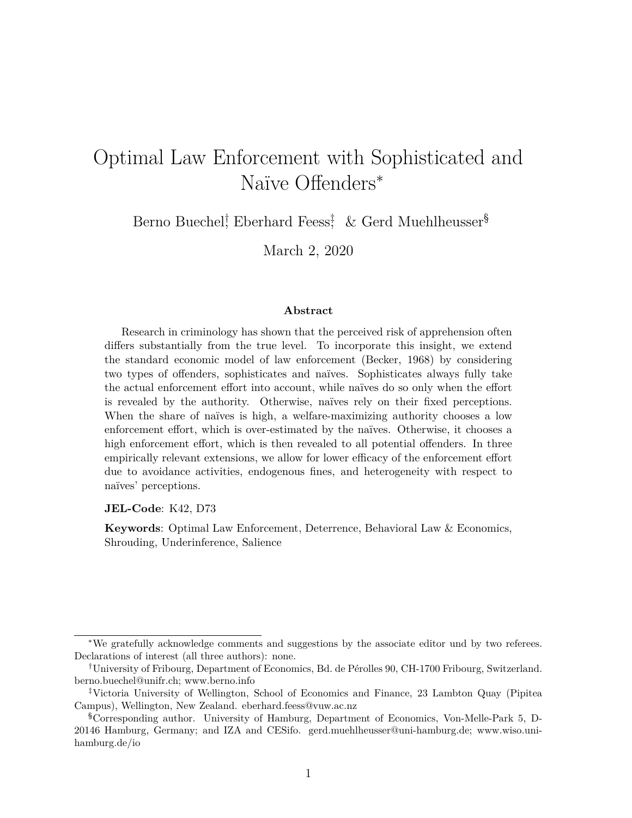# Optimal Law Enforcement with Sophisticated and Naïve Offenders<sup>∗</sup>

Berno Buechel<sup>†</sup>, Eberhard Feess<sup>‡</sup> & Gerd Muehlheusser<sup>§</sup>

March 2, 2020

#### **Abstract**

Research in criminology has shown that the perceived risk of apprehension often differs substantially from the true level. To incorporate this insight, we extend the standard economic model of law enforcement (Becker, 1968) by considering two types of offenders, sophisticates and naïves. Sophisticates always fully take the actual enforcement effort into account, while naïves do so only when the effort is revealed by the authority. Otherwise, naïves rely on their fixed perceptions. When the share of naïves is high, a welfare-maximizing authority chooses a low enforcement effort, which is over-estimated by the naïves. Otherwise, it chooses a high enforcement effort, which is then revealed to all potential offenders. In three empirically relevant extensions, we allow for lower efficacy of the enforcement effort due to avoidance activities, endogenous fines, and heterogeneity with respect to naïves' perceptions.

#### **JEL-Code**: K42, D73

**Keywords**: Optimal Law Enforcement, Deterrence, Behavioral Law & Economics, Shrouding, Underinference, Salience

<sup>∗</sup>We gratefully acknowledge comments and suggestions by the associate editor und by two referees. Declarations of interest (all three authors): none.

<sup>†</sup>University of Fribourg, Department of Economics, Bd. de Pérolles 90, CH-1700 Fribourg, Switzerland. berno.buechel@unifr.ch; www.berno.info

<sup>‡</sup>Victoria University of Wellington, School of Economics and Finance, 23 Lambton Quay (Pipitea Campus), Wellington, New Zealand. eberhard.feess@vuw.ac.nz

<sup>§</sup>Corresponding author. University of Hamburg, Department of Economics, Von-Melle-Park 5, D-20146 Hamburg, Germany; and IZA and CESifo. gerd.muehlheusser@uni-hamburg.de; www.wiso.unihamburg.de/io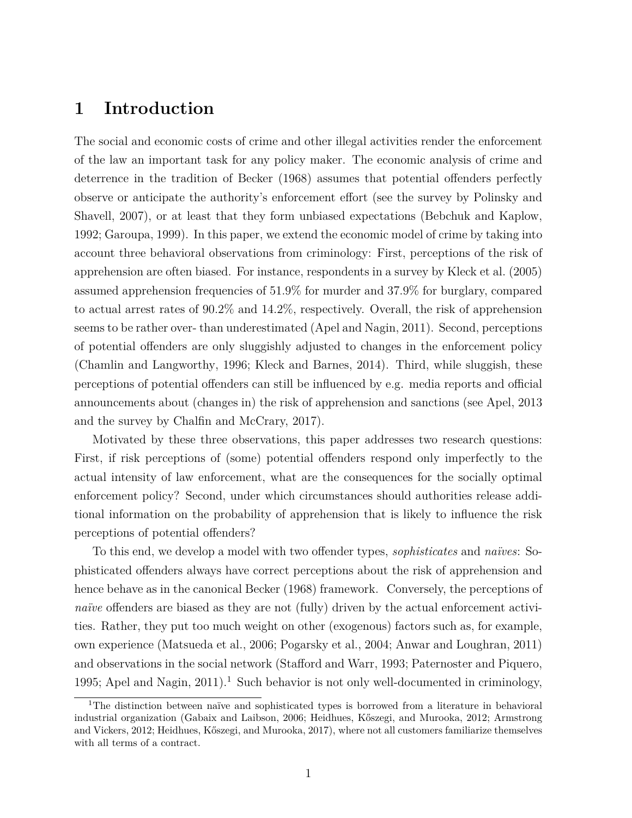## **1 Introduction**

The social and economic costs of crime and other illegal activities render the enforcement of the law an important task for any policy maker. The economic analysis of crime and deterrence in the tradition of [Becker](#page-43-0) [\(1968\)](#page-43-0) assumes that potential offenders perfectly observe or anticipate the authority's enforcement effort (see the survey by [Polinsky and](#page-46-0) [Shavell, 2007\)](#page-46-0), or at least that they form unbiased expectations [\(Bebchuk and Kaplow,](#page-43-1) [1992;](#page-43-1) [Garoupa, 1999\)](#page-44-0). In this paper, we extend the economic model of crime by taking into account three behavioral observations from criminology: First, perceptions of the risk of apprehension are often biased. For instance, respondents in a survey by [Kleck et al.](#page-45-0) [\(2005\)](#page-45-0) assumed apprehension frequencies of 51.9% for murder and 37.9% for burglary, compared to actual arrest rates of 90.2% and 14.2%, respectively. Overall, the risk of apprehension seems to be rather over- than underestimated [\(Apel and Nagin, 2011\)](#page-43-2). Second, perceptions of potential offenders are only sluggishly adjusted to changes in the enforcement policy [\(Chamlin and Langworthy, 1996;](#page-44-1) [Kleck and Barnes, 2014\)](#page-45-1). Third, while sluggish, these perceptions of potential offenders can still be influenced by e.g. media reports and official announcements about (changes in) the risk of apprehension and sanctions (see Apel, 2013 and the survey by Chalfin and McCrary, 2017).

Motivated by these three observations, this paper addresses two research questions: First, if risk perceptions of (some) potential offenders respond only imperfectly to the actual intensity of law enforcement, what are the consequences for the socially optimal enforcement policy? Second, under which circumstances should authorities release additional information on the probability of apprehension that is likely to influence the risk perceptions of potential offenders?

To this end, we develop a model with two offender types, *sophisticates* and *naïves*: Sophisticated offenders always have correct perceptions about the risk of apprehension and hence behave as in the canonical [Becker](#page-43-0) [\(1968\)](#page-43-0) framework. Conversely, the perceptions of *naïve* offenders are biased as they are not (fully) driven by the actual enforcement activities. Rather, they put too much weight on other (exogenous) factors such as, for example, own experience [\(Matsueda et al., 2006;](#page-45-2) [Pogarsky et al., 2004;](#page-46-1) [Anwar and Loughran, 2011\)](#page-43-3) and observations in the social network [\(Stafford and Warr, 1993;](#page-46-2) [Paternoster and Piquero,](#page-45-3) [1995;](#page-45-3) Apel and Nagin,  $2011$  $2011$  $2011$ .<sup>1</sup> Such behavior is not only well-documented in criminology,

<span id="page-1-0"></span><sup>&</sup>lt;sup>1</sup>The distinction between naïve and sophisticated types is borrowed from a literature in behavioral industrial organization [\(Gabaix and Laibson, 2006;](#page-44-2) [Heidhues, Kőszegi, and Murooka, 2012;](#page-44-3) [Armstrong](#page-43-4) [and Vickers, 2012;](#page-43-4) [Heidhues, Kőszegi, and Murooka, 2017\)](#page-44-4), where not all customers familiarize themselves with all terms of a contract.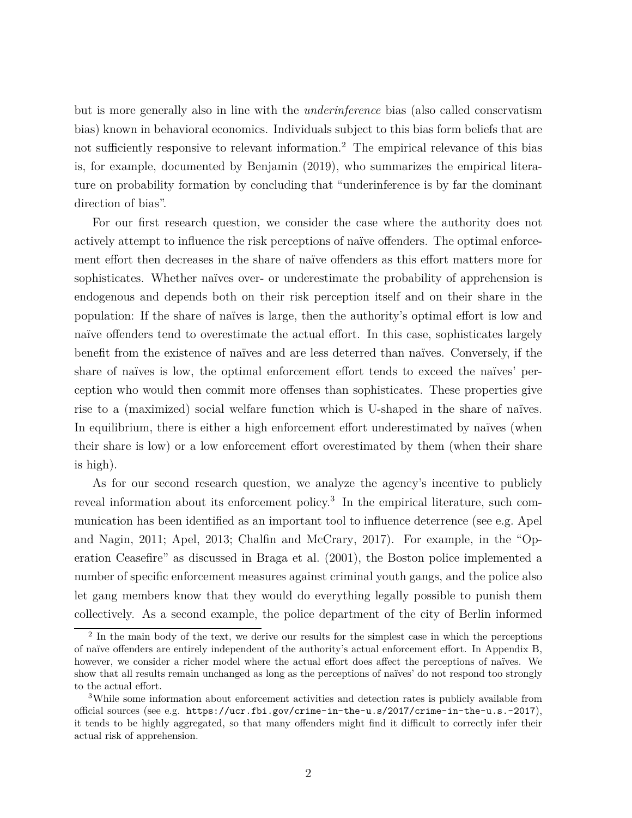but is more generally also in line with the *underinference* bias (also called conservatism bias) known in behavioral economics. Individuals subject to this bias form beliefs that are not sufficiently responsive to relevant information.<sup>[2](#page-2-0)</sup> The empirical relevance of this bias is, for example, documented by [Benjamin](#page-43-5) [\(2019\)](#page-43-5), who summarizes the empirical literature on probability formation by concluding that "underinference is by far the dominant direction of bias".

For our first research question, we consider the case where the authority does not actively attempt to influence the risk perceptions of naïve offenders. The optimal enforcement effort then decreases in the share of naïve offenders as this effort matters more for sophisticates. Whether naïves over- or underestimate the probability of apprehension is endogenous and depends both on their risk perception itself and on their share in the population: If the share of naïves is large, then the authority's optimal effort is low and naïve offenders tend to overestimate the actual effort. In this case, sophisticates largely benefit from the existence of naïves and are less deterred than naïves. Conversely, if the share of naïves is low, the optimal enforcement effort tends to exceed the naïves' perception who would then commit more offenses than sophisticates. These properties give rise to a (maximized) social welfare function which is U-shaped in the share of naïves. In equilibrium, there is either a high enforcement effort underestimated by naïves (when their share is low) or a low enforcement effort overestimated by them (when their share is high).

As for our second research question, we analyze the agency's incentive to publicly reveal information about its enforcement policy.<sup>[3](#page-2-1)</sup> In the empirical literature, such communication has been identified as an important tool to influence deterrence (see e.g. [Apel](#page-43-2) [and Nagin, 2011;](#page-43-2) [Apel, 2013;](#page-43-6) [Chalfin and McCrary, 2017\)](#page-44-5). For example, in the "Operation Ceasefire" as discussed in [Braga et al.](#page-43-7) [\(2001\)](#page-43-7), the Boston police implemented a number of specific enforcement measures against criminal youth gangs, and the police also let gang members know that they would do everything legally possible to punish them collectively. As a second example, the police department of the city of Berlin informed

<span id="page-2-0"></span><sup>&</sup>lt;sup>2</sup> In the main body of the text, we derive our results for the simplest case in which the perceptions of naïve offenders are entirely independent of the authority's actual enforcement effort. In Appendix [B,](#page-36-0) however, we consider a richer model where the actual effort does affect the perceptions of naïves. We show that all results remain unchanged as long as the perceptions of naïves' do not respond too strongly to the actual effort.

<span id="page-2-1"></span><sup>3</sup>While some information about enforcement activities and detection rates is publicly available from official sources (see e.g. <https://ucr.fbi.gov/crime-in-the-u.s/2017/crime-in-the-u.s.-2017>), it tends to be highly aggregated, so that many offenders might find it difficult to correctly infer their actual risk of apprehension.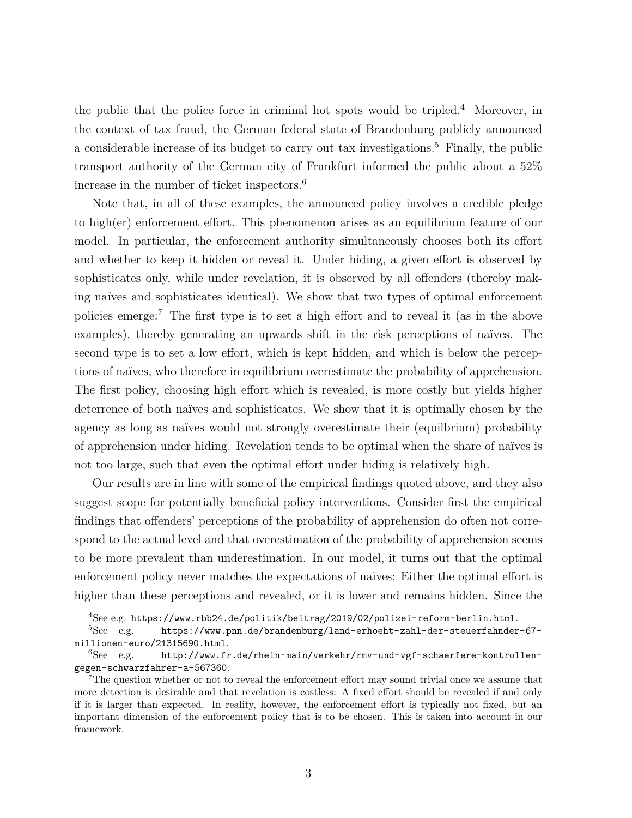the public that the police force in criminal hot spots would be tripled.<sup>[4](#page-3-0)</sup> Moreover, in the context of tax fraud, the German federal state of Brandenburg publicly announced a considerable increase of its budget to carry out tax investigations.<sup>[5](#page-3-1)</sup> Finally, the public transport authority of the German city of Frankfurt informed the public about a 52% increase in the number of ticket inspectors.[6](#page-3-2)

Note that, in all of these examples, the announced policy involves a credible pledge to high(er) enforcement effort. This phenomenon arises as an equilibrium feature of our model. In particular, the enforcement authority simultaneously chooses both its effort and whether to keep it hidden or reveal it. Under hiding, a given effort is observed by sophisticates only, while under revelation, it is observed by all offenders (thereby making naïves and sophisticates identical). We show that two types of optimal enforcement policies emerge:[7](#page-3-3) The first type is to set a high effort and to reveal it (as in the above examples), thereby generating an upwards shift in the risk perceptions of naïves. The second type is to set a low effort, which is kept hidden, and which is below the perceptions of naïves, who therefore in equilibrium overestimate the probability of apprehension. The first policy, choosing high effort which is revealed, is more costly but yields higher deterrence of both naïves and sophisticates. We show that it is optimally chosen by the agency as long as naïves would not strongly overestimate their (equilbrium) probability of apprehension under hiding. Revelation tends to be optimal when the share of naïves is not too large, such that even the optimal effort under hiding is relatively high.

Our results are in line with some of the empirical findings quoted above, and they also suggest scope for potentially beneficial policy interventions. Consider first the empirical findings that offenders' perceptions of the probability of apprehension do often not correspond to the actual level and that overestimation of the probability of apprehension seems to be more prevalent than underestimation. In our model, it turns out that the optimal enforcement policy never matches the expectations of naïves: Either the optimal effort is higher than these perceptions and revealed, or it is lower and remains hidden. Since the

<span id="page-3-1"></span><span id="page-3-0"></span><sup>4</sup>See e.g. <https://www.rbb24.de/politik/beitrag/2019/02/polizei-reform-berlin.html>.

<sup>5</sup>See e.g. [https://www.pnn.de/brandenburg/land-erhoeht-zahl-der-steuerfahnder-67](https://www.pnn.de/brandenburg/land-erhoeht-zahl-der-steuerfahnder-67-millionen-euro/21315690.html) [millionen-euro/21315690.html](https://www.pnn.de/brandenburg/land-erhoeht-zahl-der-steuerfahnder-67-millionen-euro/21315690.html).

<span id="page-3-2"></span><sup>6</sup>See e.g. [http://www.fr.de/rhein-main/verkehr/rmv-und-vgf-schaerfere-kontrollen](http://www.fr.de/rhein-main/verkehr/rmv-und-vgf-schaerfere-kontrollen-gegen-schwarzfahrer-a-567360)[gegen-schwarzfahrer-a-567360](http://www.fr.de/rhein-main/verkehr/rmv-und-vgf-schaerfere-kontrollen-gegen-schwarzfahrer-a-567360).

<span id="page-3-3"></span><sup>7</sup>The question whether or not to reveal the enforcement effort may sound trivial once we assume that more detection is desirable and that revelation is costless: A fixed effort should be revealed if and only if it is larger than expected. In reality, however, the enforcement effort is typically not fixed, but an important dimension of the enforcement policy that is to be chosen. This is taken into account in our framework.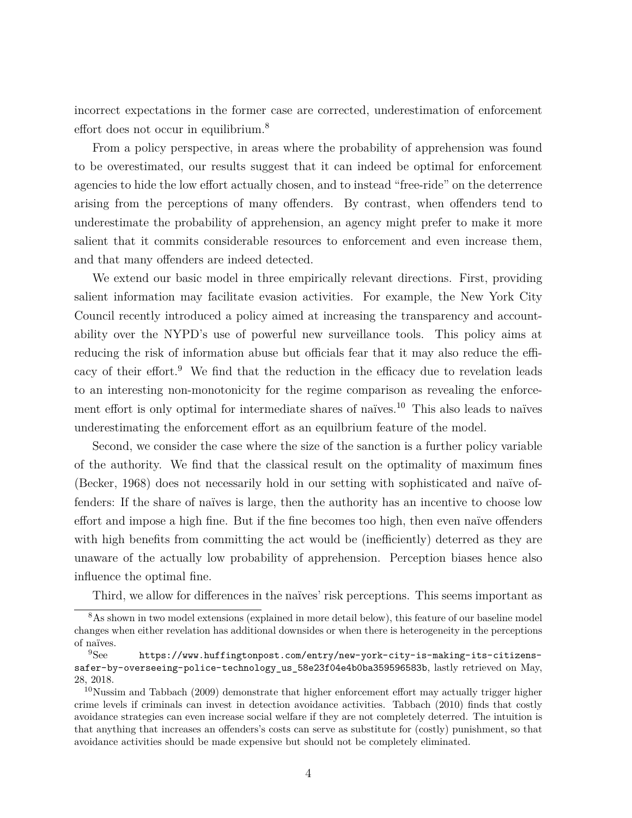incorrect expectations in the former case are corrected, underestimation of enforcement effort does not occur in equilibrium.[8](#page-4-0)

From a policy perspective, in areas where the probability of apprehension was found to be overestimated, our results suggest that it can indeed be optimal for enforcement agencies to hide the low effort actually chosen, and to instead "free-ride" on the deterrence arising from the perceptions of many offenders. By contrast, when offenders tend to underestimate the probability of apprehension, an agency might prefer to make it more salient that it commits considerable resources to enforcement and even increase them, and that many offenders are indeed detected.

We extend our basic model in three empirically relevant directions. First, providing salient information may facilitate evasion activities. For example, the New York City Council recently introduced a policy aimed at increasing the transparency and accountability over the NYPD's use of powerful new surveillance tools. This policy aims at reducing the risk of information abuse but officials fear that it may also reduce the effi-cacy of their effort.<sup>[9](#page-4-1)</sup> We find that the reduction in the efficacy due to revelation leads to an interesting non-monotonicity for the regime comparison as revealing the enforce-ment effort is only optimal for intermediate shares of naïves.<sup>[10](#page-4-2)</sup> This also leads to naïves underestimating the enforcement effort as an equilbrium feature of the model.

Second, we consider the case where the size of the sanction is a further policy variable of the authority. We find that the classical result on the optimality of maximum fines [\(Becker, 1968\)](#page-43-0) does not necessarily hold in our setting with sophisticated and naïve offenders: If the share of naïves is large, then the authority has an incentive to choose low effort and impose a high fine. But if the fine becomes too high, then even naïve offenders with high benefits from committing the act would be (inefficiently) deterred as they are unaware of the actually low probability of apprehension. Perception biases hence also influence the optimal fine.

<span id="page-4-0"></span>Third, we allow for differences in the naïves' risk perceptions. This seems important as

<sup>&</sup>lt;sup>8</sup>As shown in two model extensions (explained in more detail below), this feature of our baseline model changes when either revelation has additional downsides or when there is heterogeneity in the perceptions of naïves.

<span id="page-4-1"></span><sup>9</sup>See [https://www.huffingtonpost.com/entry/new-york-city-is-making-its-citizens](https://www.huffingtonpost.com/entry/new-york-city-is-making-its-citizens-safer-by-overseeing-police-technology_us_58e23f04e4b0ba359596583b)safer-by-overseeing-police-technology us 58e23f04e4b0ba359596583b, lastly retrieved on May, 28, 2018.

<span id="page-4-2"></span><sup>&</sup>lt;sup>10</sup>[Nussim and Tabbach](#page-45-4) [\(2009\)](#page-45-4) demonstrate that higher enforcement effort may actually trigger higher crime levels if criminals can invest in detection avoidance activities. [Tabbach](#page-46-3) [\(2010\)](#page-46-3) finds that costly avoidance strategies can even increase social welfare if they are not completely deterred. The intuition is that anything that increases an offenders's costs can serve as substitute for (costly) punishment, so that avoidance activities should be made expensive but should not be completely eliminated.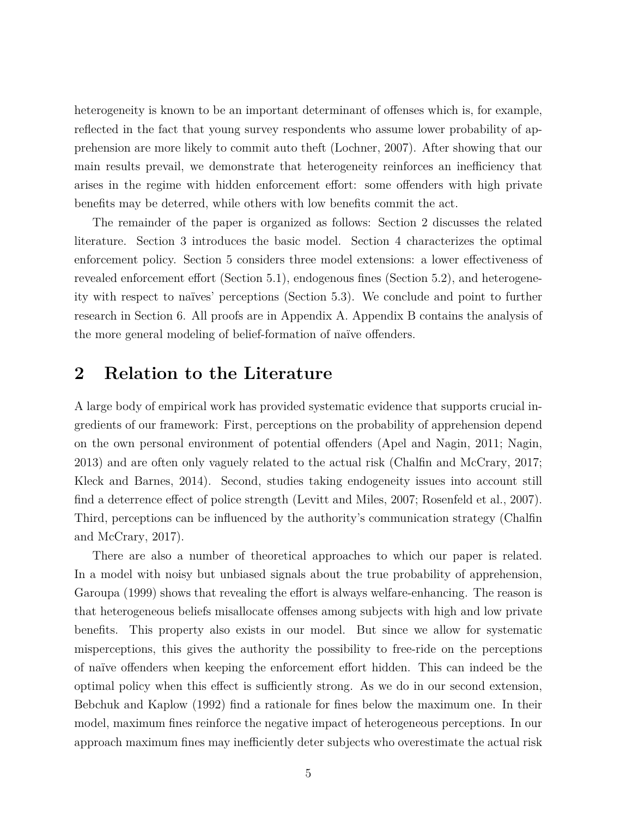heterogeneity is known to be an important determinant of offenses which is, for example, reflected in the fact that young survey respondents who assume lower probability of apprehension are more likely to commit auto theft [\(Lochner, 2007\)](#page-45-5). After showing that our main results prevail, we demonstrate that heterogeneity reinforces an inefficiency that arises in the regime with hidden enforcement effort: some offenders with high private benefits may be deterred, while others with low benefits commit the act.

The remainder of the paper is organized as follows: Section [2](#page-5-0) discusses the related literature. Section [3](#page-8-0) introduces the basic model. Section [4](#page-10-0) characterizes the optimal enforcement policy. Section [5](#page-17-0) considers three model extensions: a lower effectiveness of revealed enforcement effort (Section [5.1\)](#page-17-1), endogenous fines (Section [5.2\)](#page-20-0), and heterogeneity with respect to naïves' perceptions (Section [5.3\)](#page-23-0). We conclude and point to further research in Section [6.](#page-25-0) All proofs are in Appendix [A.](#page-28-0) Appendix [B](#page-36-0) contains the analysis of the more general modeling of belief-formation of naïve offenders.

## <span id="page-5-0"></span>**2 Relation to the Literature**

A large body of empirical work has provided systematic evidence that supports crucial ingredients of our framework: First, perceptions on the probability of apprehension depend on the own personal environment of potential offenders [\(Apel and Nagin, 2011;](#page-43-2) [Nagin,](#page-45-6) [2013\)](#page-45-6) and are often only vaguely related to the actual risk [\(Chalfin and McCrary, 2017;](#page-44-5) [Kleck and Barnes, 2014\)](#page-45-1). Second, studies taking endogeneity issues into account still find a deterrence effect of police strength [\(Levitt and Miles, 2007;](#page-45-7) [Rosenfeld et al., 2007\)](#page-46-4). Third, perceptions can be influenced by the authority's communication strategy [\(Chalfin](#page-44-5) [and McCrary, 2017\)](#page-44-5).

There are also a number of theoretical approaches to which our paper is related. In a model with noisy but unbiased signals about the true probability of apprehension, [Garoupa](#page-44-0) [\(1999\)](#page-44-0) shows that revealing the effort is always welfare-enhancing. The reason is that heterogeneous beliefs misallocate offenses among subjects with high and low private benefits. This property also exists in our model. But since we allow for systematic misperceptions, this gives the authority the possibility to free-ride on the perceptions of naïve offenders when keeping the enforcement effort hidden. This can indeed be the optimal policy when this effect is sufficiently strong. As we do in our second extension, [Bebchuk and Kaplow](#page-43-1) [\(1992\)](#page-43-1) find a rationale for fines below the maximum one. In their model, maximum fines reinforce the negative impact of heterogeneous perceptions. In our approach maximum fines may inefficiently deter subjects who overestimate the actual risk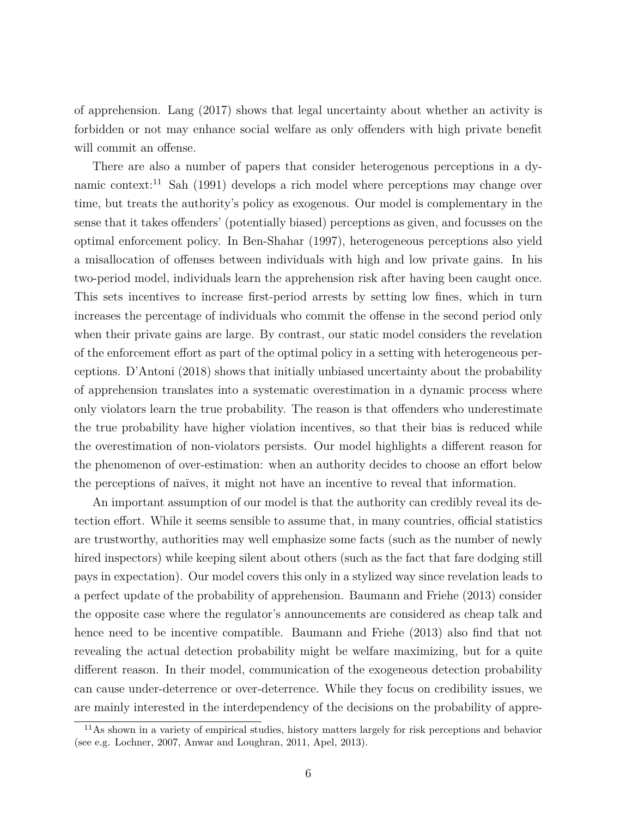of apprehension. [Lang](#page-45-8) [\(2017\)](#page-45-8) shows that legal uncertainty about whether an activity is forbidden or not may enhance social welfare as only offenders with high private benefit will commit an offense.

There are also a number of papers that consider heterogenous perceptions in a dy-namic context:<sup>[11](#page-6-0)</sup> [Sah](#page-46-5) [\(1991\)](#page-46-5) develops a rich model where perceptions may change over time, but treats the authority's policy as exogenous. Our model is complementary in the sense that it takes offenders' (potentially biased) perceptions as given, and focusses on the optimal enforcement policy. In [Ben-Shahar](#page-43-8) [\(1997\)](#page-43-8), heterogeneous perceptions also yield a misallocation of offenses between individuals with high and low private gains. In his two-period model, individuals learn the apprehension risk after having been caught once. This sets incentives to increase first-period arrests by setting low fines, which in turn increases the percentage of individuals who commit the offense in the second period only when their private gains are large. By contrast, our static model considers the revelation of the enforcement effort as part of the optimal policy in a setting with heterogeneous perceptions. [D'Antoni](#page-44-6) [\(2018\)](#page-44-6) shows that initially unbiased uncertainty about the probability of apprehension translates into a systematic overestimation in a dynamic process where only violators learn the true probability. The reason is that offenders who underestimate the true probability have higher violation incentives, so that their bias is reduced while the overestimation of non-violators persists. Our model highlights a different reason for the phenomenon of over-estimation: when an authority decides to choose an effort below the perceptions of naïves, it might not have an incentive to reveal that information.

An important assumption of our model is that the authority can credibly reveal its detection effort. While it seems sensible to assume that, in many countries, official statistics are trustworthy, authorities may well emphasize some facts (such as the number of newly hired inspectors) while keeping silent about others (such as the fact that fare dodging still pays in expectation). Our model covers this only in a stylized way since revelation leads to a perfect update of the probability of apprehension. [Baumann and Friehe](#page-43-9) [\(2013\)](#page-43-9) consider the opposite case where the regulator's announcements are considered as cheap talk and hence need to be incentive compatible. [Baumann and Friehe](#page-43-9) [\(2013\)](#page-43-9) also find that not revealing the actual detection probability might be welfare maximizing, but for a quite different reason. In their model, communication of the exogeneous detection probability can cause under-deterrence or over-deterrence. While they focus on credibility issues, we are mainly interested in the interdependency of the decisions on the probability of appre-

<span id="page-6-0"></span><sup>&</sup>lt;sup>11</sup>As shown in a variety of empirical studies, history matters largely for risk perceptions and behavior (see e.g. Lochner, 2007, Anwar and Loughran, 2011, Apel, 2013).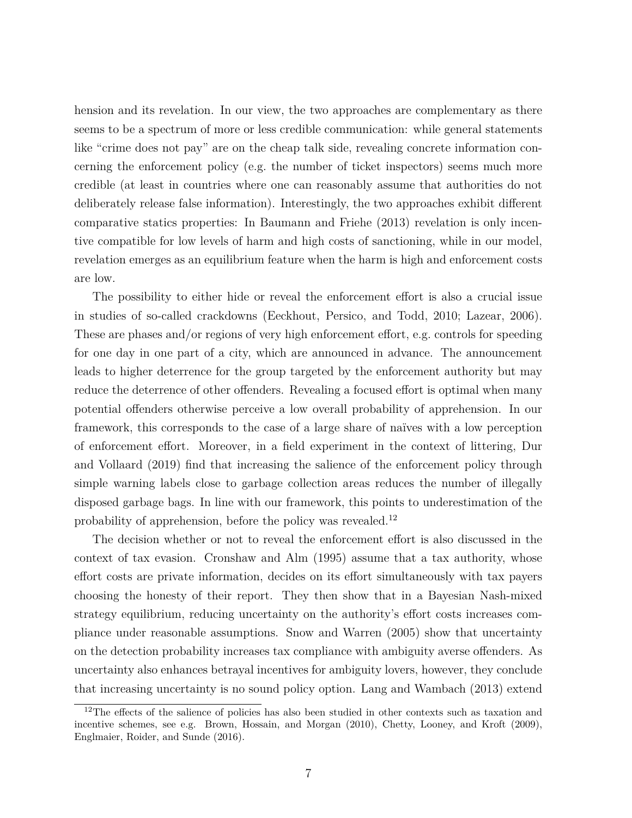hension and its revelation. In our view, the two approaches are complementary as there seems to be a spectrum of more or less credible communication: while general statements like "crime does not pay" are on the cheap talk side, revealing concrete information concerning the enforcement policy (e.g. the number of ticket inspectors) seems much more credible (at least in countries where one can reasonably assume that authorities do not deliberately release false information). Interestingly, the two approaches exhibit different comparative statics properties: In [Baumann and Friehe](#page-43-9) [\(2013\)](#page-43-9) revelation is only incentive compatible for low levels of harm and high costs of sanctioning, while in our model, revelation emerges as an equilibrium feature when the harm is high and enforcement costs are low.

The possibility to either hide or reveal the enforcement effort is also a crucial issue in studies of so-called crackdowns [\(Eeckhout, Persico, and Todd, 2010;](#page-44-7) [Lazear, 2006\)](#page-45-9). These are phases and/or regions of very high enforcement effort, e.g. controls for speeding for one day in one part of a city, which are announced in advance. The announcement leads to higher deterrence for the group targeted by the enforcement authority but may reduce the deterrence of other offenders. Revealing a focused effort is optimal when many potential offenders otherwise perceive a low overall probability of apprehension. In our framework, this corresponds to the case of a large share of naïves with a low perception of enforcement effort. Moreover, in a field experiment in the context of littering, [Dur](#page-44-8) [and Vollaard](#page-44-8) [\(2019\)](#page-44-8) find that increasing the salience of the enforcement policy through simple warning labels close to garbage collection areas reduces the number of illegally disposed garbage bags. In line with our framework, this points to underestimation of the probability of apprehension, before the policy was revealed.[12](#page-7-0)

The decision whether or not to reveal the enforcement effort is also discussed in the context of tax evasion. [Cronshaw and Alm](#page-44-9) [\(1995\)](#page-44-9) assume that a tax authority, whose effort costs are private information, decides on its effort simultaneously with tax payers choosing the honesty of their report. They then show that in a Bayesian Nash-mixed strategy equilibrium, reducing uncertainty on the authority's effort costs increases compliance under reasonable assumptions. [Snow and Warren](#page-46-6) [\(2005\)](#page-46-6) show that uncertainty on the detection probability increases tax compliance with ambiguity averse offenders. As uncertainty also enhances betrayal incentives for ambiguity lovers, however, they conclude that increasing uncertainty is no sound policy option. [Lang and Wambach](#page-45-10) [\(2013\)](#page-45-10) extend

<span id="page-7-0"></span><sup>&</sup>lt;sup>12</sup>The effects of the salience of policies has also been studied in other contexts such as taxation and incentive schemes, see e.g. [Brown, Hossain, and Morgan](#page-43-10) [\(2010\)](#page-43-10), [Chetty, Looney, and Kroft](#page-44-10) [\(2009\)](#page-44-10), [Englmaier, Roider, and Sunde](#page-44-11) [\(2016\)](#page-44-11).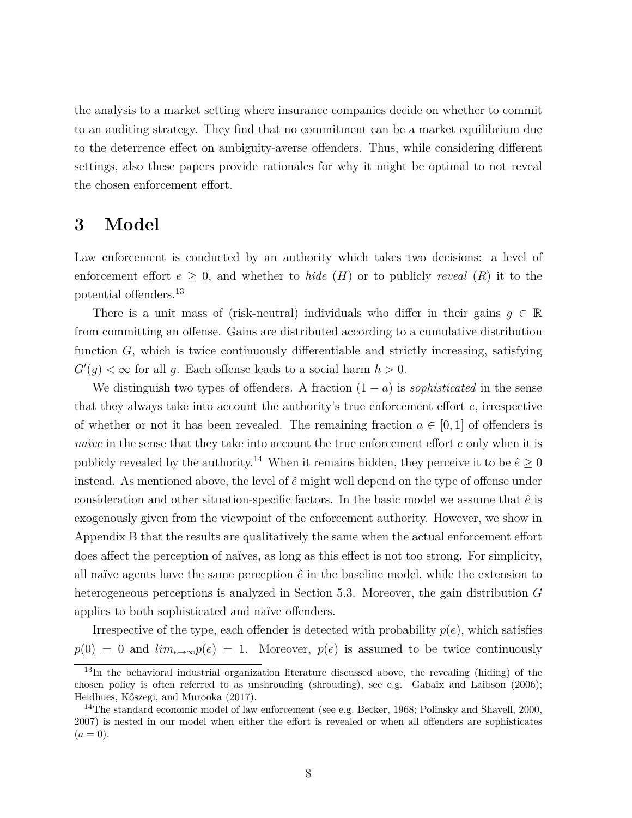the analysis to a market setting where insurance companies decide on whether to commit to an auditing strategy. They find that no commitment can be a market equilibrium due to the deterrence effect on ambiguity-averse offenders. Thus, while considering different settings, also these papers provide rationales for why it might be optimal to not reveal the chosen enforcement effort.

### <span id="page-8-0"></span>**3 Model**

Law enforcement is conducted by an authority which takes two decisions: a level of enforcement effort  $e \geq 0$ , and whether to *hide* (*H*) or to publicly *reveal* (*R*) it to the potential offenders.[13](#page-8-1)

There is a unit mass of (risk-neutral) individuals who differ in their gains  $q \in \mathbb{R}$ from committing an offense. Gains are distributed according to a cumulative distribution function *G*, which is twice continuously differentiable and strictly increasing, satisfying  $G'(g) < \infty$  for all g. Each offense leads to a social harm  $h > 0$ .

We distinguish two types of offenders. A fraction  $(1 - a)$  is *sophisticated* in the sense that they always take into account the authority's true enforcement effort *e*, irrespective of whether or not it has been revealed. The remaining fraction  $a \in [0,1]$  of offenders is *naïve* in the sense that they take into account the true enforcement effort *e* only when it is publicly revealed by the authority.<sup>[14](#page-8-2)</sup> When it remains hidden, they perceive it to be  $\hat{e} \geq 0$ instead. As mentioned above, the level of  $\hat{e}$  might well depend on the type of offense under consideration and other situation-specific factors. In the basic model we assume that  $\hat{e}$  is exogenously given from the viewpoint of the enforcement authority. However, we show in Appendix [B](#page-36-0) that the results are qualitatively the same when the actual enforcement effort does affect the perception of naïves, as long as this effect is not too strong. For simplicity, all naïve agents have the same perception  $\hat{e}$  in the baseline model, while the extension to heterogeneous perceptions is analyzed in Section [5.3.](#page-23-0) Moreover, the gain distribution *G* applies to both sophisticated and naïve offenders.

Irrespective of the type, each offender is detected with probability  $p(e)$ , which satisfies  $p(0) = 0$  and  $lim_{e\to\infty}p(e) = 1$ . Moreover,  $p(e)$  is assumed to be twice continuously

<span id="page-8-1"></span> $13$ In the behavioral industrial organization literature discussed above, the revealing (hiding) of the chosen policy is often referred to as unshrouding (shrouding), see e.g. [Gabaix and Laibson](#page-44-2) [\(2006\)](#page-44-2); [Heidhues, Kőszegi, and Murooka](#page-44-4) [\(2017\)](#page-44-4).

<span id="page-8-2"></span><sup>14</sup>The standard economic model of law enforcement (see e.g. [Becker, 1968;](#page-43-0) [Polinsky and Shavell, 2000,](#page-46-7) [2007\)](#page-46-0) is nested in our model when either the effort is revealed or when all offenders are sophisticates  $(a = 0).$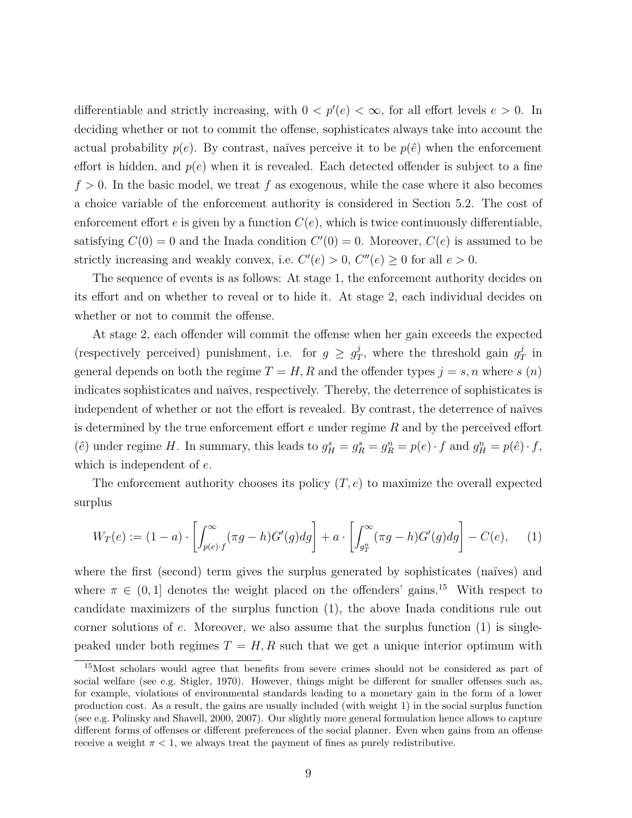differentiable and strictly increasing, with  $0 < p'(e) < \infty$ , for all effort levels  $e > 0$ . In deciding whether or not to commit the offense, sophisticates always take into account the actual probability  $p(e)$ . By contrast, naïves perceive it to be  $p(\hat{e})$  when the enforcement effort is hidden, and  $p(e)$  when it is revealed. Each detected offender is subject to a fine  $f > 0$ . In the basic model, we treat  $f$  as exogenous, while the case where it also becomes a choice variable of the enforcement authority is considered in Section [5.2.](#page-20-0) The cost of enforcement effort  $e$  is given by a function  $C(e)$ , which is twice continuously differentiable, satisfying  $C(0) = 0$  and the Inada condition  $C'(0) = 0$ . Moreover,  $C(e)$  is assumed to be strictly increasing and weakly convex, i.e.  $C'(e) > 0$ ,  $C''(e) \ge 0$  for all  $e > 0$ .

The sequence of events is as follows: At stage 1, the enforcement authority decides on its effort and on whether to reveal or to hide it. At stage 2, each individual decides on whether or not to commit the offense.

At stage 2, each offender will commit the offense when her gain exceeds the expected (respectively perceived) punishment, i.e. for  $g \geq g_{\eta}^{j}$  $j<sub>T</sub>$ , where the threshold gain  $g_I^j$  $_T^j$  in general depends on both the regime  $T = H, R$  and the offender types  $j = s, n$  where  $s(n)$ indicates sophisticates and naïves, respectively. Thereby, the deterrence of sophisticates is independent of whether or not the effort is revealed. By contrast, the deterrence of naïves is determined by the true enforcement effort *e* under regime *R* and by the perceived effort ( $\hat{e}$ ) under regime H. In summary, this leads to  $g_H^s = g_R^s = g_R^n = p(e) \cdot f$  and  $g_H^n = p(\hat{e}) \cdot f$ , which is independent of *e*.

The enforcement authority chooses its policy  $(T, e)$  to maximize the overall expected surplus

<span id="page-9-1"></span>
$$
W_T(e) := (1-a) \cdot \left[ \int_{p(e)\cdot f}^{\infty} (\pi g - h)G'(g)dg \right] + a \cdot \left[ \int_{g_T^m}^{\infty} (\pi g - h)G'(g)dg \right] - C(e), \quad (1)
$$

where the first (second) term gives the surplus generated by sophisticates (naïves) and where  $\pi \in (0,1]$  denotes the weight placed on the offenders' gains.<sup>[15](#page-9-0)</sup> With respect to candidate maximizers of the surplus function [\(1\)](#page-9-1), the above Inada conditions rule out corner solutions of *e*. Moreover, we also assume that the surplus function [\(1\)](#page-9-1) is singlepeaked under both regimes  $T = H, R$  such that we get a unique interior optimum with

<span id="page-9-0"></span><sup>15</sup>Most scholars would agree that benefits from severe crimes should not be considered as part of social welfare (see e.g. [Stigler, 1970\)](#page-46-8). However, things might be different for smaller offenses such as, for example, violations of environmental standards leading to a monetary gain in the form of a lower production cost. As a result, the gains are usually included (with weight 1) in the social surplus function (see e.g. [Polinsky and Shavell, 2000,](#page-46-7) [2007\)](#page-46-0). Our slightly more general formulation hence allows to capture different forms of offenses or different preferences of the social planner. Even when gains from an offense receive a weight  $\pi < 1$ , we always treat the payment of fines as purely redistributive.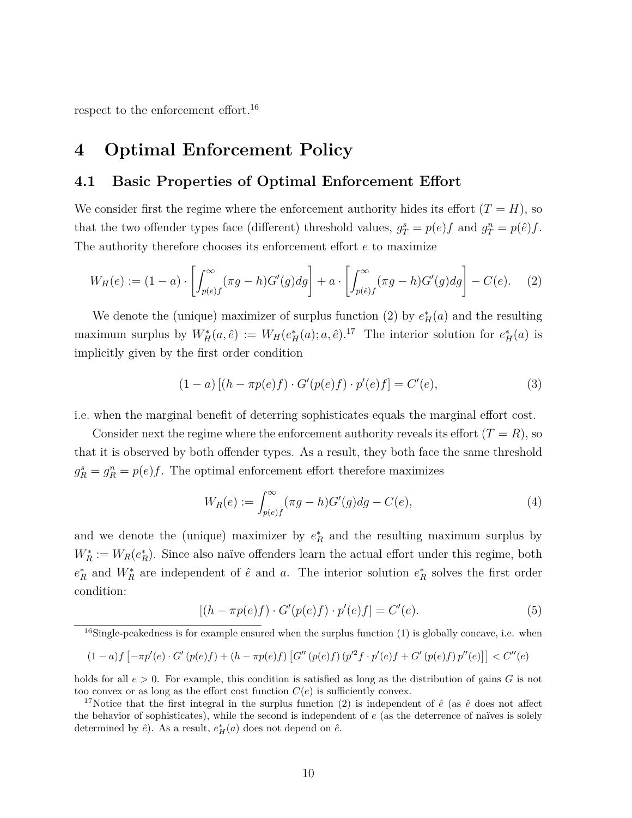respect to the enforcement effort.<sup>[16](#page-10-1)</sup>

# <span id="page-10-0"></span>**4 Optimal Enforcement Policy**

#### **4.1 Basic Properties of Optimal Enforcement Effort**

We consider first the regime where the enforcement authority hides its effort  $(T = H)$ , so that the two offender types face (different) threshold values,  $g_T^s = p(e)f$  and  $g_T^n = p(\hat{e})f$ . The authority therefore chooses its enforcement effort *e* to maximize

<span id="page-10-2"></span>
$$
W_H(e) := (1-a) \cdot \left[ \int_{p(e)f}^{\infty} (\pi g - h)G'(g)dg \right] + a \cdot \left[ \int_{p(\hat{e})f}^{\infty} (\pi g - h)G'(g)dg \right] - C(e). \tag{2}
$$

We denote the (unique) maximizer of surplus function [\(2\)](#page-10-2) by  $e_H^*(a)$  and the resulting maximum surplus by  $W_H^*(a, \hat{e}) := W_H(e_H^*(a); a, \hat{e})$ .<sup>[17](#page-10-3)</sup> The interior solution for  $e_H^*(a)$  is implicitly given by the first order condition

<span id="page-10-5"></span>
$$
(1-a) [(h - \pi p(e)f) \cdot G'(p(e)f) \cdot p'(e)f] = C'(e), \tag{3}
$$

i.e. when the marginal benefit of deterring sophisticates equals the marginal effort cost.

Consider next the regime where the enforcement authority reveals its effort  $(T = R)$ , so that it is observed by both offender types. As a result, they both face the same threshold  $g_R^s = g_R^n = p(e)f$ . The optimal enforcement effort therefore maximizes

<span id="page-10-4"></span>
$$
W_R(e) := \int_{p(e)f}^{\infty} (\pi g - h)G'(g)dg - C(e),
$$
\n(4)

and we denote the (unique) maximizer by  $e_R^*$  and the resulting maximum surplus by  $W_R^* := W_R(e_R^*)$ . Since also naïve offenders learn the actual effort under this regime, both  $e_R^*$  and  $W_R^*$  are independent of  $\hat{e}$  and  $\hat{a}$ . The interior solution  $e_R^*$  solves the first order condition:

<span id="page-10-6"></span>
$$
[(h - \pi p(e)f) \cdot G'(p(e)f) \cdot p'(e)f] = C'(e).
$$
 (5)

<span id="page-10-1"></span> $16$ Single-peakedness is for example ensured when the surplus function  $(1)$  is globally concave, i.e. when

$$
(1-a)f\left[-\pi p'(e) \cdot G'(p(e)f) + (h - \pi p(e)f)\left[G''(p(e)f) (p'^2 f \cdot p'(e)f + G'(p(e)f) p''(e)\right]\right] < C''(e)
$$

holds for all  $e > 0$ . For example, this condition is satisfied as long as the distribution of gains *G* is not too convex or as long as the effort cost function  $C(e)$  is sufficiently convex.

<span id="page-10-3"></span><sup>&</sup>lt;sup>17</sup>Notice that the first integral in the surplus function [\(2\)](#page-10-2) is independent of  $\hat{e}$  (as  $\hat{e}$  does not affect the behavior of sophisticates), while the second is independent of *e* (as the deterrence of naïves is solely determined by  $\hat{e}$ ). As a result,  $e^*_{H}(a)$  does not depend on  $\hat{e}$ .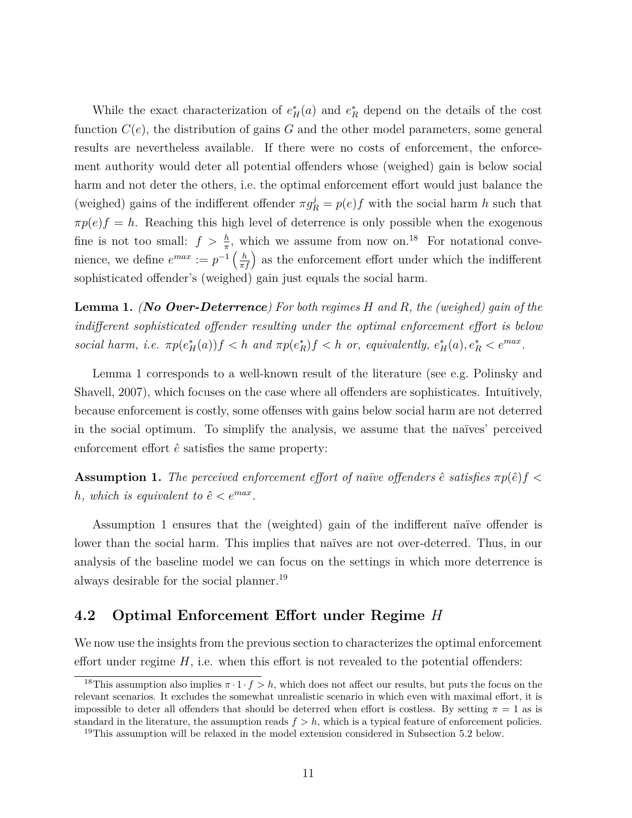While the exact characterization of  $e_H^*(a)$  and  $e_R^*$  depend on the details of the cost function *C*(*e*), the distribution of gains *G* and the other model parameters, some general results are nevertheless available. If there were no costs of enforcement, the enforcement authority would deter all potential offenders whose (weighed) gain is below social harm and not deter the others, i.e. the optimal enforcement effort would just balance the (weighed) gains of the indifferent offender  $\pi g_R^j = p(e)f$  with the social harm *h* such that  $\pi p(e)f = h$ . Reaching this high level of deterrence is only possible when the exogenous fine is not too small:  $f > \frac{h}{\pi}$ , which we assume from now on.<sup>[18](#page-11-0)</sup> For notational convenience, we define  $e^{max} := p^{-1} \left( \frac{h}{\pi f} \right)$  as the enforcement effort under which the indifferent sophisticated offender's (weighed) gain just equals the social harm.

<span id="page-11-1"></span>**Lemma 1.** *(No Over-Deterrence) For both regimes H and R, the (weighed) gain of the indifferent sophisticated offender resulting under the optimal enforcement effort is below* social harm, i.e.  $\pi p(e_H^*(a))f < h$  and  $\pi p(e_R^*)f < h$  or, equivalently,  $e_H^*(a), e_R^* < e^{max}$ .

Lemma [1](#page-11-1) corresponds to a well-known result of the literature (see e.g. [Polinsky and](#page-46-0) [Shavell, 2007\)](#page-46-0), which focuses on the case where all offenders are sophisticates. Intuitively, because enforcement is costly, some offenses with gains below social harm are not deterred in the social optimum. To simplify the analysis, we assume that the naïves' perceived enforcement effort  $\hat{e}$  satisfies the same property:

<span id="page-11-2"></span>**Assumption 1.** The perceived enforcement effort of naïve offenders  $\hat{e}$  satisfies  $\pi p(\hat{e})f$  < *h*, which is equivalent to  $\hat{e} < e^{max}$ .

Assumption [1](#page-11-2) ensures that the (weighted) gain of the indifferent naïve offender is lower than the social harm. This implies that naïves are not over-deterred. Thus, in our analysis of the baseline model we can focus on the settings in which more deterrence is always desirable for the social planner.[19](#page-11-3)

#### **4.2 Optimal Enforcement Effort under Regime** *H*

We now use the insights from the previous section to characterizes the optimal enforcement effort under regime  $H$ , i.e. when this effort is not revealed to the potential offenders:

<span id="page-11-0"></span><sup>&</sup>lt;sup>18</sup>This assumption also implies  $\pi \cdot 1 \cdot f > h$ , which does not affect our results, but puts the focus on the relevant scenarios. It excludes the somewhat unrealistic scenario in which even with maximal effort, it is impossible to deter all offenders that should be deterred when effort is costless. By setting  $\pi = 1$  as is standard in the literature, the assumption reads  $f > h$ , which is a typical feature of enforcement policies.

<span id="page-11-3"></span><sup>&</sup>lt;sup>19</sup>This assumption will be relaxed in the model extension considered in Subsection [5.2](#page-20-0) below.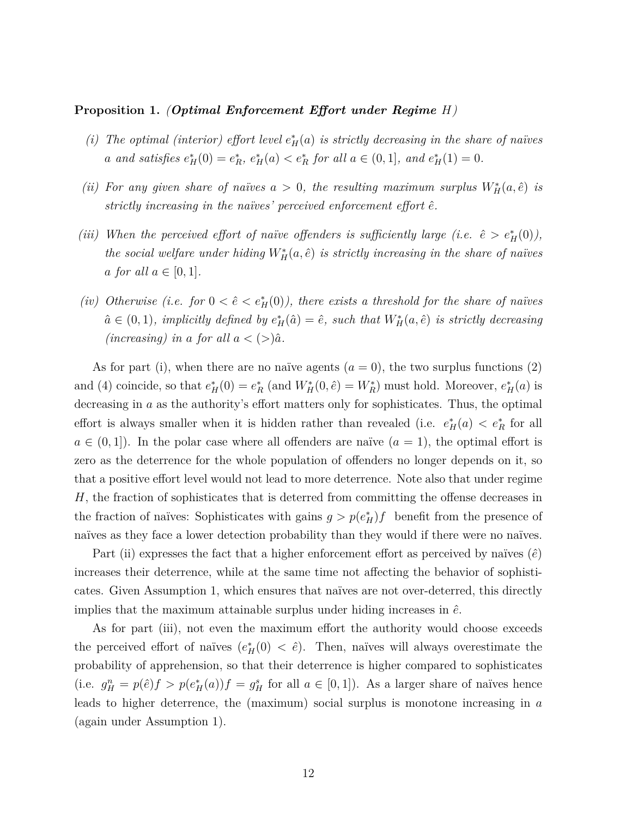#### <span id="page-12-0"></span>**Proposition 1.** *(Optimal Enforcement Effort under Regime H)*

- *(i)* The optimal (interior) effort level  $e^*_{H}(a)$  is strictly decreasing in the share of naïves *a and satisfies*  $e_H^*(0) = e_R^*$ *,*  $e_H^*(a) < e_R^*$  for all  $a \in (0,1]$ *, and*  $e_H^*(1) = 0$ *.*
- *(ii)* For any given share of naïves  $a > 0$ , the resulting maximum surplus  $W^*_{H}(a, \hat{e})$  *is strictly increasing in the naïves' perceived enforcement effort*  $\hat{e}$ .
- *(iii)* When the perceived effort of naïve offenders is sufficiently large (i.e.  $\hat{e} > e^*_{H}(0)$ ), *the social welfare under hiding*  $W_H^*(a, \hat{e})$  *is strictly increasing in the share of naïves*  $a$  *for all*  $a \in [0, 1]$ *.*
- *(iv) Otherwise (i.e. for*  $0 < \hat{e} < e^*_{H}(0)$ *), there exists a threshold for the share of naïves*  $\hat{a} \in (0,1)$ , *implicitly defined by*  $e_H^*(\hat{a}) = \hat{e}$ , *such that*  $W_H^*(a,\hat{e})$  *is strictly decreasing (increasing) in a for all*  $a < (>)\hat{a}$ *.*

As for part (i), when there are no naïve agents  $(a = 0)$ , the two surplus functions  $(2)$ and [\(4\)](#page-10-4) coincide, so that  $e_H^*(0) = e_R^*$  (and  $W_H^*(0, \hat{e}) = W_R^*$ ) must hold. Moreover,  $e_H^*(a)$  is decreasing in *a* as the authority's effort matters only for sophisticates. Thus, the optimal effort is always smaller when it is hidden rather than revealed (i.e.  $e_H^*(a) < e_R^*$  for all  $a \in (0,1]$ . In the polar case where all offenders are naïve  $(a = 1)$ , the optimal effort is zero as the deterrence for the whole population of offenders no longer depends on it, so that a positive effort level would not lead to more deterrence. Note also that under regime *H*, the fraction of sophisticates that is deterred from committing the offense decreases in the fraction of naïves: Sophisticates with gains  $g > p(e_H^*)f$  benefit from the presence of naïves as they face a lower detection probability than they would if there were no naïves.

Part (ii) expresses the fact that a higher enforcement effort as perceived by naïves  $(\hat{e})$ increases their deterrence, while at the same time not affecting the behavior of sophisticates. Given Assumption [1,](#page-11-2) which ensures that naïves are not over-deterred, this directly implies that the maximum attainable surplus under hiding increases in  $\hat{e}$ .

As for part (iii), not even the maximum effort the authority would choose exceeds the perceived effort of naïves  $(e^*_H(0) < \hat{e})$ . Then, naïves will always overestimate the probability of apprehension, so that their deterrence is higher compared to sophisticates (i.e.  $g_H^n = p(\hat{e})f > p(e_H^*(a))f = g_H^s$  for all  $a \in [0,1]$ ). As a larger share of naïves hence leads to higher deterrence, the (maximum) social surplus is monotone increasing in *a* (again under Assumption [1\)](#page-11-2).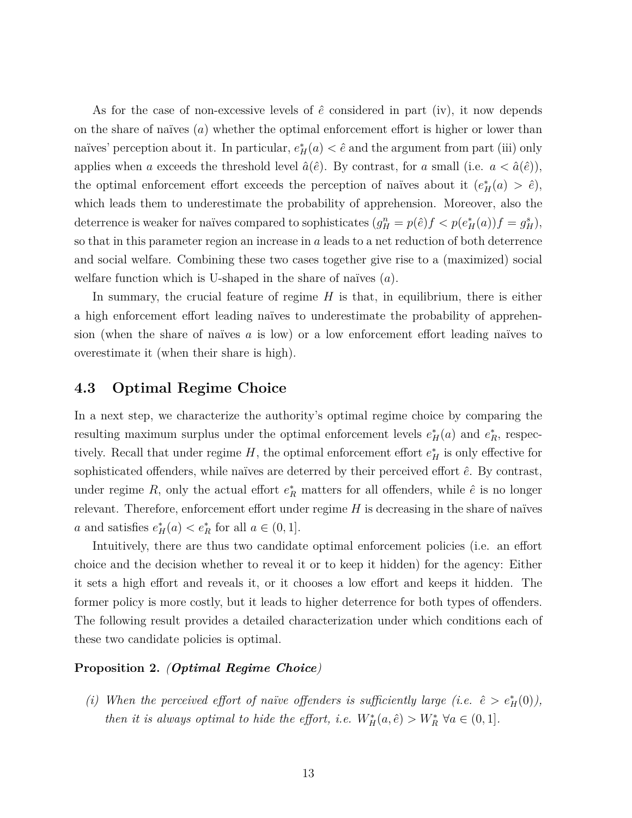As for the case of non-excessive levels of *e*ˆ considered in part (iv), it now depends on the share of naïves (*a*) whether the optimal enforcement effort is higher or lower than naïves' perception about it. In particular,  $e_H^*(a) < \hat{e}$  and the argument from part (iii) only applies when *a* exceeds the threshold level  $\hat{a}(\hat{e})$ . By contrast, for *a* small (i.e.  $a < \hat{a}(\hat{e})$ ), the optimal enforcement effort exceeds the perception of naïves about it  $(e^*_H(a) > \hat{e}),$ which leads them to underestimate the probability of apprehension. Moreover, also the deterrence is weaker for naïves compared to sophisticates  $(g_H^n = p(\hat{e})f < p(e_H^*(a))f = g_H^s$ , so that in this parameter region an increase in *a* leads to a net reduction of both deterrence and social welfare. Combining these two cases together give rise to a (maximized) social welfare function which is U-shaped in the share of naïves (*a*).

In summary, the crucial feature of regime *H* is that, in equilibrium, there is either a high enforcement effort leading naïves to underestimate the probability of apprehension (when the share of naïves *a* is low) or a low enforcement effort leading naïves to overestimate it (when their share is high).

#### **4.3 Optimal Regime Choice**

In a next step, we characterize the authority's optimal regime choice by comparing the resulting maximum surplus under the optimal enforcement levels  $e_H^*(a)$  and  $e_R^*$ , respectively. Recall that under regime  $H$ , the optimal enforcement effort  $e_H^*$  is only effective for sophisticated offenders, while naïves are deterred by their perceived effort  $\hat{e}$ . By contrast, under regime  $R$ , only the actual effort  $e_R^*$  matters for all offenders, while  $\hat{e}$  is no longer relevant. Therefore, enforcement effort under regime *H* is decreasing in the share of naïves *a* and satisfies  $e^*_{H}(a) < e^*_{R}$  for all  $a \in (0, 1]$ .

Intuitively, there are thus two candidate optimal enforcement policies (i.e. an effort choice and the decision whether to reveal it or to keep it hidden) for the agency: Either it sets a high effort and reveals it, or it chooses a low effort and keeps it hidden. The former policy is more costly, but it leads to higher deterrence for both types of offenders. The following result provides a detailed characterization under which conditions each of these two candidate policies is optimal.

#### <span id="page-13-0"></span>**Proposition 2.** *(Optimal Regime Choice)*

*(i)* When the perceived effort of naïve offenders is sufficiently large (i.e.  $\hat{e} > e^*_{H}(0)$ ), *then it is always optimal to hide the effort, i.e.*  $W^*_H(a, \hat{e}) > W^*_R \ \forall a \in (0, 1].$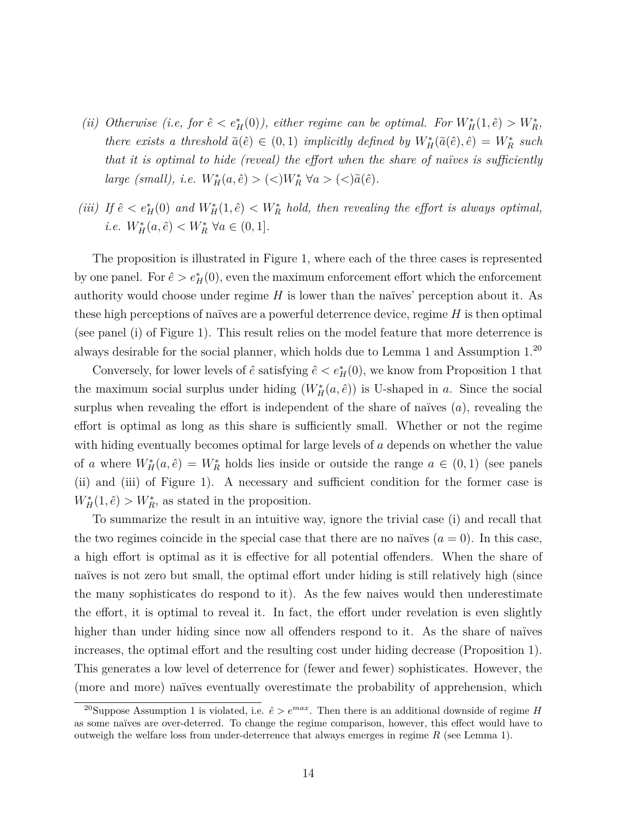- *(ii) Otherwise (i.e, for*  $\hat{e} < e^*_{H}(0)$ *), either regime can be optimal. For*  $W^*_{H}(1, \hat{e}) > W^*_{R}$ *, there exists a threshold*  $\tilde{a}(\hat{e}) \in (0,1)$  *implicitly defined by*  $W^*_{H}(\tilde{a}(\hat{e}), \hat{e}) = W^*_{R}$  *such that it is optimal to hide (reveal) the effort when the share of naïves is sufficiently large (small), i.e.*  $W_H^*(a, \hat{e}) > (<)W_R^* \ \forall a > (<) \tilde{a}(\hat{e})$ .
- *(iii)* If  $\hat{e} < e^*_{H}(0)$  and  $W^*_{H}(1, \hat{e}) < W^*_{R}$  hold, then revealing the effort is always optimal, *i.e.*  $W_H^*(a, \hat{e}) < W_R^* \ \forall a \in (0, 1].$

The proposition is illustrated in Figure [1,](#page-15-0) where each of the three cases is represented by one panel. For  $\hat{e} > e^*_{H}(0)$ , even the maximum enforcement effort which the enforcement authority would choose under regime *H* is lower than the naïves' perception about it. As these high perceptions of naïves are a powerful deterrence device, regime *H* is then optimal (see panel (i) of Figure [1\)](#page-15-0). This result relies on the model feature that more deterrence is always desirable for the social planner, which holds due to Lemma [1](#page-11-1) and Assumption [1.](#page-11-2)[20](#page-14-0)

Conversely, for lower levels of  $\hat{e}$  satisfying  $\hat{e} < e_H^*(0)$ , we know from Proposition [1](#page-12-0) that the maximum social surplus under hiding  $(W^*_H(a, \hat{e}))$  is U-shaped in *a*. Since the social surplus when revealing the effort is independent of the share of naïves (*a*), revealing the effort is optimal as long as this share is sufficiently small. Whether or not the regime with hiding eventually becomes optimal for large levels of *a* depends on whether the value of *a* where  $W^*_{H}(a, \hat{e}) = W^*_{R}$  holds lies inside or outside the range  $a \in (0, 1)$  (see panels (ii) and (iii) of Figure [1\)](#page-15-0). A necessary and sufficient condition for the former case is  $W_H^*(1, \hat{e}) > W_R^*$ , as stated in the proposition.

To summarize the result in an intuitive way, ignore the trivial case (i) and recall that the two regimes coincide in the special case that there are no naïves  $(a = 0)$ . In this case, a high effort is optimal as it is effective for all potential offenders. When the share of naïves is not zero but small, the optimal effort under hiding is still relatively high (since the many sophisticates do respond to it). As the few naives would then underestimate the effort, it is optimal to reveal it. In fact, the effort under revelation is even slightly higher than under hiding since now all offenders respond to it. As the share of naïves increases, the optimal effort and the resulting cost under hiding decrease (Proposition [1\)](#page-12-0). This generates a low level of deterrence for (fewer and fewer) sophisticates. However, the (more and more) naïves eventually overestimate the probability of apprehension, which

<span id="page-14-0"></span><sup>&</sup>lt;sup>20</sup>Suppose Assumption [1](#page-11-2) is violated, i.e.  $\hat{e} > e^{max}$ . Then there is an additional downside of regime *H* as some naïves are over-deterred. To change the regime comparison, however, this effect would have to outweigh the welfare loss from under-deterrence that always emerges in regime *R* (see Lemma [1\)](#page-11-1).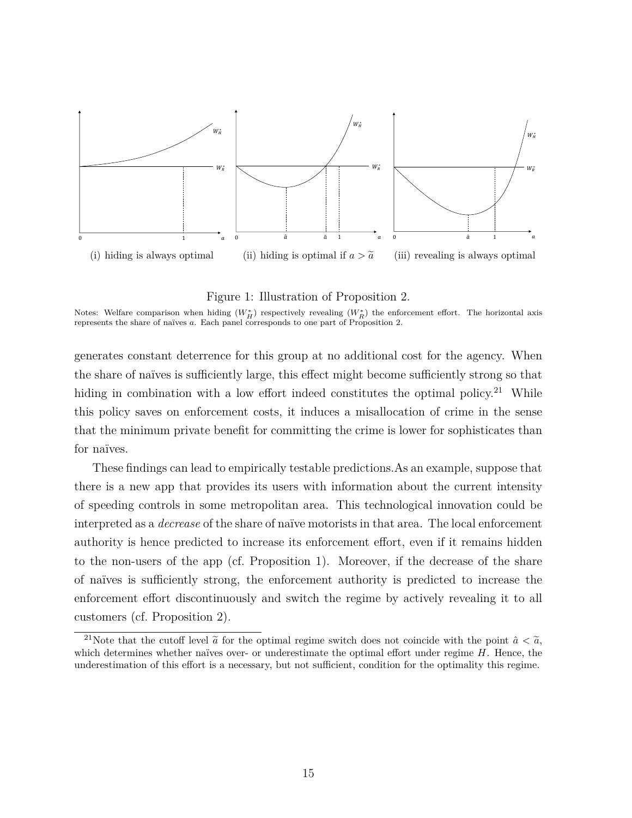<span id="page-15-0"></span>

Figure 1: Illustration of Proposition [2.](#page-13-0)

Notes: Welfare comparison when hiding  $(W_H^*)$  respectively revealing  $(W_R^*)$  the enforcement effort. The horizontal axis represents the share of naïves *a*. Each panel corresponds to one part of Proposition [2.](#page-13-0)

generates constant deterrence for this group at no additional cost for the agency. When the share of naïves is sufficiently large, this effect might become sufficiently strong so that hiding in combination with a low effort indeed constitutes the optimal policy.<sup>[21](#page-15-1)</sup> While this policy saves on enforcement costs, it induces a misallocation of crime in the sense that the minimum private benefit for committing the crime is lower for sophisticates than for naïves.

These findings can lead to empirically testable predictions.As an example, suppose that there is a new app that provides its users with information about the current intensity of speeding controls in some metropolitan area. This technological innovation could be interpreted as a *decrease* of the share of naïve motorists in that area. The local enforcement authority is hence predicted to increase its enforcement effort, even if it remains hidden to the non-users of the app (cf. Proposition [1\)](#page-12-0). Moreover, if the decrease of the share of naïves is sufficiently strong, the enforcement authority is predicted to increase the enforcement effort discontinuously and switch the regime by actively revealing it to all customers (cf. Proposition [2\)](#page-13-0).

<span id="page-15-1"></span><sup>&</sup>lt;sup>21</sup>Note that the cutoff level  $\tilde{a}$  for the optimal regime switch does not coincide with the point  $\hat{a} < \tilde{a}$ , which determines whether naïves over- or underestimate the optimal effort under regime *H*. Hence, the underestimation of this effort is a necessary, but not sufficient, condition for the optimality this regime.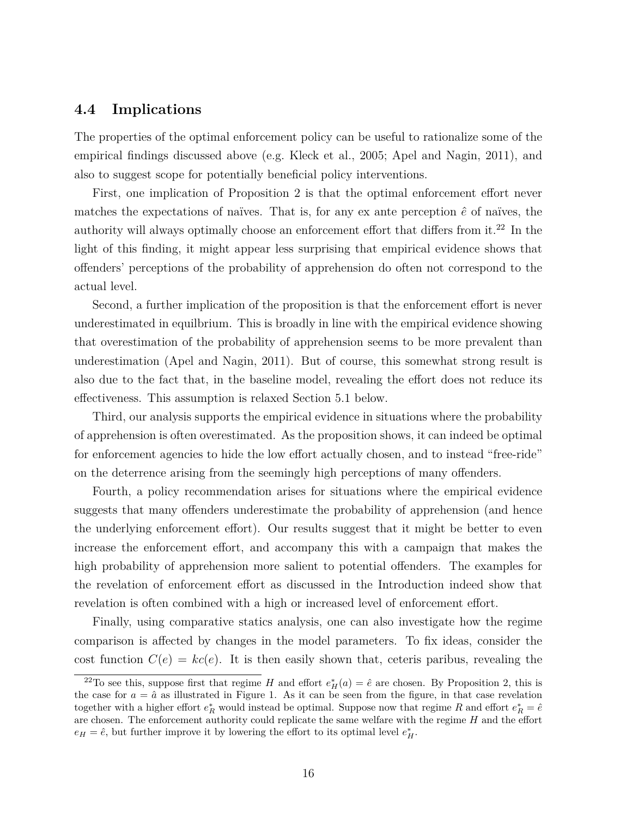#### **4.4 Implications**

The properties of the optimal enforcement policy can be useful to rationalize some of the empirical findings discussed above (e.g. [Kleck et al., 2005;](#page-45-0) [Apel and Nagin, 2011\)](#page-43-2), and also to suggest scope for potentially beneficial policy interventions.

First, one implication of Proposition [2](#page-13-0) is that the optimal enforcement effort never matches the expectations of naïves. That is, for any ex ante perception  $\hat{e}$  of naïves, the authority will always optimally choose an enforcement effort that differs from it.<sup>[22](#page-16-0)</sup> In the light of this finding, it might appear less surprising that empirical evidence shows that offenders' perceptions of the probability of apprehension do often not correspond to the actual level.

Second, a further implication of the proposition is that the enforcement effort is never underestimated in equilbrium. This is broadly in line with the empirical evidence showing that overestimation of the probability of apprehension seems to be more prevalent than underestimation [\(Apel and Nagin, 2011\)](#page-43-2). But of course, this somewhat strong result is also due to the fact that, in the baseline model, revealing the effort does not reduce its effectiveness. This assumption is relaxed Section [5.1](#page-17-1) below.

Third, our analysis supports the empirical evidence in situations where the probability of apprehension is often overestimated. As the proposition shows, it can indeed be optimal for enforcement agencies to hide the low effort actually chosen, and to instead "free-ride" on the deterrence arising from the seemingly high perceptions of many offenders.

Fourth, a policy recommendation arises for situations where the empirical evidence suggests that many offenders underestimate the probability of apprehension (and hence the underlying enforcement effort). Our results suggest that it might be better to even increase the enforcement effort, and accompany this with a campaign that makes the high probability of apprehension more salient to potential offenders. The examples for the revelation of enforcement effort as discussed in the Introduction indeed show that revelation is often combined with a high or increased level of enforcement effort.

Finally, using comparative statics analysis, one can also investigate how the regime comparison is affected by changes in the model parameters. To fix ideas, consider the cost function  $C(e) = kc(e)$ . It is then easily shown that, ceteris paribus, revealing the

<span id="page-16-0"></span><sup>&</sup>lt;sup>22</sup>To see this, suppose first that regime *H* and effort  $e_H^*(a) = \hat{e}$  are chosen. By Proposition [2,](#page-13-0) this is the case for  $a = \hat{a}$  as illustrated in Figure [1.](#page-15-0) As it can be seen from the figure, in that case revelation together with a higher effort  $e_R^*$  would instead be optimal. Suppose now that regime R and effort  $e_R^* = \hat{e}$ are chosen. The enforcement authority could replicate the same welfare with the regime *H* and the effort  $e_H = \hat{e}$ , but further improve it by lowering the effort to its optimal level  $e_H^*$ .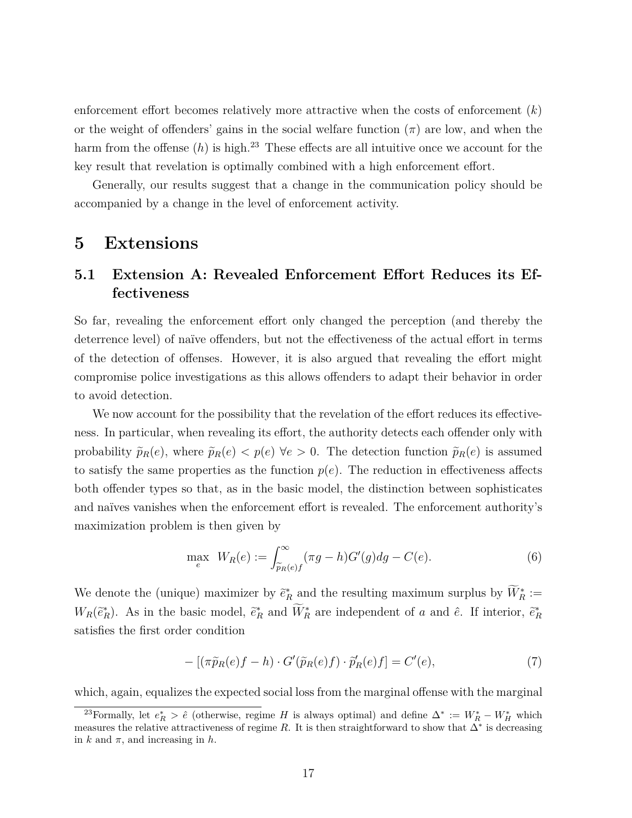enforcement effort becomes relatively more attractive when the costs of enforcement (*k*) or the weight of offenders' gains in the social welfare function  $(\pi)$  are low, and when the harm from the offense  $(h)$  is high.<sup>[23](#page-17-2)</sup> These effects are all intuitive once we account for the key result that revelation is optimally combined with a high enforcement effort.

Generally, our results suggest that a change in the communication policy should be accompanied by a change in the level of enforcement activity.

### <span id="page-17-0"></span>**5 Extensions**

### <span id="page-17-1"></span>**5.1 Extension A: Revealed Enforcement Effort Reduces its Effectiveness**

So far, revealing the enforcement effort only changed the perception (and thereby the deterrence level) of naïve offenders, but not the effectiveness of the actual effort in terms of the detection of offenses. However, it is also argued that revealing the effort might compromise police investigations as this allows offenders to adapt their behavior in order to avoid detection.

We now account for the possibility that the revelation of the effort reduces its effectiveness. In particular, when revealing its effort, the authority detects each offender only with probability  $\tilde{p}_R(e)$ , where  $\tilde{p}_R(e) < p(e) \ \forall e > 0$ . The detection function  $\tilde{p}_R(e)$  is assumed to satisfy the same properties as the function  $p(e)$ . The reduction in effectiveness affects both offender types so that, as in the basic model, the distinction between sophisticates and naïves vanishes when the enforcement effort is revealed. The enforcement authority's maximization problem is then given by

$$
\max_{e} W_R(e) := \int_{\widetilde{p}_R(e)f}^{\infty} (\pi g - h)G'(g)dg - C(e). \tag{6}
$$

We denote the (unique) maximizer by  $\tilde{e}_R^*$  and the resulting maximum surplus by  $\tilde{W}_R^* :=$  $W_R(\tilde{e}_R^*)$ . As in the basic model,  $\tilde{e}_R^*$  and  $\tilde{W}_R^*$  are independent of *a* and  $\hat{e}$ . If interior,  $\tilde{e}_R^*$ satisfies the first order condition

$$
-[(\pi \widetilde{p}_R(e)f - h) \cdot G'(\widetilde{p}_R(e)f) \cdot \widetilde{p}'_R(e)f] = C'(e),\tag{7}
$$

which, again, equalizes the expected social loss from the marginal offense with the marginal

<span id="page-17-2"></span><sup>&</sup>lt;sup>23</sup>Formally, let  $e_R^* > \hat{e}$  (otherwise, regime *H* is always optimal) and define  $\Delta^* := W_R^* - W_H^*$  which measures the relative attractiveness of regime R. It is then straightforward to show that  $\Delta^*$  is decreasing in  $k$  and  $\pi$ , and increasing in  $h$ .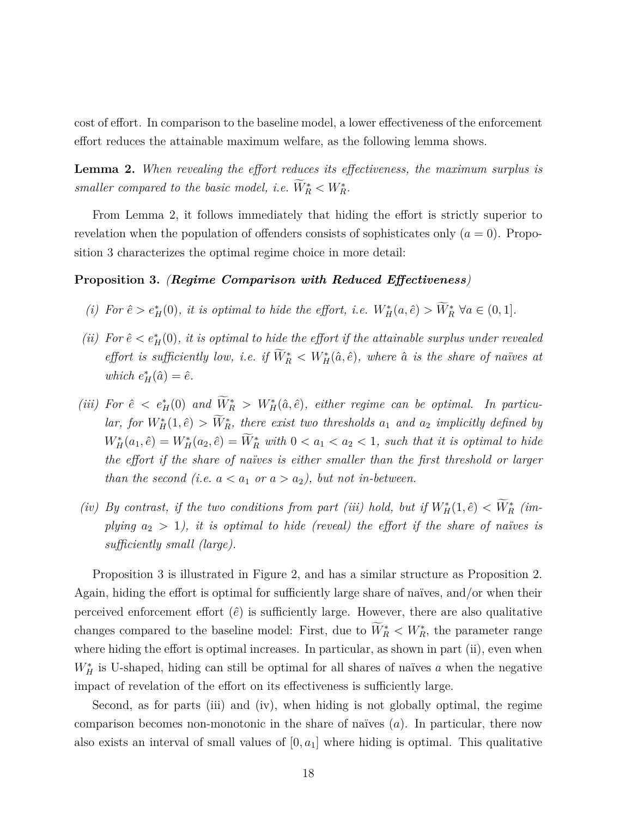cost of effort. In comparison to the baseline model, a lower effectiveness of the enforcement effort reduces the attainable maximum welfare, as the following lemma shows.

<span id="page-18-0"></span>**Lemma 2.** *When revealing the effort reduces its effectiveness, the maximum surplus is smaller compared to the basic model, i.e.*  $\widetilde{W}_R^* < W_R^*$ .

From Lemma [2,](#page-18-0) it follows immediately that hiding the effort is strictly superior to revelation when the population of offenders consists of sophisticates only  $(a = 0)$ . Proposition [3](#page-18-1) characterizes the optimal regime choice in more detail:

#### <span id="page-18-1"></span>**Proposition 3.** *(Regime Comparison with Reduced Effectiveness)*

- *(i)* For  $\hat{e} > e^*_{H}(0)$ , it is optimal to hide the effort, i.e.  $W^*_{H}(a, \hat{e}) > \widetilde{W}^*_{R} \ \forall a \in (0, 1].$
- (*ii*) For  $\hat{e} < e^*_{H}(0)$ , *it is optimal to hide the effort if the attainable surplus under revealed effort is sufficiently low, i.e. if*  $\widetilde{W}_R^* < W_H^*(\hat{a}, \hat{e})$ *, where*  $\hat{a}$  *is the share of naïves at*  $which e_H^*(\hat{a}) = \hat{e}.$
- *(iii)* For  $\hat{e} < e^*_{H}(0)$  and  $\widetilde{W}^*_{R} > W^*_{H}(\hat{a}, \hat{e}),$  either regime can be optimal. In particu- $Iar, for W^*_{H}(1, \hat{e}) > W^*_{R}$ , there exist two thresholds  $a_1$  and  $a_2$  implicitly defined by  $W_H^*(a_1, \hat{e}) = W_H^*(a_2, \hat{e}) = \tilde{W}_R^*$  with  $0 < a_1 < a_2 < 1$ , such that it is optimal to hide *the effort if the share of naïves is either smaller than the first threshold or larger than the second (i.e.*  $a < a_1$  *or*  $a > a_2$ *), but not in-between.*
- *(iv) By contrast, if the two conditions from part <i>(iii)* hold, but if  $W^*_H(1, \hat{e}) < W^*_R$  *(implying*  $a_2 > 1$ *), it is optimal to hide (reveal) the effort if the share of naïves is sufficiently small (large).*

Proposition [3](#page-18-1) is illustrated in Figure [2,](#page-19-0) and has a similar structure as Proposition [2.](#page-13-0) Again, hiding the effort is optimal for sufficiently large share of naïves, and/or when their perceived enforcement effort  $(\hat{e})$  is sufficiently large. However, there are also qualitative changes compared to the baseline model: First, due to  $W_R^*$   $\lt W_R^*$ , the parameter range where hiding the effort is optimal increases. In particular, as shown in part (ii), even when  $W_H^*$  is U-shaped, hiding can still be optimal for all shares of naïves  $a$  when the negative impact of revelation of the effort on its effectiveness is sufficiently large.

Second, as for parts (iii) and (iv), when hiding is not globally optimal, the regime comparison becomes non-monotonic in the share of naïves (*a*). In particular, there now also exists an interval of small values of  $[0, a_1]$  where hiding is optimal. This qualitative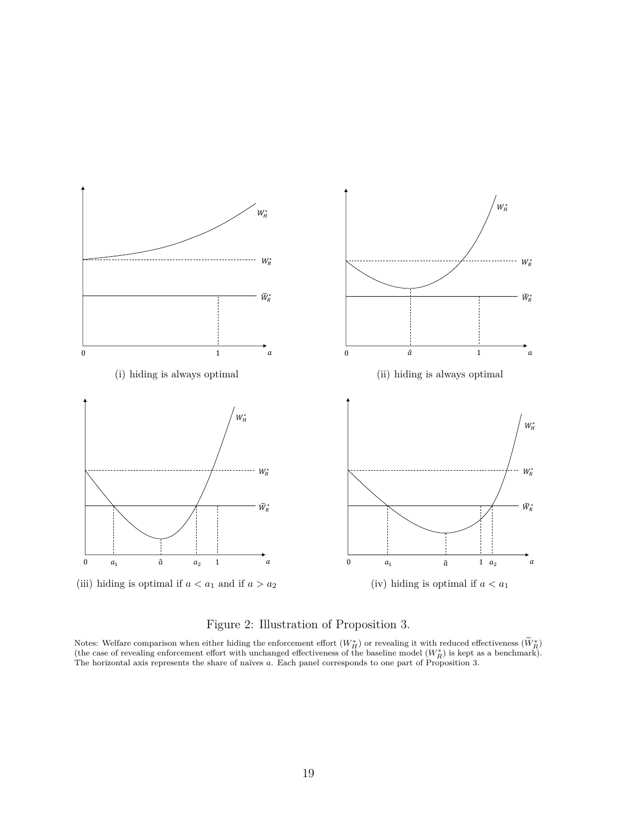<span id="page-19-0"></span>

Figure 2: Illustration of Proposition [3.](#page-18-1)

Notes: Welfare comparison when either hiding the enforcement effort  $(W^*_H)$  or revealing it with reduced effectiveness  $(W^*_R)$ <br>(the case of revealing enforcement effort with unchanged effectiveness of the baseline model (the case of revealing enforcement effort with unchanged effectiveness of the baseline model  $(W_R^*)$  is kept as a benchmark). The horizontal axis represents the share of naïves *a*. Each panel corresponds to one part of Proposition [3.](#page-18-1)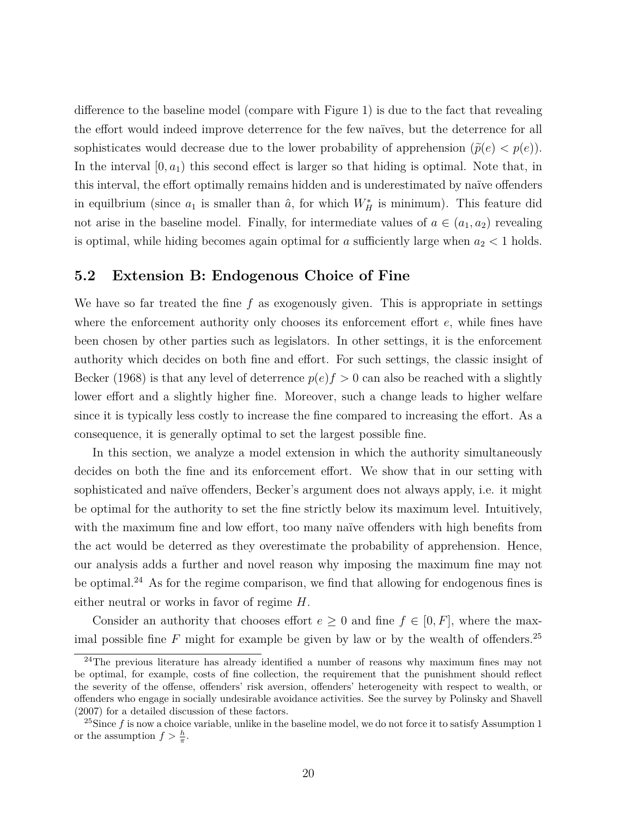difference to the baseline model (compare with Figure [1\)](#page-15-0) is due to the fact that revealing the effort would indeed improve deterrence for the few naïves, but the deterrence for all sophisticates would decrease due to the lower probability of apprehension  $(\tilde{p}(e) < p(e))$ . In the interval  $[0, a_1)$  this second effect is larger so that hiding is optimal. Note that, in this interval, the effort optimally remains hidden and is underestimated by naïve offenders in equilbrium (since  $a_1$  is smaller than  $\hat{a}$ , for which  $W_H^*$  is minimum). This feature did not arise in the baseline model. Finally, for intermediate values of  $a \in (a_1, a_2)$  revealing is optimal, while hiding becomes again optimal for  $a$  sufficiently large when  $a_2 < 1$  holds.

#### <span id="page-20-0"></span>**5.2 Extension B: Endogenous Choice of Fine**

We have so far treated the fine *f* as exogenously given. This is appropriate in settings where the enforcement authority only chooses its enforcement effort *e*, while fines have been chosen by other parties such as legislators. In other settings, it is the enforcement authority which decides on both fine and effort. For such settings, the classic insight of [Becker](#page-43-0) [\(1968\)](#page-43-0) is that any level of deterrence  $p(e)f > 0$  can also be reached with a slightly lower effort and a slightly higher fine. Moreover, such a change leads to higher welfare since it is typically less costly to increase the fine compared to increasing the effort. As a consequence, it is generally optimal to set the largest possible fine.

In this section, we analyze a model extension in which the authority simultaneously decides on both the fine and its enforcement effort. We show that in our setting with sophisticated and naïve offenders, Becker's argument does not always apply, i.e. it might be optimal for the authority to set the fine strictly below its maximum level. Intuitively, with the maximum fine and low effort, too many naïve offenders with high benefits from the act would be deterred as they overestimate the probability of apprehension. Hence, our analysis adds a further and novel reason why imposing the maximum fine may not be optimal.<sup>[24](#page-20-1)</sup> As for the regime comparison, we find that allowing for endogenous fines is either neutral or works in favor of regime *H*.

Consider an authority that chooses effort  $e \geq 0$  and fine  $f \in [0, F]$ , where the maximal possible fine  $F$  might for example be given by law or by the wealth of offenders.<sup>[25](#page-20-2)</sup>

<span id="page-20-1"></span> $24$ The previous literature has already identified a number of reasons why maximum fines may not be optimal, for example, costs of fine collection, the requirement that the punishment should reflect the severity of the offense, offenders' risk aversion, offenders' heterogeneity with respect to wealth, or offenders who engage in socially undesirable avoidance activities. See the survey by [Polinsky and Shavell](#page-46-0) [\(2007\)](#page-46-0) for a detailed discussion of these factors.

<span id="page-20-2"></span><sup>&</sup>lt;sup>25</sup>Since f is now a choice variable, unlike in the baseline model, we do not force it to satisfy Assumption [1](#page-11-2) or the assumption  $f > \frac{h}{\pi}$ .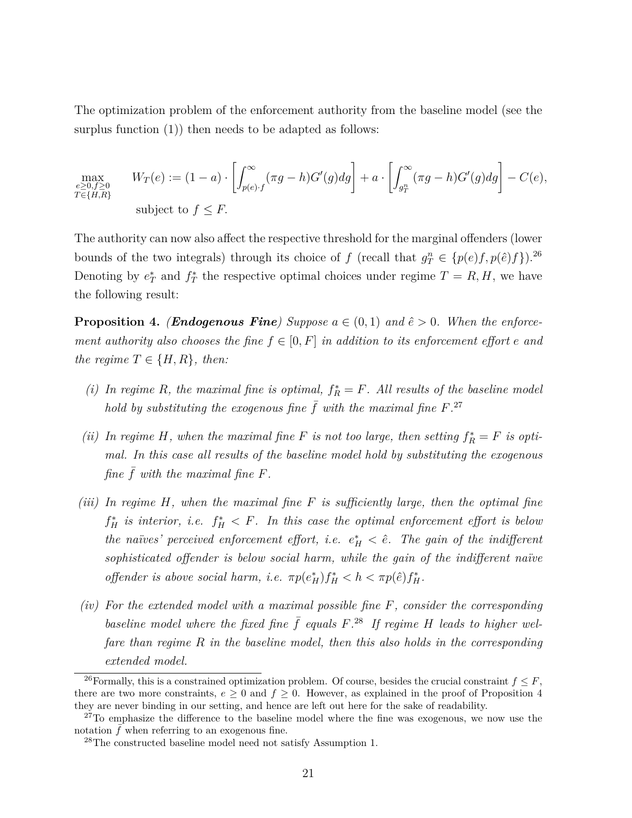The optimization problem of the enforcement authority from the baseline model (see the surplus function [\(1\)](#page-9-1)) then needs to be adapted as follows:

$$
\max_{\substack{e \ge 0, f \ge 0 \\ T \in \{H, R\}}} W_T(e) := (1 - a) \cdot \left[ \int_{p(e) \cdot f}^{\infty} (\pi g - h) G'(g) dg \right] + a \cdot \left[ \int_{g^n_T}^{\infty} (\pi g - h) G'(g) dg \right] - C(e),
$$
\nsubject to  $f \le F$ .

The authority can now also affect the respective threshold for the marginal offenders (lower bounds of the two integrals) through its choice of *f* (recall that  $g_T^n \in \{p(e)f, p(\hat{e})f\}$ ).<sup>[26](#page-21-0)</sup> Denoting by  $e_T^*$  and  $f_T^*$  the respective optimal choices under regime  $T = R, H$ , we have the following result:

<span id="page-21-3"></span>**Proposition 4.** *(Endogenous Fine)* Suppose  $a \in (0,1)$  and  $\hat{e} > 0$ *. When the enforcement authority also chooses the fine*  $f \in [0, F]$  *in addition to its enforcement effort e and the regime*  $T \in \{H, R\}$ *, then:* 

- *(i)* In regime R, the maximal fine is optimal,  $f_R^* = F$ . All results of the baseline model *hold by substituting the exogenous fine*  $\bar{f}$  *with the maximal fine*  $F^{27}$  $F^{27}$  $F^{27}$
- *(ii)* In regime *H*, when the maximal fine *F* is not too large, then setting  $f_R^* = F$  is opti*mal. In this case all results of the baseline model hold by substituting the exogenous fine*  $\bar{f}$  *with the maximal fine*  $F$ *.*
- *(iii) In regime H, when the maximal fine F is sufficiently large, then the optimal fine*  $f_H^*$  *is interior, i.e.*  $f_H^* < F$ . In this case the optimal enforcement effort is below *the naïves' perceived enforcement effort, i.e.*  $e_H^* < \hat{e}$ . The gain of the indifferent *sophisticated offender is below social harm, while the gain of the indifferent naïve offender is above social harm, i.e.*  $\pi p(e_H^*) f_H^* < h < \pi p(\hat{e}) f_H^*$ .
- *(iv) For the extended model with a maximal possible fine F, consider the corresponding baseline model where the fixed fine*  $\bar{f}$  *equals*  $F^{28}$  $F^{28}$  $F^{28}$  *If regime H leads* to *higher* wel*fare than regime R in the baseline model, then this also holds in the corresponding extended model.*

<span id="page-21-0"></span><sup>&</sup>lt;sup>26</sup>Formally, this is a constrained optimization problem. Of course, besides the crucial constraint  $f \leq F$ , there are two more constraints,  $e \geq 0$  and  $f \geq 0$ . However, as explained in the proof of Proposition [4](#page-21-3) they are never binding in our setting, and hence are left out here for the sake of readability.

<span id="page-21-1"></span> $27$ To emphasize the difference to the baseline model where the fine was exogenous, we now use the notation  $\bar{f}$  when referring to an exogenous fine.

<span id="page-21-2"></span><sup>28</sup>The constructed baseline model need not satisfy Assumption [1.](#page-11-2)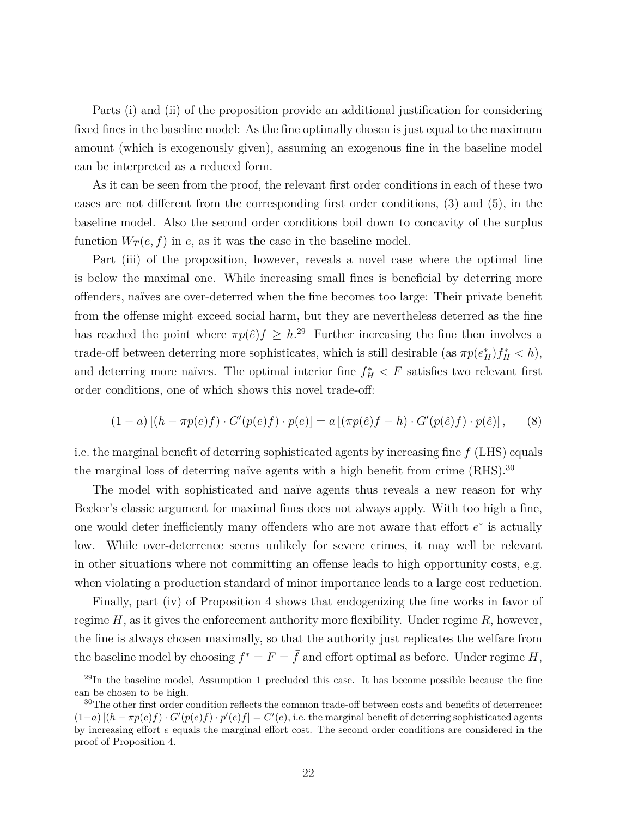Parts (i) and (ii) of the proposition provide an additional justification for considering fixed fines in the baseline model: As the fine optimally chosen is just equal to the maximum amount (which is exogenously given), assuming an exogenous fine in the baseline model can be interpreted as a reduced form.

As it can be seen from the proof, the relevant first order conditions in each of these two cases are not different from the corresponding first order conditions, [\(3\)](#page-10-5) and [\(5\)](#page-10-6), in the baseline model. Also the second order conditions boil down to concavity of the surplus function  $W_T(e, f)$  in  $e$ , as it was the case in the baseline model.

Part (iii) of the proposition, however, reveals a novel case where the optimal fine is below the maximal one. While increasing small fines is beneficial by deterring more offenders, naïves are over-deterred when the fine becomes too large: Their private benefit from the offense might exceed social harm, but they are nevertheless deterred as the fine has reached the point where  $\pi p(\hat{e}) f \geq h^{29}$  $\pi p(\hat{e}) f \geq h^{29}$  $\pi p(\hat{e}) f \geq h^{29}$  Further increasing the fine then involves a trade-off between deterring more sophisticates, which is still desirable (as  $\pi p(e_H^*) f_H^* < h$ ), and deterring more naïves. The optimal interior fine  $f_H^* < F$  satisfies two relevant first order conditions, one of which shows this novel trade-off:

$$
(1-a) [(h - \pi p(e)f) \cdot G'(p(e)f) \cdot p(e)] = a [(\pi p(\hat{e})f - h) \cdot G'(p(\hat{e})f) \cdot p(\hat{e})], \quad (8)
$$

i.e. the marginal benefit of deterring sophisticated agents by increasing fine *f* (LHS) equals the marginal loss of deterring naïve agents with a high benefit from crime (RHS).<sup>[30](#page-22-1)</sup>

The model with sophisticated and naïve agents thus reveals a new reason for why Becker's classic argument for maximal fines does not always apply. With too high a fine, one would deter inefficiently many offenders who are not aware that effort  $e^*$  is actually low. While over-deterrence seems unlikely for severe crimes, it may well be relevant in other situations where not committing an offense leads to high opportunity costs, e.g. when violating a production standard of minor importance leads to a large cost reduction.

Finally, part (iv) of Proposition [4](#page-21-3) shows that endogenizing the fine works in favor of regime *H*, as it gives the enforcement authority more flexibility. Under regime *R*, however, the fine is always chosen maximally, so that the authority just replicates the welfare from the baseline model by choosing  $f^* = F = \bar{f}$  and effort optimal as before. Under regime *H*,

<span id="page-22-0"></span> $\frac{29}{\text{In the baseline model, Assumption 1}$  $\frac{29}{\text{In the baseline model, Assumption 1}$  $\frac{29}{\text{In the baseline model, Assumption 1}$  precluded this case. It has become possible because the fine can be chosen to be high.

<span id="page-22-1"></span> $30$ The other first order condition reflects the common trade-off between costs and benefits of deterrence:  $(1-a)$   $[(h - \pi p(e)f) \cdot G'(p(e)f) \cdot p'(e)f] = C'(e)$ , i.e. the marginal benefit of deterring sophisticated agents by increasing effort *e* equals the marginal effort cost. The second order conditions are considered in the proof of Proposition [4.](#page-21-3)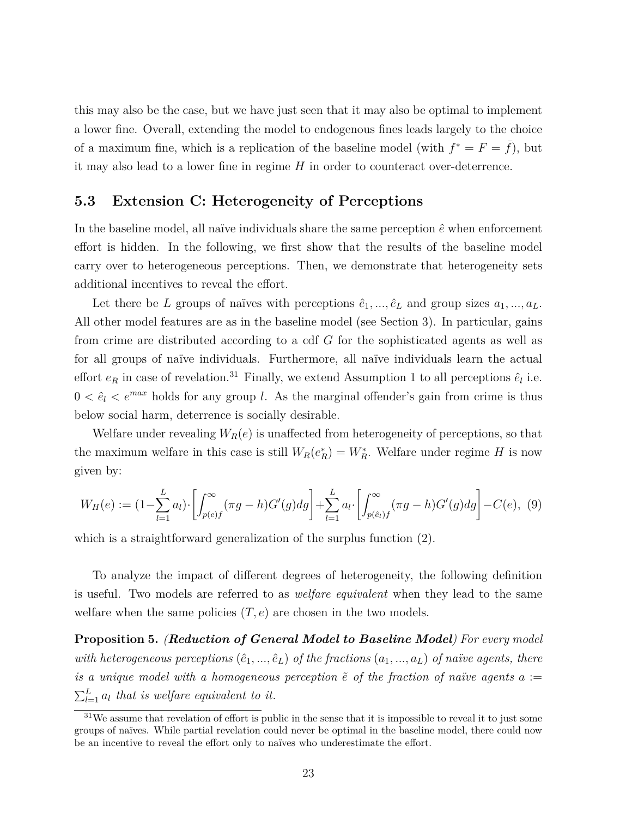this may also be the case, but we have just seen that it may also be optimal to implement a lower fine. Overall, extending the model to endogenous fines leads largely to the choice of a maximum fine, which is a replication of the baseline model (with  $f^* = F = \overline{f}$ ), but it may also lead to a lower fine in regime *H* in order to counteract over-deterrence.

#### <span id="page-23-0"></span>**5.3 Extension C: Heterogeneity of Perceptions**

In the baseline model, all naïve individuals share the same perception  $\hat{e}$  when enforcement effort is hidden. In the following, we first show that the results of the baseline model carry over to heterogeneous perceptions. Then, we demonstrate that heterogeneity sets additional incentives to reveal the effort.

Let there be *L* groups of naïves with perceptions  $\hat{e}_1, \ldots, \hat{e}_L$  and group sizes  $a_1, \ldots, a_L$ . All other model features are as in the baseline model (see Section [3\)](#page-8-0). In particular, gains from crime are distributed according to a cdf *G* for the sophisticated agents as well as for all groups of naïve individuals. Furthermore, all naïve individuals learn the actual effort  $e_R$  in case of revelation.<sup>[31](#page-23-1)</sup> Finally, we extend Assumption [1](#page-11-2) to all perceptions  $\hat{e}_l$  i.e.  $0 < \hat{e}_l < e^{max}$  holds for any group *l*. As the marginal offender's gain from crime is thus below social harm, deterrence is socially desirable.

Welfare under revealing  $W_R(e)$  is unaffected from heterogeneity of perceptions, so that the maximum welfare in this case is still  $W_R(e_R^*) = W_R^*$ . Welfare under regime *H* is now given by:

<span id="page-23-3"></span>
$$
W_H(e) := (1 - \sum_{l=1}^L a_l) \cdot \left[ \int_{p(e)f}^{\infty} (\pi g - h) G'(g) dg \right] + \sum_{l=1}^L a_l \cdot \left[ \int_{p(\hat{e}_l)f}^{\infty} (\pi g - h) G'(g) dg \right] - C(e), \tag{9}
$$

which is a straightforward generalization of the surplus function [\(2\)](#page-10-2).

To analyze the impact of different degrees of heterogeneity, the following definition is useful. Two models are referred to as *welfare equivalent* when they lead to the same welfare when the same policies  $(T, e)$  are chosen in the two models.

<span id="page-23-2"></span>**Proposition 5.** *(Reduction of General Model to Baseline Model) For every model with heterogeneous perceptions*  $(\hat{e}_1, ..., \hat{e}_L)$  *of the fractions*  $(a_1, ..., a_L)$  *of naïve agents, there is a unique model with a homogeneous perception*  $\tilde{e}$  *of the fraction of naïve agents*  $a :=$  $\sum_{l=1}^{L} a_l$  *that is welfare equivalent to it.* 

<span id="page-23-1"></span> $31\text{We assume that revelation of effort is public in the sense that it is impossible to reveal it to just some.}$ groups of naïves. While partial revelation could never be optimal in the baseline model, there could now be an incentive to reveal the effort only to naïves who underestimate the effort.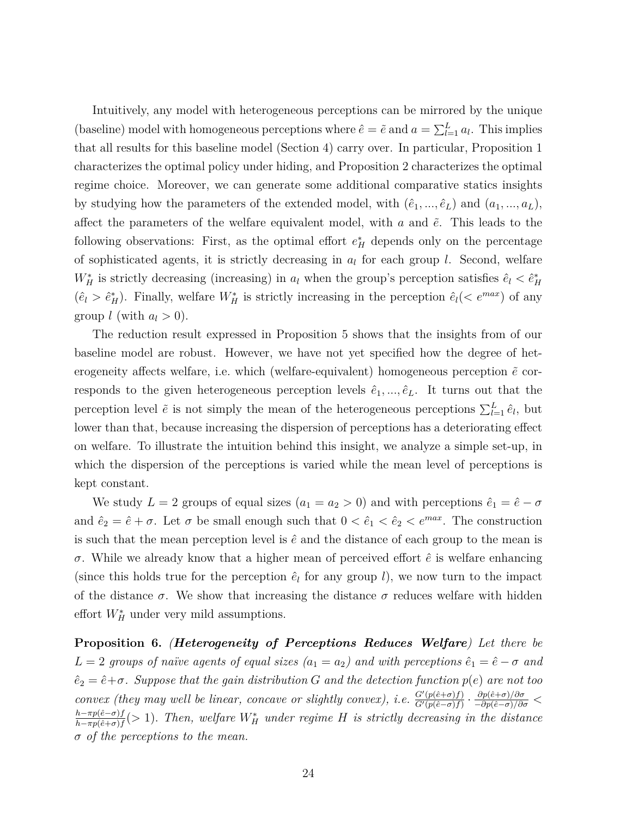Intuitively, any model with heterogeneous perceptions can be mirrored by the unique (baseline) model with homogeneous perceptions where  $\hat{e} = \tilde{e}$  and  $a = \sum_{l=1}^{L} a_l$ . This implies that all results for this baseline model (Section [4\)](#page-10-0) carry over. In particular, Proposition [1](#page-12-0) characterizes the optimal policy under hiding, and Proposition [2](#page-13-0) characterizes the optimal regime choice. Moreover, we can generate some additional comparative statics insights by studying how the parameters of the extended model, with  $(\hat{e}_1, ..., \hat{e}_L)$  and  $(a_1, ..., a_L)$ , affect the parameters of the welfare equivalent model, with *a* and  $\tilde{e}$ . This leads to the following observations: First, as the optimal effort  $e_H^*$  depends only on the percentage of sophisticated agents, it is strictly decreasing in *a<sup>l</sup>* for each group *l*. Second, welfare  $W_H^*$  is strictly decreasing (increasing) in  $a_l$  when the group's perception satisfies  $\hat{e}_l < \hat{e}_H^*$  $(\hat{e}_l > \hat{e}_H^*)$ . Finally, welfare  $W_H^*$  is strictly increasing in the perception  $\hat{e}_l$ ( $\lt e^{max}$ ) of any group *l* (with  $a_l > 0$ ).

The reduction result expressed in Proposition [5](#page-23-2) shows that the insights from of our baseline model are robust. However, we have not yet specified how the degree of heterogeneity affects welfare, i.e. which (welfare-equivalent) homogeneous perception  $\tilde{e}$  corresponds to the given heterogeneous perception levels  $\hat{e}_1, \ldots, \hat{e}_L$ . It turns out that the perception level  $\tilde{e}$  is not simply the mean of the heterogeneous perceptions  $\sum_{l=1}^{L} \hat{e}_l$ , but lower than that, because increasing the dispersion of perceptions has a deteriorating effect on welfare. To illustrate the intuition behind this insight, we analyze a simple set-up, in which the dispersion of the perceptions is varied while the mean level of perceptions is kept constant.

We study  $L = 2$  groups of equal sizes  $(a_1 = a_2 > 0)$  and with perceptions  $\hat{e}_1 = \hat{e} - \sigma$ and  $\hat{e}_2 = \hat{e} + \sigma$ . Let  $\sigma$  be small enough such that  $0 < \hat{e}_1 < \hat{e}_2 < e^{max}$ . The construction is such that the mean perception level is  $\hat{e}$  and the distance of each group to the mean is *σ*. While we already know that a higher mean of perceived effort  $\hat{e}$  is welfare enhancing (since this holds true for the perception  $\hat{e}_l$  for any group *l*), we now turn to the impact of the distance  $\sigma$ . We show that increasing the distance  $\sigma$  reduces welfare with hidden effort  $W_H^*$  under very mild assumptions.

<span id="page-24-0"></span>**Proposition 6.** *(Heterogeneity of Perceptions Reduces Welfare) Let there be*  $L = 2$  *groups of naïve agents of equal sizes*  $(a_1 = a_2)$  *and with perceptions*  $\hat{e}_1 = \hat{e} - \sigma$  *and*  $\hat{e}_2 = \hat{e} + \sigma$ *. Suppose that the gain distribution G* and the detection function  $p(e)$  are not too *convex (they may well be linear, concave or slightly convex), i.e.*  $\frac{G'(p(\hat{e}+\sigma)f)}{G'(p(\hat{e}-\sigma)f)}$  $\frac{G'(p(\hat{e}+\sigma)f)}{G'(p(\hat{e}-\sigma)f)}\cdot\frac{\partial p(\hat{e}+\sigma)/\partial\sigma}{-\partial p(\hat{e}-\sigma)/\partial\sigma} < 0$  $h-\pi p(\hat{e}-\sigma)f$  $\frac{h-\pi p(\hat{e}-\sigma)f}{h-\pi p(\hat{e}+\sigma)f}$  (> 1). Then, welfare  $W_H^*$  under regime *H* is strictly decreasing in the distance *σ of the perceptions to the mean.*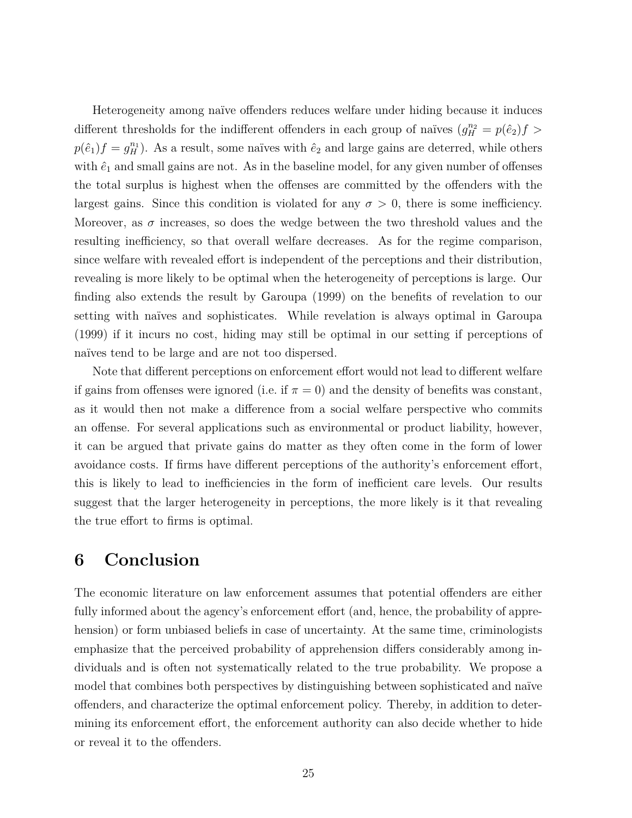Heterogeneity among naïve offenders reduces welfare under hiding because it induces different thresholds for the indifferent offenders in each group of naïves  $(g_H^{n_2} = p(\hat{e}_2)f >$  $p(\hat{e}_1)f = g_H^{n_1}$ ). As a result, some naïves with  $\hat{e}_2$  and large gains are deterred, while others with  $\hat{e}_1$  and small gains are not. As in the baseline model, for any given number of offenses the total surplus is highest when the offenses are committed by the offenders with the largest gains. Since this condition is violated for any  $\sigma > 0$ , there is some inefficiency. Moreover, as  $\sigma$  increases, so does the wedge between the two threshold values and the resulting inefficiency, so that overall welfare decreases. As for the regime comparison, since welfare with revealed effort is independent of the perceptions and their distribution, revealing is more likely to be optimal when the heterogeneity of perceptions is large. Our finding also extends the result by [Garoupa](#page-44-0) [\(1999\)](#page-44-0) on the benefits of revelation to our setting with naïves and sophisticates. While revelation is always optimal in [Garoupa](#page-44-0) [\(1999\)](#page-44-0) if it incurs no cost, hiding may still be optimal in our setting if perceptions of naïves tend to be large and are not too dispersed.

Note that different perceptions on enforcement effort would not lead to different welfare if gains from offenses were ignored (i.e. if  $\pi = 0$ ) and the density of benefits was constant, as it would then not make a difference from a social welfare perspective who commits an offense. For several applications such as environmental or product liability, however, it can be argued that private gains do matter as they often come in the form of lower avoidance costs. If firms have different perceptions of the authority's enforcement effort, this is likely to lead to inefficiencies in the form of inefficient care levels. Our results suggest that the larger heterogeneity in perceptions, the more likely is it that revealing the true effort to firms is optimal.

## <span id="page-25-0"></span>**6 Conclusion**

The economic literature on law enforcement assumes that potential offenders are either fully informed about the agency's enforcement effort (and, hence, the probability of apprehension) or form unbiased beliefs in case of uncertainty. At the same time, criminologists emphasize that the perceived probability of apprehension differs considerably among individuals and is often not systematically related to the true probability. We propose a model that combines both perspectives by distinguishing between sophisticated and naïve offenders, and characterize the optimal enforcement policy. Thereby, in addition to determining its enforcement effort, the enforcement authority can also decide whether to hide or reveal it to the offenders.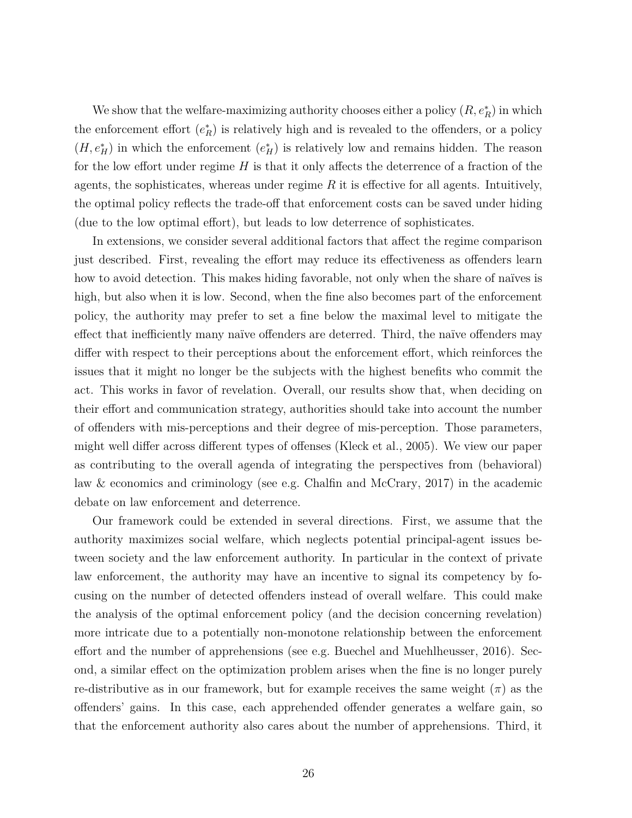We show that the welfare-maximizing authority chooses either a policy  $(R, e_R^*)$  in which the enforcement effort  $(e_R^*)$  is relatively high and is revealed to the offenders, or a policy  $(H, e_H^*)$  in which the enforcement  $(e_H^*)$  is relatively low and remains hidden. The reason for the low effort under regime *H* is that it only affects the deterrence of a fraction of the agents, the sophisticates, whereas under regime *R* it is effective for all agents. Intuitively, the optimal policy reflects the trade-off that enforcement costs can be saved under hiding (due to the low optimal effort), but leads to low deterrence of sophisticates.

In extensions, we consider several additional factors that affect the regime comparison just described. First, revealing the effort may reduce its effectiveness as offenders learn how to avoid detection. This makes hiding favorable, not only when the share of naïves is high, but also when it is low. Second, when the fine also becomes part of the enforcement policy, the authority may prefer to set a fine below the maximal level to mitigate the effect that inefficiently many naïve offenders are deterred. Third, the naïve offenders may differ with respect to their perceptions about the enforcement effort, which reinforces the issues that it might no longer be the subjects with the highest benefits who commit the act. This works in favor of revelation. Overall, our results show that, when deciding on their effort and communication strategy, authorities should take into account the number of offenders with mis-perceptions and their degree of mis-perception. Those parameters, might well differ across different types of offenses [\(Kleck et al., 2005\)](#page-45-0). We view our paper as contributing to the overall agenda of integrating the perspectives from (behavioral) law & economics and criminology (see e.g. [Chalfin and McCrary, 2017\)](#page-44-5) in the academic debate on law enforcement and deterrence.

Our framework could be extended in several directions. First, we assume that the authority maximizes social welfare, which neglects potential principal-agent issues between society and the law enforcement authority. In particular in the context of private law enforcement, the authority may have an incentive to signal its competency by focusing on the number of detected offenders instead of overall welfare. This could make the analysis of the optimal enforcement policy (and the decision concerning revelation) more intricate due to a potentially non-monotone relationship between the enforcement effort and the number of apprehensions (see e.g. [Buechel and Muehlheusser, 2016\)](#page-44-12). Second, a similar effect on the optimization problem arises when the fine is no longer purely re-distributive as in our framework, but for example receives the same weight (*π*) as the offenders' gains. In this case, each apprehended offender generates a welfare gain, so that the enforcement authority also cares about the number of apprehensions. Third, it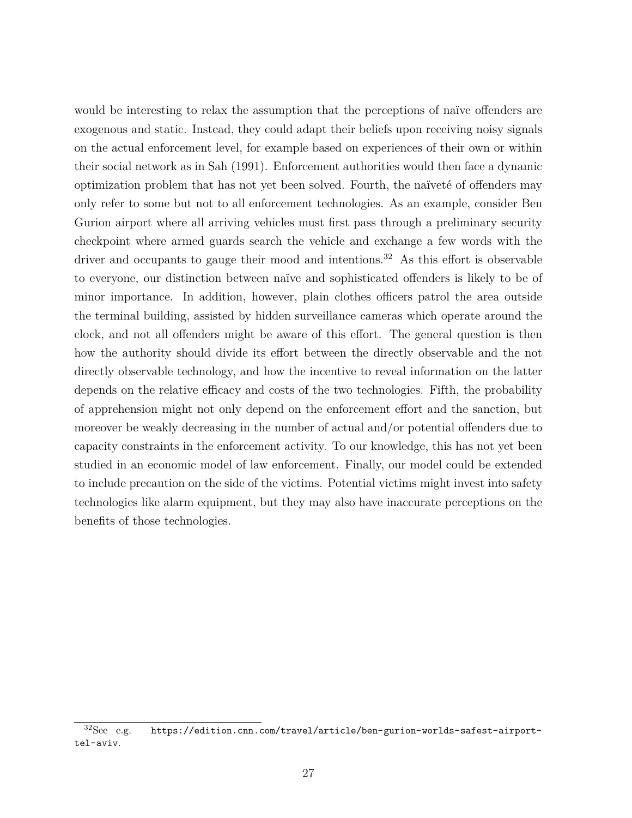would be interesting to relax the assumption that the perceptions of naïve offenders are exogenous and static. Instead, they could adapt their beliefs upon receiving noisy signals on the actual enforcement level, for example based on experiences of their own or within their social network as in [Sah](#page-46-5) [\(1991\)](#page-46-5). Enforcement authorities would then face a dynamic optimization problem that has not yet been solved. Fourth, the naïveté of offenders may only refer to some but not to all enforcement technologies. As an example, consider Ben Gurion airport where all arriving vehicles must first pass through a preliminary security checkpoint where armed guards search the vehicle and exchange a few words with the driver and occupants to gauge their mood and intentions.<sup>[32](#page-27-0)</sup> As this effort is observable to everyone, our distinction between naïve and sophisticated offenders is likely to be of minor importance. In addition, however, plain clothes officers patrol the area outside the terminal building, assisted by hidden surveillance cameras which operate around the clock, and not all offenders might be aware of this effort. The general question is then how the authority should divide its effort between the directly observable and the not directly observable technology, and how the incentive to reveal information on the latter depends on the relative efficacy and costs of the two technologies. Fifth, the probability of apprehension might not only depend on the enforcement effort and the sanction, but moreover be weakly decreasing in the number of actual and/or potential offenders due to capacity constraints in the enforcement activity. To our knowledge, this has not yet been studied in an economic model of law enforcement. Finally, our model could be extended to include precaution on the side of the victims. Potential victims might invest into safety technologies like alarm equipment, but they may also have inaccurate perceptions on the benefits of those technologies.

<span id="page-27-0"></span> $32$ See e.g. [https://edition.cnn.com/travel/article/ben-gurion-worlds-safest-airport](https://edition.cnn.com/travel/article/ben-gurion-worlds-safest-airport-tel-aviv)[tel-aviv](https://edition.cnn.com/travel/article/ben-gurion-worlds-safest-airport-tel-aviv).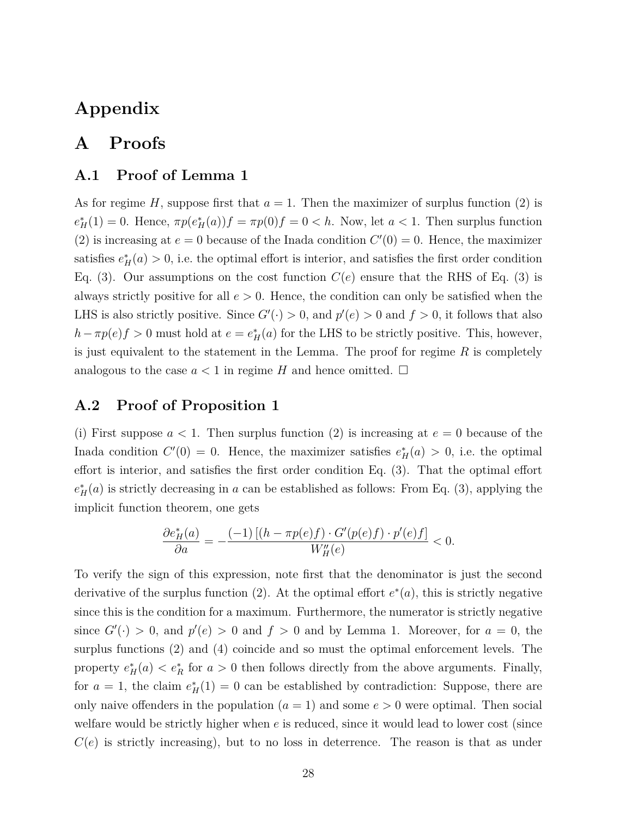# **Appendix**

# <span id="page-28-0"></span>**A Proofs**

### **A.1 Proof of Lemma [1](#page-11-1)**

As for regime *H*, suppose first that  $a = 1$ . Then the maximizer of surplus function [\(2\)](#page-10-2) is  $e^*_{H}(1) = 0$ . Hence,  $\pi p(e^*_{H}(a))f = \pi p(0)f = 0 < h$ . Now, let  $a < 1$ . Then surplus function [\(2\)](#page-10-2) is increasing at  $e = 0$  because of the Inada condition  $C'(0) = 0$ . Hence, the maximizer satisfies  $e^*_{H}(a) > 0$ , i.e. the optimal effort is interior, and satisfies the first order condition Eq. [\(3\)](#page-10-5). Our assumptions on the cost function  $C(e)$  ensure that the RHS of Eq. (3) is always strictly positive for all  $e > 0$ . Hence, the condition can only be satisfied when the LHS is also strictly positive. Since  $G'(\cdot) > 0$ , and  $p'(e) > 0$  and  $f > 0$ , it follows that also  $h - \pi p(e)f > 0$  must hold at  $e = e^*_{H}(a)$  for the LHS to be strictly positive. This, however, is just equivalent to the statement in the Lemma. The proof for regime *R* is completely analogous to the case  $a < 1$  in regime *H* and hence omitted.  $\Box$ 

### **A.2 Proof of Proposition [1](#page-12-0)**

(i) First suppose  $a < 1$ . Then surplus function [\(2\)](#page-10-2) is increasing at  $e = 0$  because of the Inada condition  $C'(0) = 0$ . Hence, the maximizer satisfies  $e^*_{H}(a) > 0$ , i.e. the optimal effort is interior, and satisfies the first order condition Eq. [\(3\)](#page-10-5). That the optimal effort  $e^*_{H}(a)$  is strictly decreasing in *a* can be established as follows: From Eq. [\(3\)](#page-10-5), applying the implicit function theorem, one gets

$$
\frac{\partial e_H^*(a)}{\partial a}=-\frac{(-1)\left[(h-\pi p(e)f)\cdot G'(p(e)f)\cdot p'(e)f\right]}{W_H''(e)}<0.
$$

To verify the sign of this expression, note first that the denominator is just the second derivative of the surplus function  $(2)$ . At the optimal effort  $e^*(a)$ , this is strictly negative since this is the condition for a maximum. Furthermore, the numerator is strictly negative since  $G'(\cdot) > 0$ , and  $p'(e) > 0$  and  $f > 0$  and by Lemma [1.](#page-11-1) Moreover, for  $a = 0$ , the surplus functions [\(2\)](#page-10-2) and [\(4\)](#page-10-4) coincide and so must the optimal enforcement levels. The property  $e_H^*(a) < e_R^*$  for  $a > 0$  then follows directly from the above arguments. Finally, for  $a = 1$ , the claim  $e_H^*(1) = 0$  can be established by contradiction: Suppose, there are only naive offenders in the population  $(a = 1)$  and some  $e > 0$  were optimal. Then social welfare would be strictly higher when *e* is reduced, since it would lead to lower cost (since  $C(e)$  is strictly increasing), but to no loss in deterrence. The reason is that as under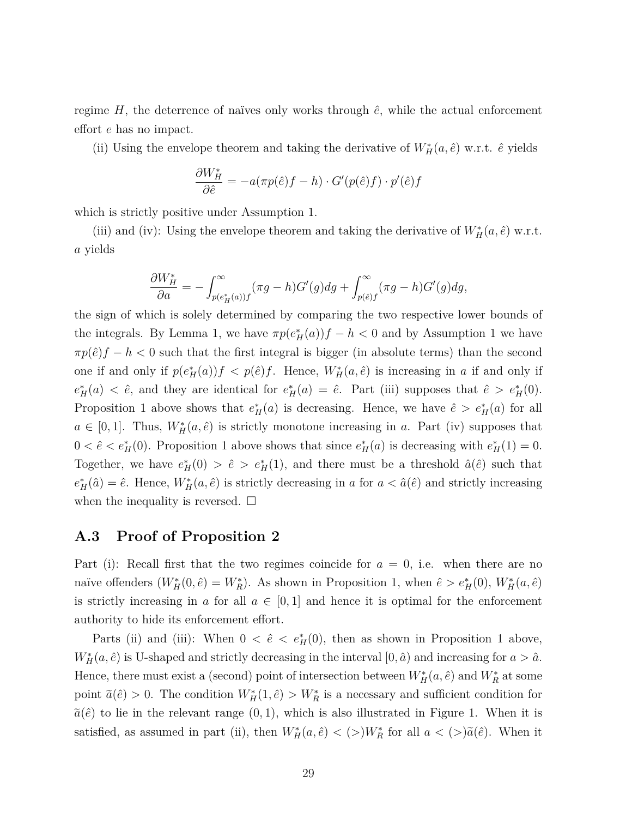regime  $H$ , the deterrence of naïves only works through  $\hat{e}$ , while the actual enforcement effort *e* has no impact.

(ii) Using the envelope theorem and taking the derivative of  $W^*_{H}(a, \hat{e})$  w.r.t.  $\hat{e}$  yields

$$
\frac{\partial W_H^*}{\partial \hat{e}} = -a(\pi p(\hat{e})f - h) \cdot G'(p(\hat{e})f) \cdot p'(\hat{e})f
$$

which is strictly positive under Assumption [1.](#page-11-2)

(iii) and (iv): Using the envelope theorem and taking the derivative of  $W^*_{H}(a, \hat{e})$  w.r.t. *a* yields

$$
\frac{\partial W_H^*}{\partial a} = -\int_{p(e_H^*(a))f}^{\infty} (\pi g - h)G'(g)dg + \int_{p(\hat{e})f}^{\infty} (\pi g - h)G'(g)dg,
$$

the sign of which is solely determined by comparing the two respective lower bounds of the integrals. By Lemma [1,](#page-11-1) we have  $\pi p(e_H^*(a))f - h < 0$  and by Assumption [1](#page-11-2) we have  $\pi p(\hat{e})f - h < 0$  such that the first integral is bigger (in absolute terms) than the second one if and only if  $p(e_H^*(a))f < p(\hat{e})f$ . Hence,  $W_H^*(a, \hat{e})$  is increasing in *a* if and only if  $e^*_{H}(a) < \hat{e}$ , and they are identical for  $e^*_{H}(a) = \hat{e}$ . Part (iii) supposes that  $\hat{e} > e^*_{H}(0)$ . Proposition [1](#page-12-0) above shows that  $e^*_{H}(a)$  is decreasing. Hence, we have  $\hat{e} > e^*_{H}(a)$  for all  $a \in [0,1]$ . Thus,  $W^*_{H}(a,\hat{e})$  is strictly monotone increasing in *a*. Part (iv) supposes that  $0 < \hat{e} < e^*_{H}(0)$ . Proposition [1](#page-12-0) above shows that since  $e^*_{H}(a)$  is decreasing with  $e^*_{H}(1) = 0$ . Together, we have  $e^*_{H}(0) > \hat{e} > e^*_{H}(1)$ , and there must be a threshold  $\hat{a}(\hat{e})$  such that  $e^*_{H}(\hat{a}) = \hat{e}$ . Hence,  $W^*_{H}(a, \hat{e})$  is strictly decreasing in *a* for  $a < \hat{a}(\hat{e})$  and strictly increasing when the inequality is reversed.  $\Box$ 

#### **A.3 Proof of Proposition [2](#page-13-0)**

Part (i): Recall first that the two regimes coincide for  $a = 0$ , i.e. when there are no naïve offenders  $(W_H^*(0, \hat{e}) = W_R^*)$ . As shown in Proposition [1,](#page-12-0) when  $\hat{e} > e_H^*(0)$ ,  $W_H^*(a, \hat{e})$ is strictly increasing in *a* for all  $a \in [0,1]$  and hence it is optimal for the enforcement authority to hide its enforcement effort.

Parts (ii) and (iii): When  $0 < \hat{e} < e^*_H(0)$ , then as shown in Proposition [1](#page-12-0) above,  $W_H^*(a, \hat{e})$  is U-shaped and strictly decreasing in the interval  $[0, \hat{a})$  and increasing for  $a > \hat{a}$ . Hence, there must exist a (second) point of intersection between  $W^*_{H}(a, \hat{e})$  and  $W^*_{R}$  at some point  $\tilde{a}(\hat{e}) > 0$ . The condition  $W^*_{H}(1, \hat{e}) > W^*_{R}$  is a necessary and sufficient condition for  $\tilde{a}(\hat{e})$  to lie in the relevant range  $(0,1)$ , which is also illustrated in Figure [1.](#page-15-0) When it is satisfied, as assumed in part (ii), then  $W_H^*(a, \hat{e}) < (>)W_R^*$  for all  $a < (>)\tilde{a}(\hat{e})$ . When it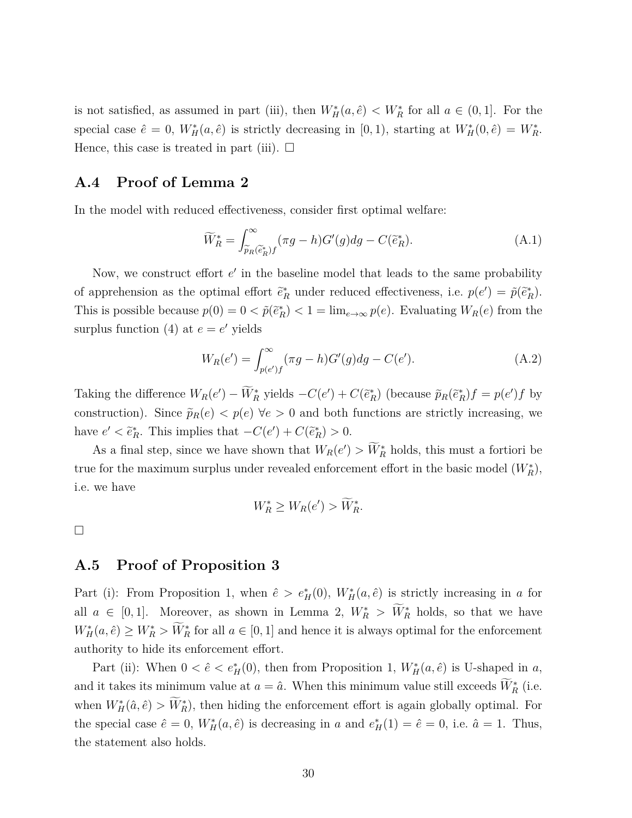is not satisfied, as assumed in part (iii), then  $W^*_H(a, \hat{e}) < W^*_R$  for all  $a \in (0, 1]$ . For the special case  $\hat{e} = 0$ ,  $W^*_{H}(a, \hat{e})$  is strictly decreasing in [0,1], starting at  $W^*_{H}(0, \hat{e}) = W^*_{R}$ . Hence, this case is treated in part (iii).  $\Box$ 

#### **A.4 Proof of Lemma [2](#page-18-0)**

In the model with reduced effectiveness, consider first optimal welfare:

$$
\widetilde{W}_R^* = \int_{\widetilde{p}_R(\widetilde{e}_R^*)f}^{\infty} (\pi g - h)G'(g)dg - C(\widetilde{e}_R^*).
$$
\n(A.1)

Now, we construct effort  $e'$  in the baseline model that leads to the same probability of apprehension as the optimal effort  $\tilde{e}_R^*$  under reduced effectiveness, i.e.  $p(e') = \tilde{p}(\tilde{e}_R^*)$ . This is possible because  $p(0) = 0 < \tilde{p}(\tilde{e}_R^*) < 1 = \lim_{e \to \infty} p(e)$ . Evaluating  $W_R(e)$  from the surplus function [\(4\)](#page-10-4) at  $e = e'$  yields

$$
W_R(e') = \int_{p(e')}^{\infty} (\pi g - h) G'(g) dg - C(e').
$$
 (A.2)

Taking the difference  $W_R(e') - W_R^*$  yields  $-C(e') + C(\tilde{e}_R^*)$  (because  $\tilde{p}_R(\tilde{e}_R^*)f = p(e')f$  by construction). Since  $\tilde{p}_R(e) < p(e)$   $\forall e > 0$  and both functions are strictly increasing, we have  $e' < \tilde{e}_R^*$ . This implies that  $-C(e') + C(\tilde{e}_R^*) > 0$ .

As a final step, since we have shown that  $W_R(e') > \widetilde{W}_R^*$  holds, this must a fortiori be true for the maximum surplus under revealed enforcement effort in the basic model  $(W_R^*),$ i.e. we have

$$
W_R^* \ge W_R(e') > \widetilde{W}_R^*.
$$

 $\Box$ 

#### **A.5 Proof of Proposition [3](#page-18-1)**

Part (i): From Proposition [1,](#page-12-0) when  $\hat{e} > e^*_{H}(0)$ ,  $W^*_{H}(a, \hat{e})$  is strictly increasing in *a* for all  $a \in [0,1]$ . Moreover, as shown in Lemma [2,](#page-18-0)  $W_R^* > W_R^*$  holds, so that we have  $W_H^*(a, \hat{e}) \geq W_R^* > W_R^*$  for all  $a \in [0, 1]$  and hence it is always optimal for the enforcement authority to hide its enforcement effort.

Part (ii): When  $0 < \hat{e} < e^*_{H}(0)$ , then from Proposition [1,](#page-12-0)  $W^*_{H}(a, \hat{e})$  is U-shaped in a, and it takes its minimum value at  $a = \hat{a}$ . When this minimum value still exceeds  $\widetilde{W}_{R}^{*}$  (i.e. when  $W_H^*(\hat{a}, \hat{e}) > \widetilde{W}_R^*$ , then hiding the enforcement effort is again globally optimal. For the special case  $\hat{e} = 0$ ,  $W^*_{H}(a, \hat{e})$  is decreasing in *a* and  $e^*_{H}(1) = \hat{e} = 0$ , i.e.  $\hat{a} = 1$ . Thus, the statement also holds.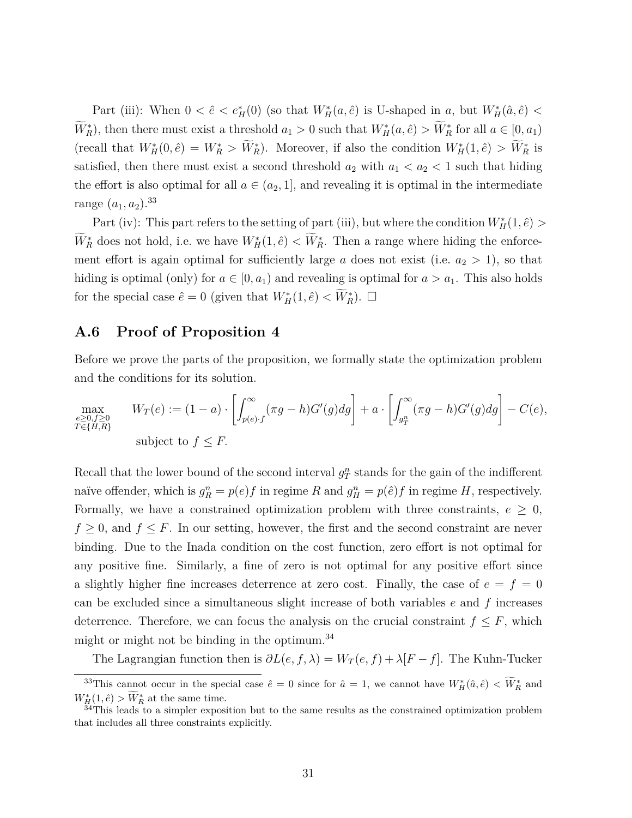Part (iii): When  $0 < \hat{e} < e_H^*(0)$  (so that  $W_H^*(a, \hat{e})$  is U-shaped in a, but  $W_H^*(\hat{a}, \hat{e}) <$  $W_R^*$ , then there must exist a threshold  $a_1 > 0$  such that  $W_H^*(a, \hat{e}) > W_R^*$  for all  $a \in [0, a_1)$  $\text{(recall that } W_H^*(0, \hat{e}) = W_R^* > \widetilde{W}_R^*$ . Moreover, if also the condition  $W_H^*(1, \hat{e}) > \widetilde{W}_R^*$  is satisfied, then there must exist a second threshold  $a_2$  with  $a_1 < a_2 < 1$  such that hiding the effort is also optimal for all  $a \in (a_2, 1]$ , and revealing it is optimal in the intermediate range  $(a_1, a_2)$ .<sup>[33](#page-31-0)</sup>

Part (iv): This part refers to the setting of part (iii), but where the condition  $W^*_{H}(1, \hat{e})$  >  $W_R^*$  does not hold, i.e. we have  $W_H^*(1, \hat{e}) < W_R^*$ . Then a range where hiding the enforcement effort is again optimal for sufficiently large *a* does not exist (i.e.  $a_2 > 1$ ), so that hiding is optimal (only) for  $a \in [0, a_1)$  and revealing is optimal for  $a > a_1$ . This also holds for the special case  $\hat{e} = 0$  (given that  $W_H^*(1, \hat{e}) < \widetilde{W}_R^*$ ).  $\Box$ 

#### **A.6 Proof of Proposition [4](#page-21-3)**

Before we prove the parts of the proposition, we formally state the optimization problem and the conditions for its solution.

$$
\max_{\substack{e \geq 0, f \geq 0 \\ T \in \{H, R\}}} W_T(e) := (1 - a) \cdot \left[ \int_{p(e) \cdot f}^{\infty} (\pi g - h) G'(g) dg \right] + a \cdot \left[ \int_{g_T^n}^{\infty} (\pi g - h) G'(g) dg \right] - C(e),
$$
\nsubject to  $f \leq F$ .

Recall that the lower bound of the second interval  $g_T^n$  stands for the gain of the indifferent naïve offender, which is  $g_R^n = p(e)f$  in regime *R* and  $g_H^n = p(\hat{e})f$  in regime *H*, respectively. Formally, we have a constrained optimization problem with three constraints,  $e \geq 0$ ,  $f \geq 0$ , and  $f \leq F$ . In our setting, however, the first and the second constraint are never binding. Due to the Inada condition on the cost function, zero effort is not optimal for any positive fine. Similarly, a fine of zero is not optimal for any positive effort since a slightly higher fine increases deterrence at zero cost. Finally, the case of  $e = f = 0$ can be excluded since a simultaneous slight increase of both variables *e* and *f* increases deterrence. Therefore, we can focus the analysis on the crucial constraint  $f \leq F$ , which might or might not be binding in the optimum.[34](#page-31-1)

The Lagrangian function then is  $\partial L(e, f, \lambda) = W_T(e, f) + \lambda[F - f]$ . The Kuhn-Tucker

<span id="page-31-0"></span><sup>&</sup>lt;sup>33</sup>This cannot occur in the special case  $\hat{e} = 0$  since for  $\hat{a} = 1$ , we cannot have  $W_H^*(\hat{a}, \hat{e}) < W_R^*$  and  $W_{\tilde{H}}^*(1, \hat{e}) > W_{R}^*$  at the same time.

<span id="page-31-1"></span> $34$ This leads to a simpler exposition but to the same results as the constrained optimization problem that includes all three constraints explicitly.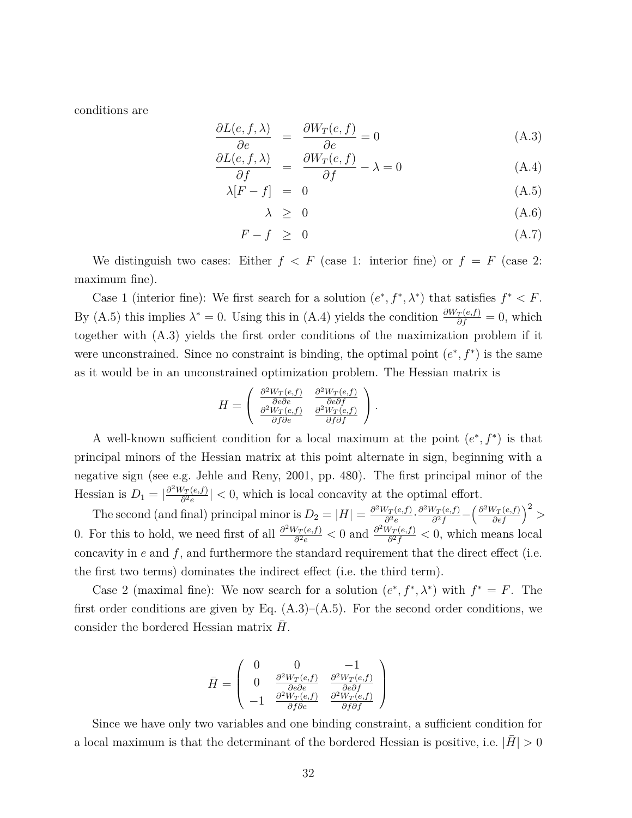conditions are

<span id="page-32-0"></span>
$$
\frac{\partial L(e, f, \lambda)}{\partial e} = \frac{\partial W_T(e, f)}{\partial e} = 0 \tag{A.3}
$$

$$
\frac{\partial L(e, f, \lambda)}{\partial f} = \frac{\partial W_T(e, f)}{\partial f} - \lambda = 0 \tag{A.4}
$$

$$
\lambda[F - f] = 0 \tag{A.5}
$$

$$
\lambda \geq 0 \tag{A.6}
$$

$$
F - f \geq 0 \tag{A.7}
$$

We distinguish two cases: Either  $f < F$  (case 1: interior fine) or  $f = F$  (case 2: maximum fine).

Case 1 (interior fine): We first search for a solution  $(e^*, f^*, \lambda^*)$  that satisfies  $f^* < F$ . By [\(A.5\)](#page-32-0) this implies  $\lambda^* = 0$ . Using this in [\(A.4\)](#page-32-0) yields the condition  $\frac{\partial W_T(e,f)}{\partial f} = 0$ , which together with [\(A.3\)](#page-32-0) yields the first order conditions of the maximization problem if it were unconstrained. Since no constraint is binding, the optimal point  $(e^*, f^*)$  is the same as it would be in an unconstrained optimization problem. The Hessian matrix is

$$
H = \begin{pmatrix} \frac{\partial^2 W_T(e,f)}{\partial e \partial e} & \frac{\partial^2 W_T(e,f)}{\partial e \partial f} \\ \frac{\partial^2 W_T(e,f)}{\partial f \partial e} & \frac{\partial^2 W_T(e,f)}{\partial f \partial f} \end{pmatrix}.
$$

A well-known sufficient condition for a local maximum at the point  $(e^*, f^*)$  is that principal minors of the Hessian matrix at this point alternate in sign, beginning with a negative sign (see e.g. Jehle and Reny, 2001, pp. 480). The first principal minor of the Hessian is  $D_1 = \left| \frac{\partial^2 W_T(e,f)}{\partial^2 e} \right|$  $\left|\frac{\partial \psi_T(e,t)}{\partial^2 e}\right| < 0$ , which is local concavity at the optimal effort.

The second (and final) principal minor is  $D_2 = |H| = \frac{\partial^2 W_T(e,f)}{\partial^2 e}$  $\frac{\partial^2 W_T(e,f)}{\partial^2 e}$ .  $\frac{\partial^2 W_T(e,f)}{\partial^2 f}$  $\frac{W_T(e,f)}{\partial^2 f} - \left(\frac{\partial^2 W_T(e,f)}{\partial e f}\right)^2 > 0$ 0. For this to hold, we need first of all  $\frac{\partial^2 W_T(e,f)}{\partial^2 e}$  $\frac{W_T(e,f)}{\partial^2 e}$  < 0 and  $\frac{\partial^2 W_T(e,f)}{\partial^2 f}$  $\frac{\partial \Psi_T(e,t)}{\partial^2 f}$  < 0, which means local concavity in *e* and *f*, and furthermore the standard requirement that the direct effect (i.e. the first two terms) dominates the indirect effect (i.e. the third term).

Case 2 (maximal fine): We now search for a solution  $(e^*, f^*, \lambda^*)$  with  $f^* = F$ . The first order conditions are given by Eq.  $(A.3)$ – $(A.5)$ . For the second order conditions, we consider the bordered Hessian matrix *H*.

$$
\bar{H} = \begin{pmatrix}\n0 & 0 & -1 \\
0 & \frac{\partial^2 W_T(e,f)}{\partial e \partial e} & \frac{\partial^2 W_T(e,f)}{\partial e \partial f} \\
-1 & \frac{\partial^2 W_T(e,f)}{\partial f \partial e} & \frac{\partial^2 W_T(e,f)}{\partial f \partial f}\n\end{pmatrix}
$$

Since we have only two variables and one binding constraint, a sufficient condition for a local maximum is that the determinant of the bordered Hessian is positive, i.e.  $|H| > 0$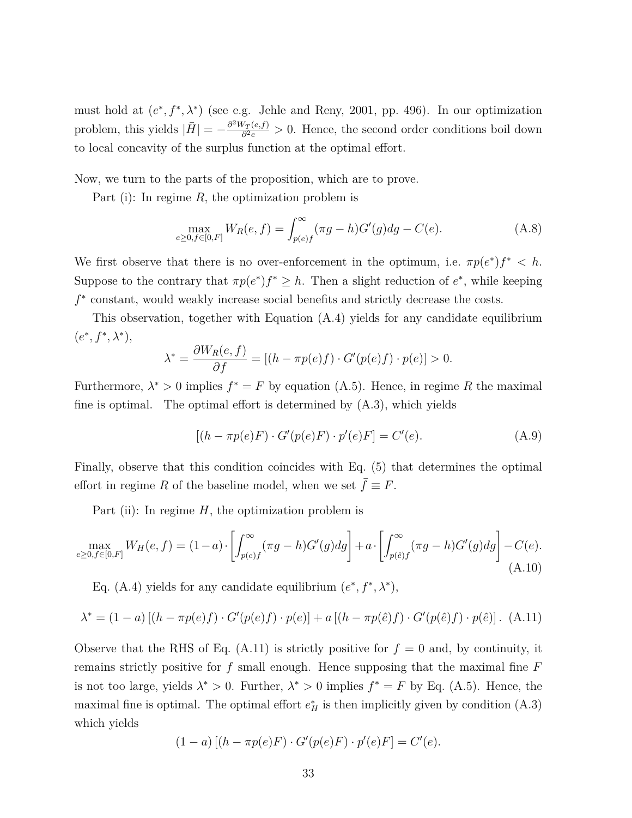must hold at  $(e^*, f^*, \lambda^*)$  (see e.g. Jehle and Reny, 2001, pp. 496). In our optimization problem, this yields  $|\bar{H}| = -\frac{\partial^2 W_T(e,f)}{\partial^2 e}$  $\frac{\partial \Psi(\mathbf{r}(e, t))}{\partial^2 e} > 0$ . Hence, the second order conditions boil down to local concavity of the surplus function at the optimal effort.

Now, we turn to the parts of the proposition, which are to prove.

Part (i): In regime *R*, the optimization problem is

$$
\max_{e \ge 0, f \in [0, F]} W_R(e, f) = \int_{p(e)f}^{\infty} (\pi g - h) G'(g) dg - C(e).
$$
 (A.8)

We first observe that there is no over-enforcement in the optimum, i.e.  $\pi p(e^*)f^* < h$ . Suppose to the contrary that  $\pi p(e^*)f^* \geq h$ . Then a slight reduction of  $e^*$ , while keeping *f*<sup>∗</sup> constant, would weakly increase social benefits and strictly decrease the costs.

This observation, together with Equation [\(A.4\)](#page-32-0) yields for any candidate equilibrium  $(e^*, f^*, \lambda^*),$ 

$$
\lambda^* = \frac{\partial W_R(e, f)}{\partial f} = [(h - \pi p(e)f) \cdot G'(p(e)f) \cdot p(e)] > 0.
$$

Furthermore,  $\lambda^* > 0$  implies  $f^* = F$  by equation [\(A.5\)](#page-32-0). Hence, in regime R the maximal fine is optimal. The optimal effort is determined by  $(A.3)$ , which yields

$$
[(h - \pi p(e)F) \cdot G'(p(e)F) \cdot p'(e)F] = C'(e).
$$
 (A.9)

Finally, observe that this condition coincides with Eq. [\(5\)](#page-10-6) that determines the optimal effort in regime *R* of the baseline model, when we set  $\bar{f} \equiv F$ .

Part (ii): In regime *H*, the optimization problem is

<span id="page-33-1"></span>
$$
\max_{e \ge 0, f \in [0, F]} W_H(e, f) = (1 - a) \cdot \left[ \int_{p(e)f}^{\infty} (\pi g - h) G'(g) dg \right] + a \cdot \left[ \int_{p(e)f}^{\infty} (\pi g - h) G'(g) dg \right] - C(e). \tag{A.10}
$$

Eq. [\(A.4\)](#page-32-0) yields for any candidate equilibrium  $(e^*, f^*, \lambda^*)$ ,

<span id="page-33-0"></span>
$$
\lambda^* = (1 - a) [(h - \pi p(e)f) \cdot G'(p(e)f) \cdot p(e)] + a [(h - \pi p(\hat{e})f) \cdot G'(p(\hat{e})f) \cdot p(\hat{e})].
$$
 (A.11)

Observe that the RHS of Eq.  $(A.11)$  is strictly positive for  $f = 0$  and, by continuity, it remains strictly positive for *f* small enough. Hence supposing that the maximal fine *F* is not too large, yields  $\lambda^* > 0$ . Further,  $\lambda^* > 0$  implies  $f^* = F$  by Eq. [\(A.5\)](#page-32-0). Hence, the maximal fine is optimal. The optimal effort  $e_H^*$  is then implicitly given by condition  $(A.3)$ which yields

$$
(1-a) [(h - \pi p(e)F) \cdot G'(p(e)F) \cdot p'(e)F] = C'(e).
$$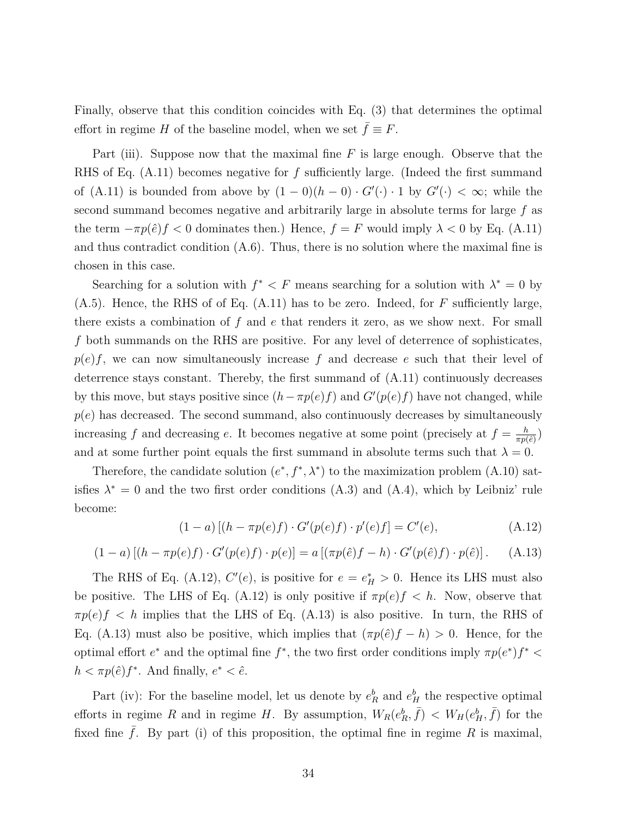Finally, observe that this condition coincides with Eq. [\(3\)](#page-10-5) that determines the optimal effort in regime *H* of the baseline model, when we set  $\bar{f} \equiv F$ .

Part (iii). Suppose now that the maximal fine *F* is large enough. Observe that the RHS of Eq. [\(A.11\)](#page-33-0) becomes negative for *f* sufficiently large. (Indeed the first summand of [\(A.11\)](#page-33-0) is bounded from above by  $(1-0)(h-0) \cdot G'(\cdot) \cdot 1$  by  $G'(\cdot) < \infty$ ; while the second summand becomes negative and arbitrarily large in absolute terms for large *f* as the term  $-\pi p(\hat{e})f < 0$  dominates then.) Hence,  $f = F$  would imply  $\lambda < 0$  by Eq. [\(A.11\)](#page-33-0) and thus contradict condition  $(A.6)$ . Thus, there is no solution where the maximal fine is chosen in this case.

Searching for a solution with  $f^* < F$  means searching for a solution with  $\lambda^* = 0$  by [\(A.5\)](#page-32-0). Hence, the RHS of of Eq. [\(A.11\)](#page-33-0) has to be zero. Indeed, for *F* sufficiently large, there exists a combination of *f* and *e* that renders it zero, as we show next. For small *f* both summands on the RHS are positive. For any level of deterrence of sophisticates, *p*(*e*)*f*, we can now simultaneously increase *f* and decrease *e* such that their level of deterrence stays constant. Thereby, the first summand of [\(A.11\)](#page-33-0) continuously decreases by this move, but stays positive since  $(h - \pi p(e)f)$  and  $G'(p(e)f)$  have not changed, while  $p(e)$  has decreased. The second summand, also continuously decreases by simultaneously increasing f and decreasing e. It becomes negative at some point (precisely at  $f = \frac{h}{\pi n}$  $\frac{h}{\pi p(\hat{e})}$ and at some further point equals the first summand in absolute terms such that  $\lambda = 0$ .

Therefore, the candidate solution  $(e^*, f^*, \lambda^*)$  to the maximization problem  $(A.10)$  satisfies  $\lambda^* = 0$  and the two first order conditions [\(A.3\)](#page-32-0) and [\(A.4\)](#page-32-0), which by Leibniz' rule become:

<span id="page-34-0"></span>
$$
(1-a) [(h - \pi p(e)f) \cdot G'(p(e)f) \cdot p'(e)f] = C'(e), \tag{A.12}
$$

<span id="page-34-1"></span>
$$
(1-a)\left[(h-\pi p(e)f)\cdot G'(p(e)f)\cdot p(e)\right] = a\left[(\pi p(\hat{e})f-h)\cdot G'(p(\hat{e})f)\cdot p(\hat{e})\right].\tag{A.13}
$$

The RHS of Eq. [\(A.12\)](#page-34-0),  $C'(e)$ , is positive for  $e = e_H^* > 0$ . Hence its LHS must also be positive. The LHS of Eq. [\(A.12\)](#page-34-0) is only positive if  $\pi p(e)f < h$ . Now, observe that  $\pi p(e)f < h$  implies that the LHS of Eq. [\(A.13\)](#page-34-1) is also positive. In turn, the RHS of Eq. [\(A.13\)](#page-34-1) must also be positive, which implies that  $(\pi p(\hat{e})f - h) > 0$ . Hence, for the optimal effort  $e^*$  and the optimal fine  $f^*$ , the two first order conditions imply  $\pi p(e^*)f^*$  $h < \pi p(\hat{e}) f^*$ . And finally,  $e^* < \hat{e}$ .

Part (iv): For the baseline model, let us denote by  $e_R^b$  and  $e_H^b$  the respective optimal efforts in regime *R* and in regime *H*. By assumption,  $W_R(e_R^b, \bar{f}) < W_H(e_H^b, \bar{f})$  for the fixed fine  $\bar{f}$ . By part (i) of this proposition, the optimal fine in regime R is maximal,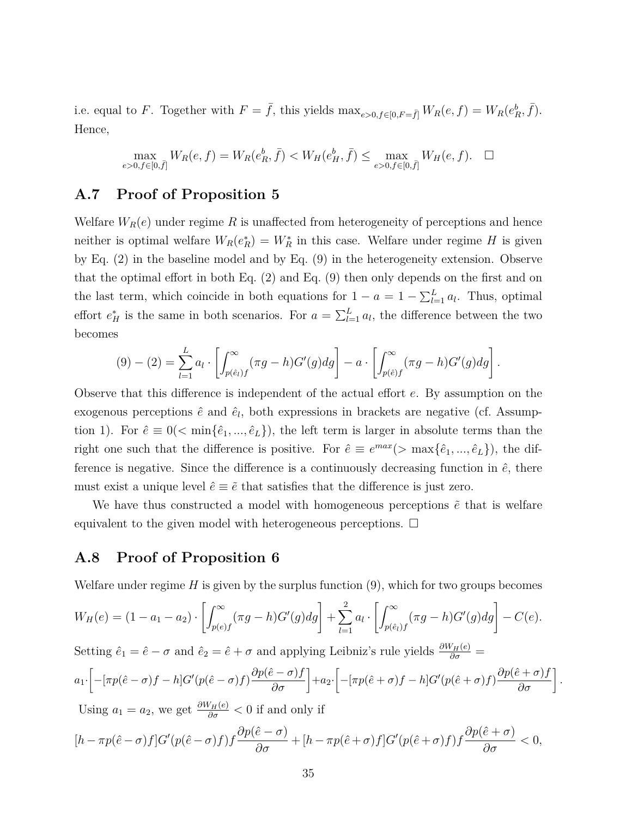i.e. equal to *F*. Together with  $F = \bar{f}$ , this yields  $\max_{e>0, f \in [0, F = \bar{f}]} W_R(e, f) = W_R(e_R^b, \bar{f}).$ Hence,

$$
\max_{e>0,f\in[0,\bar{f}]} W_R(e,f) = W_R(e_R^b, \bar{f}) < W_H(e_H^b, \bar{f}) \le \max_{e>0,f\in[0,\bar{f}]} W_H(e,f). \quad \Box
$$

#### **A.7 Proof of Proposition [5](#page-23-2)**

Welfare  $W_R(e)$  under regime R is unaffected from heterogeneity of perceptions and hence neither is optimal welfare  $W_R(e_R^*) = W_R^*$  in this case. Welfare under regime *H* is given by Eq. [\(2\)](#page-10-2) in the baseline model and by Eq. [\(9\)](#page-23-3) in the heterogeneity extension. Observe that the optimal effort in both Eq. [\(2\)](#page-10-2) and Eq. [\(9\)](#page-23-3) then only depends on the first and on the last term, which coincide in both equations for  $1 - a = 1 - \sum_{l=1}^{L} a_l$ . Thus, optimal effort  $e_H^*$  is the same in both scenarios. For  $a = \sum_{l=1}^L a_l$ , the difference between the two becomes

$$
(9) - (2) = \sum_{l=1}^{L} a_l \cdot \left[ \int_{p(\hat{e}_l)f}^{\infty} (\pi g - h)G'(g)dg \right] - a \cdot \left[ \int_{p(\hat{e})f}^{\infty} (\pi g - h)G'(g)dg \right].
$$

Observe that this difference is independent of the actual effort *e*. By assumption on the exogenous perceptions  $\hat{e}$  and  $\hat{e}_l$ , both expressions in brackets are negative (cf. Assump-tion [1\)](#page-11-2). For  $\hat{e} \equiv 0 \langle \langle \min{\{\hat{e}_1, ..., \hat{e}_L\}} \rangle$ , the left term is larger in absolute terms than the right one such that the difference is positive. For  $\hat{e} \equiv e^{max}(>\max{\{\hat{e}_1, ..., \hat{e}_L\}})$ , the difference is negative. Since the difference is a continuously decreasing function in  $\hat{e}$ , there must exist a unique level  $\hat{e} \equiv \tilde{e}$  that satisfies that the difference is just zero.

We have thus constructed a model with homogeneous perceptions  $\tilde{e}$  that is welfare equivalent to the given model with heterogeneous perceptions.  $\Box$ 

#### **A.8 Proof of Proposition [6](#page-24-0)**

Welfare under regime *H* is given by the surplus function [\(9\)](#page-23-3), which for two groups becomes

$$
W_H(e) = (1 - a_1 - a_2) \cdot \left[ \int_{p(e)f}^{\infty} (\pi g - h)G'(g)dg \right] + \sum_{l=1}^{2} a_l \cdot \left[ \int_{p(\hat{e}_l)f}^{\infty} (\pi g - h)G'(g)dg \right] - C(e).
$$

Setting  $\hat{e}_1 = \hat{e} - \sigma$  and  $\hat{e}_2 = \hat{e} + \sigma$  and applying Leibniz's rule yields  $\frac{\partial W_H(e)}{\partial \sigma} =$ 

$$
a_1 \cdot \left[ -[\pi p(\hat{e} - \sigma)f - h]G'(p(\hat{e} - \sigma)f) \frac{\partial p(\hat{e} - \sigma)f}{\partial \sigma} \right] + a_2 \cdot \left[ -[\pi p(\hat{e} + \sigma)f - h]G'(p(\hat{e} + \sigma)f) \frac{\partial p(\hat{e} + \sigma)f}{\partial \sigma} \right].
$$

Using  $a_1 = a_2$ , we get  $\frac{\partial W_H(e)}{\partial \sigma} < 0$  if and only if

$$
[h-\pi p(\hat{e}-\sigma)f]G'(p(\hat{e}-\sigma)f)f\frac{\partial p(\hat{e}-\sigma)}{\partial \sigma}+[h-\pi p(\hat{e}+\sigma)f]G'(p(\hat{e}+\sigma)f)f\frac{\partial p(\hat{e}+\sigma)}{\partial \sigma}<0,
$$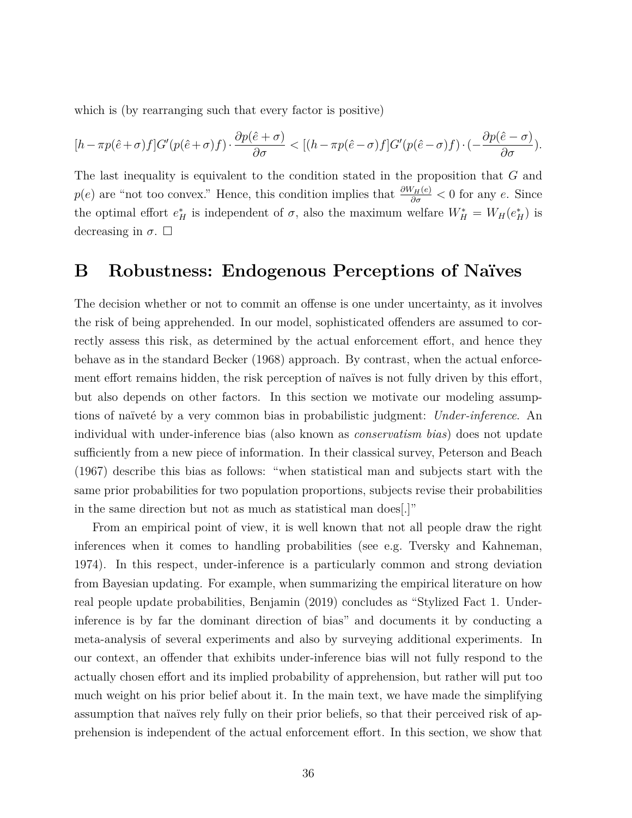which is (by rearranging such that every factor is positive)

$$
[h-\pi p(\hat{e}+\sigma)f]G'(p(\hat{e}+\sigma)f)\cdot\frac{\partial p(\hat{e}+\sigma)}{\partial\sigma}<[(h-\pi p(\hat{e}-\sigma)f]G'(p(\hat{e}-\sigma)f)\cdot(-\frac{\partial p(\hat{e}-\sigma)}{\partial\sigma}).
$$

The last inequality is equivalent to the condition stated in the proposition that *G* and *p*(*e*) are "not too convex." Hence, this condition implies that  $\frac{\partial W_H(e)}{\partial \sigma} < 0$  for any *e*. Since the optimal effort  $e_H^*$  is independent of  $\sigma$ , also the maximum welfare  $W_H^* = W_H(e_H^*)$  is decreasing in  $\sigma$ .  $\square$ 

## <span id="page-36-0"></span>**B Robustness: Endogenous Perceptions of Naïves**

The decision whether or not to commit an offense is one under uncertainty, as it involves the risk of being apprehended. In our model, sophisticated offenders are assumed to correctly assess this risk, as determined by the actual enforcement effort, and hence they behave as in the standard [Becker](#page-43-0) [\(1968\)](#page-43-0) approach. By contrast, when the actual enforcement effort remains hidden, the risk perception of naïves is not fully driven by this effort, but also depends on other factors. In this section we motivate our modeling assumptions of naïveté by a very common bias in probabilistic judgment: *Under-inference*. An individual with under-inference bias (also known as *conservatism bias*) does not update sufficiently from a new piece of information. In their classical survey, [Peterson and Beach](#page-45-11) [\(1967\)](#page-45-11) describe this bias as follows: "when statistical man and subjects start with the same prior probabilities for two population proportions, subjects revise their probabilities in the same direction but not as much as statistical man does[.]"

From an empirical point of view, it is well known that not all people draw the right inferences when it comes to handling probabilities (see e.g. [Tversky and Kahneman,](#page-46-9) [1974\)](#page-46-9). In this respect, under-inference is a particularly common and strong deviation from Bayesian updating. For example, when summarizing the empirical literature on how real people update probabilities, [Benjamin](#page-43-5) [\(2019\)](#page-43-5) concludes as "Stylized Fact 1. Underinference is by far the dominant direction of bias" and documents it by conducting a meta-analysis of several experiments and also by surveying additional experiments. In our context, an offender that exhibits under-inference bias will not fully respond to the actually chosen effort and its implied probability of apprehension, but rather will put too much weight on his prior belief about it. In the main text, we have made the simplifying assumption that naïves rely fully on their prior beliefs, so that their perceived risk of apprehension is independent of the actual enforcement effort. In this section, we show that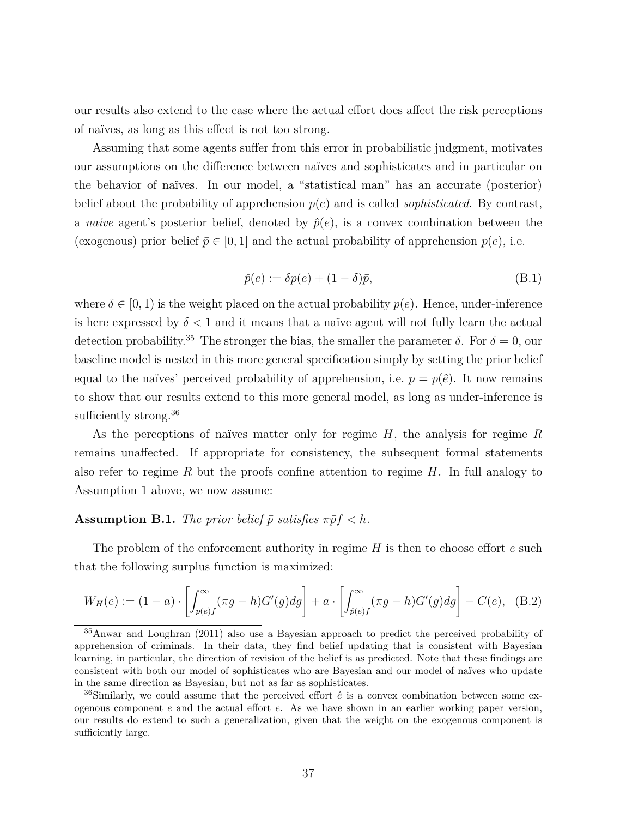our results also extend to the case where the actual effort does affect the risk perceptions of naïves, as long as this effect is not too strong.

Assuming that some agents suffer from this error in probabilistic judgment, motivates our assumptions on the difference between naïves and sophisticates and in particular on the behavior of naïves. In our model, a "statistical man" has an accurate (posterior) belief about the probability of apprehension  $p(e)$  and is called *sophisticated*. By contrast, a *naive* agent's posterior belief, denoted by  $\hat{p}(e)$ , is a convex combination between the (exogenous) prior belief  $\bar{p} \in [0, 1]$  and the actual probability of apprehension  $p(e)$ , i.e.

$$
\hat{p}(e) := \delta p(e) + (1 - \delta)\bar{p},\tag{B.1}
$$

where  $\delta \in [0, 1)$  is the weight placed on the actual probability  $p(e)$ . Hence, under-inference is here expressed by  $\delta$  < 1 and it means that a naïve agent will not fully learn the actual detection probability.<sup>[35](#page-37-0)</sup> The stronger the bias, the smaller the parameter  $\delta$ . For  $\delta = 0$ , our baseline model is nested in this more general specification simply by setting the prior belief equal to the naïves' perceived probability of apprehension, i.e.  $\bar{p} = p(\hat{e})$ . It now remains to show that our results extend to this more general model, as long as under-inference is sufficiently strong.<sup>[36](#page-37-1)</sup>

As the perceptions of naïves matter only for regime *H*, the analysis for regime *R* remains unaffected. If appropriate for consistency, the subsequent formal statements also refer to regime *R* but the proofs confine attention to regime *H*. In full analogy to Assumption [1](#page-11-2) above, we now assume:

#### <span id="page-37-3"></span>**Assumption B.1.** *The prior belief*  $\bar{p}$  *satisfies*  $\pi \bar{p} f < h$ .

The problem of the enforcement authority in regime *H* is then to choose effort *e* such that the following surplus function is maximized:

<span id="page-37-2"></span>
$$
W_H(e) := (1-a) \cdot \left[ \int_{p(e)f}^{\infty} (\pi g - h)G'(g)dg \right] + a \cdot \left[ \int_{\hat{p}(e)f}^{\infty} (\pi g - h)G'(g)dg \right] - C(e), \quad (B.2)
$$

<span id="page-37-0"></span><sup>35</sup>[Anwar and Loughran](#page-43-3) [\(2011\)](#page-43-3) also use a Bayesian approach to predict the perceived probability of apprehension of criminals. In their data, they find belief updating that is consistent with Bayesian learning, in particular, the direction of revision of the belief is as predicted. Note that these findings are consistent with both our model of sophisticates who are Bayesian and our model of naïves who update in the same direction as Bayesian, but not as far as sophisticates.

<span id="page-37-1"></span><sup>&</sup>lt;sup>36</sup>Similarly, we could assume that the perceived effort  $\hat{e}$  is a convex combination between some exogenous component  $\bar{e}$  and the actual effort  $e$ . As we have shown in an earlier working paper version, our results do extend to such a generalization, given that the weight on the exogenous component is sufficiently large.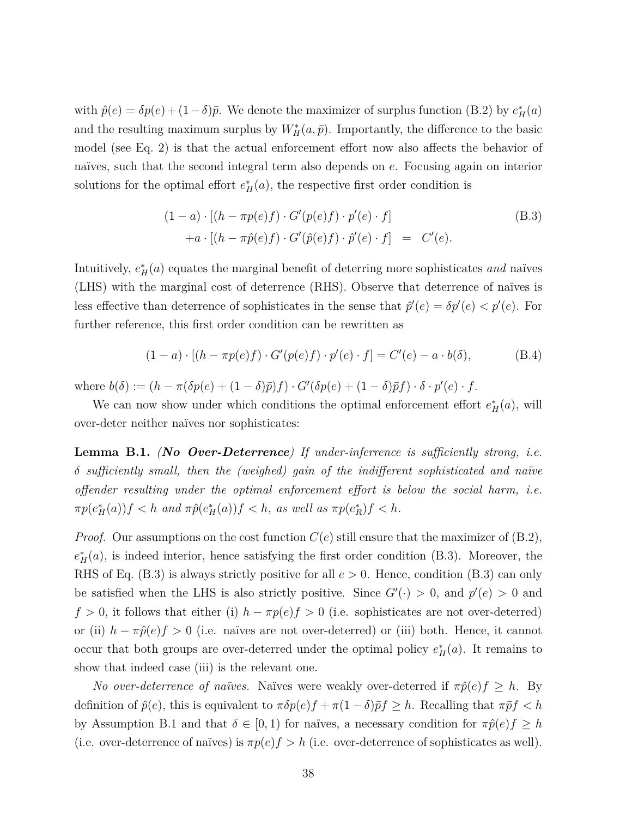with  $\hat{p}(e) = \delta p(e) + (1 - \delta)\bar{p}$ . We denote the maximizer of surplus function [\(B.2\)](#page-37-2) by  $e^*_{H}(a)$ and the resulting maximum surplus by  $W^*_{H}(a, \bar{p})$ . Importantly, the difference to the basic model (see Eq. [2\)](#page-10-2) is that the actual enforcement effort now also affects the behavior of naïves, such that the second integral term also depends on *e*. Focusing again on interior solutions for the optimal effort  $e_H^*(a)$ , the respective first order condition is

<span id="page-38-0"></span>
$$
(1-a)\cdot [(h-\pi p(e)f)\cdot G'(p(e)f)\cdot p'(e)\cdot f]
$$
  
+
$$
a\cdot [(h-\pi \hat{p}(e)f)\cdot G'(\hat{p}(e)f)\cdot \hat{p}'(e)\cdot f] = C'(e).
$$
 (B.3)

Intuitively,  $e_H^*(a)$  equates the marginal benefit of deterring more sophisticates *and* naïves (LHS) with the marginal cost of deterrence (RHS). Observe that deterrence of naïves is less effective than deterrence of sophisticates in the sense that  $\hat{p}'(e) = \delta p'(e) < p'(e)$ . For further reference, this first order condition can be rewritten as

<span id="page-38-1"></span>
$$
(1 - a) \cdot [(h - \pi p(e)f) \cdot G'(p(e)f) \cdot p'(e) \cdot f] = C'(e) - a \cdot b(\delta), \tag{B.4}
$$

where  $b(\delta) := (h - \pi(\delta p(e) + (1 - \delta)\bar{p})f) \cdot G'(\delta p(e) + (1 - \delta)\bar{p}f) \cdot \delta \cdot p'(e) \cdot f$ .

We can now show under which conditions the optimal enforcement effort  $e^*$ <sup> $\mu$ </sup>(*a*), will over-deter neither naïves nor sophisticates:

<span id="page-38-2"></span>**Lemma B.1.** *(No Over-Deterrence) If under-inferrence is sufficiently strong, i.e. δ sufficiently small, then the (weighed) gain of the indifferent sophisticated and naïve offender resulting under the optimal enforcement effort is below the social harm, i.e.*  $\pi p(e_H^*(a))f < h$  *and*  $\pi \hat{p}(e_H^*(a))f < h$ *, as well as*  $\pi p(e_R^*)f < h$ *.* 

*Proof.* Our assumptions on the cost function  $C(e)$  still ensure that the maximizer of  $(B.2)$ ,  $e^*_H(a)$ , is indeed interior, hence satisfying the first order condition [\(B.3\)](#page-38-0). Moreover, the RHS of Eq. [\(B.3\)](#page-38-0) is always strictly positive for all *e >* 0. Hence, condition [\(B.3\)](#page-38-0) can only be satisfied when the LHS is also strictly positive. Since  $G'(\cdot) > 0$ , and  $p'(e) > 0$  and  $f > 0$ , it follows that either (i)  $h - \pi p(e)f > 0$  (i.e. sophisticates are not over-deterred) or (ii)  $h - \pi \hat{p}(e)f > 0$  (i.e. naïves are not over-deterred) or (iii) both. Hence, it cannot occur that both groups are over-deterred under the optimal policy  $e_H^*(a)$ . It remains to show that indeed case (iii) is the relevant one.

*No over-deterrence of naïves.* Naïves were weakly over-deterred if  $\pi \hat{p}(e)f \geq h$ . By definition of  $\hat{p}(e)$ , this is equivalent to  $\pi \delta p(e)f + \pi (1 - \delta)\bar{p}f \geq h$ . Recalling that  $\pi \bar{p}f < h$ by Assumption [B.1](#page-37-3) and that  $\delta \in [0, 1)$  for naïves, a necessary condition for  $\pi \hat{p}(e)f \geq h$ (i.e. over-deterrence of naïves) is  $\pi p(e)f > h$  (i.e. over-deterrence of sophisticates as well).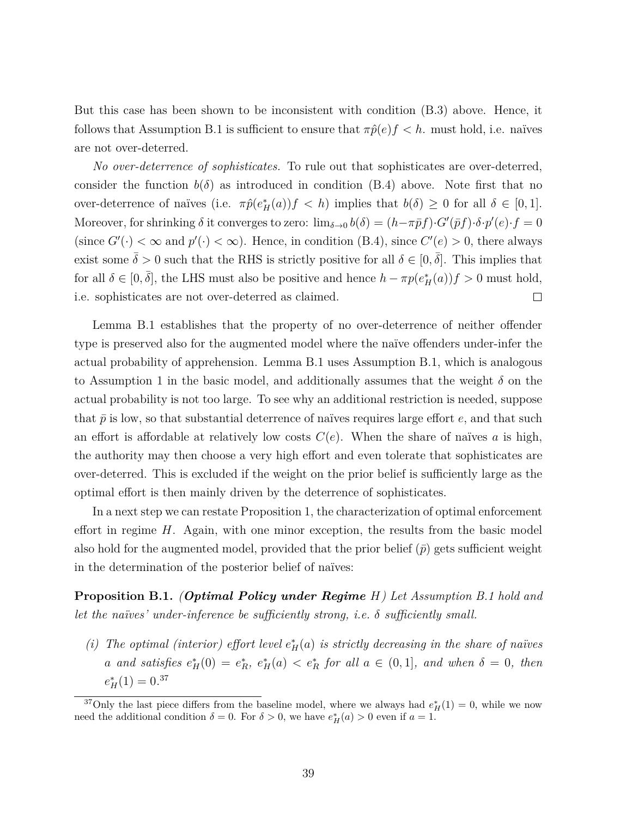But this case has been shown to be inconsistent with condition [\(B.3\)](#page-38-0) above. Hence, it follows that Assumption [B.1](#page-37-3) is sufficient to ensure that  $\pi \hat{p}(e)f < h$ . must hold, i.e. naïves are not over-deterred.

*No over-deterrence of sophisticates.* To rule out that sophisticates are over-deterred, consider the function  $b(\delta)$  as introduced in condition [\(B.4\)](#page-38-1) above. Note first that no over-deterrence of naïves (i.e.  $\pi \hat{p}(e_H^*(a))f < h$ ) implies that  $b(\delta) \geq 0$  for all  $\delta \in [0,1]$ . Moreover, for shrinking  $\delta$  it converges to zero:  $\lim_{\delta \to 0} b(\delta) = (h - \pi \bar{p}f) \cdot G'(\bar{p}f) \cdot \delta \cdot p'(e) \cdot f = 0$ (since  $G'(\cdot) < \infty$  and  $p'(\cdot) < \infty$ ). Hence, in condition [\(B.4\)](#page-38-1), since  $C'(e) > 0$ , there always exist some  $\bar{\delta} > 0$  such that the RHS is strictly positive for all  $\delta \in [0, \bar{\delta}]$ . This implies that for all  $\delta \in [0, \bar{\delta}]$ , the LHS must also be positive and hence  $h - \pi p(e_H^*(a))f > 0$  must hold, i.e. sophisticates are not over-deterred as claimed.  $\Box$ 

Lemma [B.1](#page-38-2) establishes that the property of no over-deterrence of neither offender type is preserved also for the augmented model where the naïve offenders under-infer the actual probability of apprehension. Lemma [B.1](#page-38-2) uses Assumption [B.1,](#page-37-3) which is analogous to Assumption [1](#page-11-2) in the basic model, and additionally assumes that the weight  $\delta$  on the actual probability is not too large. To see why an additional restriction is needed, suppose that  $\bar{p}$  is low, so that substantial deterrence of naïves requires large effort  $e$ , and that such an effort is affordable at relatively low costs  $C(e)$ . When the share of naïves *a* is high, the authority may then choose a very high effort and even tolerate that sophisticates are over-deterred. This is excluded if the weight on the prior belief is sufficiently large as the optimal effort is then mainly driven by the deterrence of sophisticates.

In a next step we can restate Proposition [1,](#page-12-0) the characterization of optimal enforcement effort in regime *H*. Again, with one minor exception, the results from the basic model also hold for the augmented model, provided that the prior belief  $(\bar{p})$  gets sufficient weight in the determination of the posterior belief of naïves:

<span id="page-39-1"></span>**Proposition B.1.** *(Optimal Policy under Regime H) Let Assumption [B.1](#page-37-3) hold and let the naïves' under-inference be sufficiently strong, i.e. δ sufficiently small.*

*(i)* The optimal (interior) effort level  $e^*_{H}(a)$  is strictly decreasing in the share of naïves *a and satisfies*  $e_H^*(0) = e_R^*$ *,*  $e_H^*(a) < e_R^*$  for all  $a \in (0,1]$ *, and when*  $\delta = 0$ *, then*  $e_H^*(1) = 0.37$  $e_H^*(1) = 0.37$ 

<span id="page-39-0"></span><sup>&</sup>lt;sup>37</sup>Only the last piece differs from the baseline model, where we always had  $e^*$ <sub>*H*</sub>(1) = 0, while we now need the additional condition  $\delta = 0$ . For  $\delta > 0$ , we have  $e^*_{H}(a) > 0$  even if  $a = 1$ .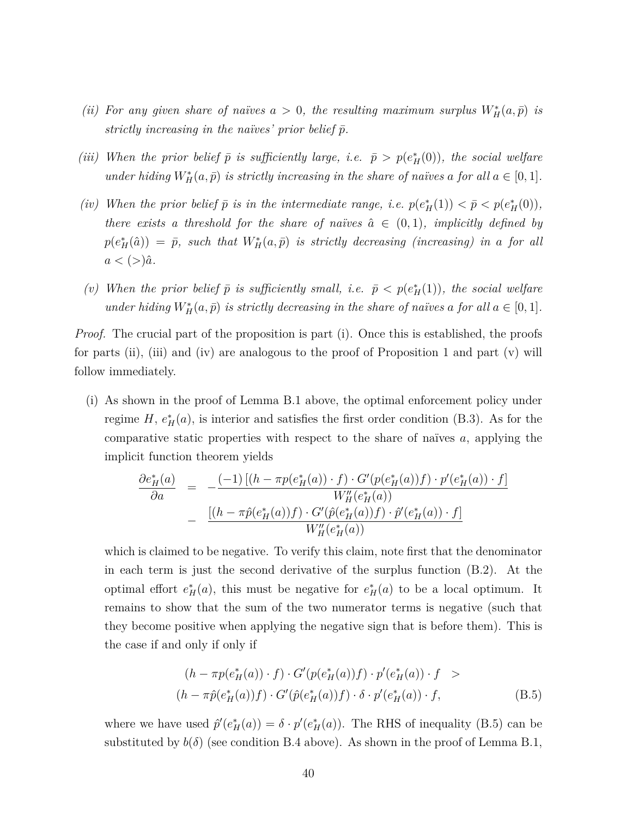- *(ii)* For any given share of naïves  $a > 0$ , the resulting maximum surplus  $W^*_{H}(a, \bar{p})$  *is strictly increasing in the naïves' prior belief*  $\bar{p}$ *.*
- *(iii)* When the prior belief  $\bar{p}$  is sufficiently large, i.e.  $\bar{p} > p(e^*_H(0))$ , the social welfare *under hiding*  $W^*_{H}(a, \bar{p})$  *is strictly increasing in the share of naïves a for all*  $a \in [0, 1]$ *.*
- *(iv)* When the prior belief  $\bar{p}$  is in the intermediate range, i.e.  $p(e_H^*(1)) < \bar{p} < p(e_H^*(0))$ , *there exists a threshold for the share of naïves*  $\hat{a} \in (0,1)$ *, implicitly defined by*  $p(e^*_H(\hat{a})) = \bar{p}$ *, such that*  $W^*_H(a, \bar{p})$  *is strictly decreasing (increasing) in a for all*  $a < (>)\hat{a}$ .
- *(v)* When the prior belief  $\bar{p}$  is sufficiently small, i.e.  $\bar{p}$  <  $p(e_H^*(1))$ , the social welfare *under hiding*  $W^*_{H}(a, \bar{p})$  *is strictly decreasing in the share of naïves a for all*  $a \in [0, 1]$ *.*

*Proof.* The crucial part of the proposition is part (i). Once this is established, the proofs for parts (ii), (iii) and (iv) are analogous to the proof of Proposition [1](#page-12-0) and part  $(v)$  will follow immediately.

(i) As shown in the proof of Lemma [B.1](#page-38-2) above, the optimal enforcement policy under regime  $H$ ,  $e^*_{H}(a)$ , is interior and satisfies the first order condition [\(B.3\)](#page-38-0). As for the comparative static properties with respect to the share of naïves *a*, applying the implicit function theorem yields

$$
\frac{\partial e_H^*(a)}{\partial a} = -\frac{(-1) \left[ (h - \pi p(e_H^*(a)) \cdot f) \cdot G'(p(e_H^*(a)) f) \cdot p'(e_H^*(a)) \cdot f \right]}{W_H^{\prime\prime}(e_H^*(a))}
$$

$$
- \frac{\left[ (h - \pi \hat{p}(e_H^*(a)) f) \cdot G'(\hat{p}(e_H^*(a)) f) \cdot \hat{p}'(e_H^*(a)) \cdot f \right]}{W_H^{\prime\prime}(e_H^*(a))}
$$

which is claimed to be negative. To verify this claim, note first that the denominator in each term is just the second derivative of the surplus function [\(B.2\)](#page-37-2). At the optimal effort  $e^*_{H}(a)$ , this must be negative for  $e^*_{H}(a)$  to be a local optimum. It remains to show that the sum of the two numerator terms is negative (such that they become positive when applying the negative sign that is before them). This is the case if and only if only if

<span id="page-40-0"></span>
$$
(h - \pi p(e_H^*(a)) \cdot f) \cdot G'(p(e_H^*(a))f) \cdot p'(e_H^*(a)) \cdot f > (h - \pi \hat{p}(e_H^*(a))f) \cdot G'(\hat{p}(e_H^*(a))f) \cdot \delta \cdot p'(e_H^*(a)) \cdot f,
$$
(B.5)

where we have used  $\hat{p}'(e_H^*(a)) = \delta \cdot p'(e_H^*(a))$ . The RHS of inequality [\(B.5\)](#page-40-0) can be substituted by  $b(\delta)$  (see condition [B.4](#page-38-1) above). As shown in the proof of Lemma [B.1,](#page-38-2)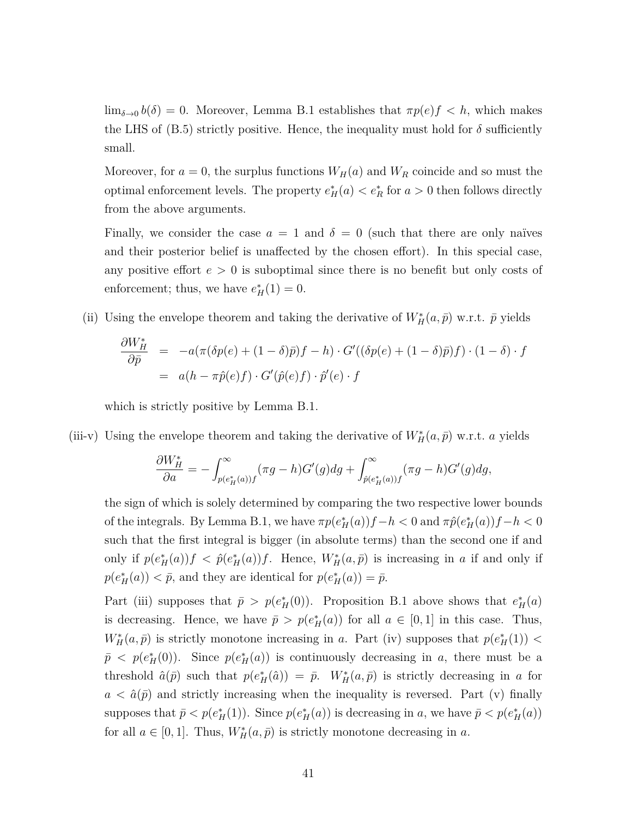lim<sub> $\delta \to 0$ </sub>  $b(\delta) = 0$ . Moreover, Lemma [B.1](#page-38-2) establishes that  $\pi p(e)f < h$ , which makes the LHS of [\(B.5\)](#page-40-0) strictly positive. Hence, the inequality must hold for  $\delta$  sufficiently small.

Moreover, for  $a = 0$ , the surplus functions  $W_H(a)$  and  $W_R$  coincide and so must the optimal enforcement levels. The property  $e_H^*(a) < e_R^*$  for  $a > 0$  then follows directly from the above arguments.

Finally, we consider the case  $a = 1$  and  $\delta = 0$  (such that there are only naïves and their posterior belief is unaffected by the chosen effort). In this special case, any positive effort  $e > 0$  is suboptimal since there is no benefit but only costs of enforcement; thus, we have  $e_H^*(1) = 0$ .

(ii) Using the envelope theorem and taking the derivative of  $W^*_{H}(a, \bar{p})$  w.r.t.  $\bar{p}$  yields

$$
\frac{\partial W_H^*}{\partial \bar{p}} = -a(\pi(\delta p(e) + (1 - \delta)\bar{p})f - h) \cdot G'((\delta p(e) + (1 - \delta)\bar{p})f) \cdot (1 - \delta) \cdot f
$$
  
=  $a(h - \pi \hat{p}(e)f) \cdot G'(\hat{p}(e)f) \cdot \hat{p}'(e) \cdot f$ 

which is strictly positive by Lemma [B.1.](#page-38-2)

(iii-v) Using the envelope theorem and taking the derivative of  $W^*_{H}(a, \bar{p})$  w.r.t. *a* yields

$$
\frac{\partial W_H^*}{\partial a}=-\int_{p(e_H^*(a))f}^\infty (\pi g-h)G'(g)dg+\int_{\hat{p}(e_H^*(a))f}^\infty (\pi g-h)G'(g)dg,
$$

the sign of which is solely determined by comparing the two respective lower bounds of the integrals. By Lemma [B.1,](#page-38-2) we have  $\pi p(e_H^*(a))f - h < 0$  and  $\pi \hat{p}(e_H^*(a))f - h < 0$ such that the first integral is bigger (in absolute terms) than the second one if and only if  $p(e_H^*(a))f < \hat{p}(e_H^*(a))f$ . Hence,  $W_H^*(a, \bar{p})$  is increasing in *a* if and only if  $p(e^*_{H}(a)) < \bar{p}$ , and they are identical for  $p(e^*_{H}(a)) = \bar{p}$ .

Part (iii) supposes that  $\bar{p} > p(e_H^*(0))$ . Proposition [B.1](#page-39-1) above shows that  $e_H^*(a)$ is decreasing. Hence, we have  $\bar{p} > p(e_H^*(a))$  for all  $a \in [0,1]$  in this case. Thus,  $W^*_{H}(a, \bar{p})$  is strictly monotone increasing in *a*. Part (iv) supposes that  $p(e_H^*(1))$  <  $\bar{p}$  < *p*( $e_H^*(0)$ ). Since *p*( $e_H^*(a)$ ) is continuously decreasing in *a*, there must be a threshold  $\hat{a}(\bar{p})$  such that  $p(e_H^*(\hat{a})) = \bar{p}$ .  $W_H^*(a, \bar{p})$  is strictly decreasing in *a* for  $a < \hat{a}(\bar{p})$  and strictly increasing when the inequality is reversed. Part (v) finally supposes that  $\bar{p} < p(e_H^*(1))$ . Since  $p(e_H^*(a))$  is decreasing in *a*, we have  $\bar{p} < p(e_H^*(a))$ for all  $a \in [0, 1]$ . Thus,  $W^*_{H}(a, \bar{p})$  is strictly monotone decreasing in a.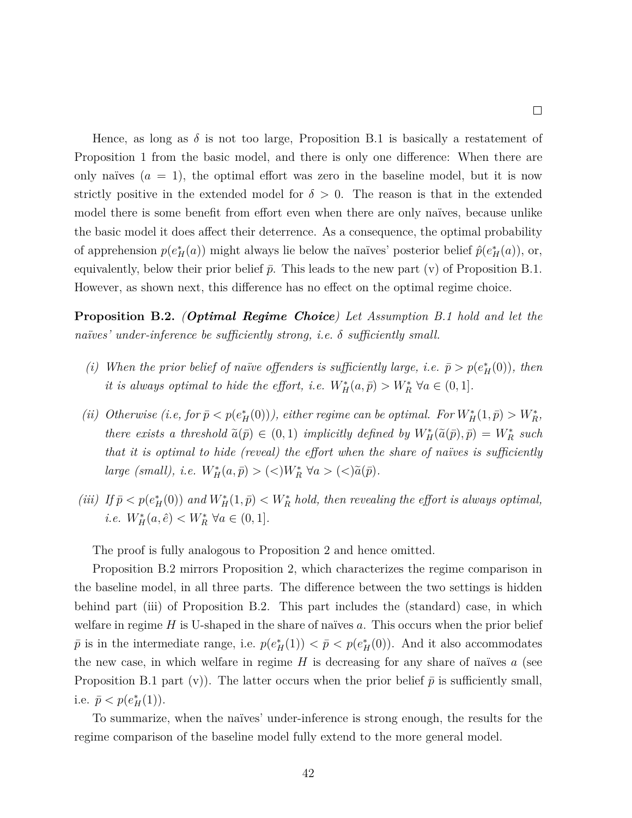Hence, as long as *δ* is not too large, Proposition [B.1](#page-39-1) is basically a restatement of Proposition [1](#page-12-0) from the basic model, and there is only one difference: When there are only naïves  $(a = 1)$ , the optimal effort was zero in the baseline model, but it is now strictly positive in the extended model for  $\delta > 0$ . The reason is that in the extended model there is some benefit from effort even when there are only naïves, because unlike the basic model it does affect their deterrence. As a consequence, the optimal probability of apprehension  $p(e_H^*(a))$  might always lie below the naïves' posterior belief  $\hat{p}(e_H^*(a))$ , or, equivalently, below their prior belief  $\bar{p}$ . This leads to the new part (v) of Proposition [B.1.](#page-39-1) However, as shown next, this difference has no effect on the optimal regime choice.

<span id="page-42-0"></span>**Proposition B.2.** *(Optimal Regime Choice) Let Assumption [B.1](#page-37-3) hold and let the naïves' under-inference be sufficiently strong, i.e. δ sufficiently small.*

- *(i)* When the prior belief of naïve offenders is sufficiently large, i.e.  $\bar{p} > p(e_H^*(0))$ , then *it is always optimal to hide the effort, i.e.*  $W_H^*(a, \bar{p}) > W_R^* \ \forall a \in (0, 1].$
- *(ii) Otherwise (i.e, for*  $\bar{p} < p(e_H^*(0))$ *), either regime can be optimal. For*  $W_H^*(1, \bar{p}) > W_R^*$ , *there exists a threshold*  $\tilde{a}(\bar{p}) \in (0,1)$  *implicitly defined by*  $W^*_{H}(\tilde{a}(\bar{p}), \bar{p}) = W^*_{R}$  *such that it is optimal to hide (reveal) the effort when the share of naïves is sufficiently large (small), i.e.*  $W_H^*(a, \bar{p}) > (<)W_R^* \ \forall a > (<) \tilde{a}(\bar{p})$ .
- *(iii)* If  $\bar{p} < p(e_H^*(0))$  and  $W_H^*(1, \bar{p}) < W_R^*$  hold, then revealing the effort is always optimal, *i.e.*  $W_H^*(a, \hat{e}) < W_R^* \ \forall a \in (0, 1].$

The proof is fully analogous to Proposition [2](#page-13-0) and hence omitted.

Proposition [B.2](#page-42-0) mirrors Proposition [2,](#page-13-0) which characterizes the regime comparison in the baseline model, in all three parts. The difference between the two settings is hidden behind part (iii) of Proposition [B.2.](#page-42-0) This part includes the (standard) case, in which welfare in regime *H* is U-shaped in the share of naïves *a*. This occurs when the prior belief  $\bar{p}$  is in the intermediate range, i.e.  $p(e_H^*(1)) < \bar{p} < p(e_H^*(0))$ . And it also accommodates the new case, in which welfare in regime *H* is decreasing for any share of naïves *a* (see Proposition [B.1](#page-39-1) part (v)). The latter occurs when the prior belief  $\bar{p}$  is sufficiently small, i.e.  $\bar{p} < p(e_H^*(1)).$ 

To summarize, when the naïves' under-inference is strong enough, the results for the regime comparison of the baseline model fully extend to the more general model.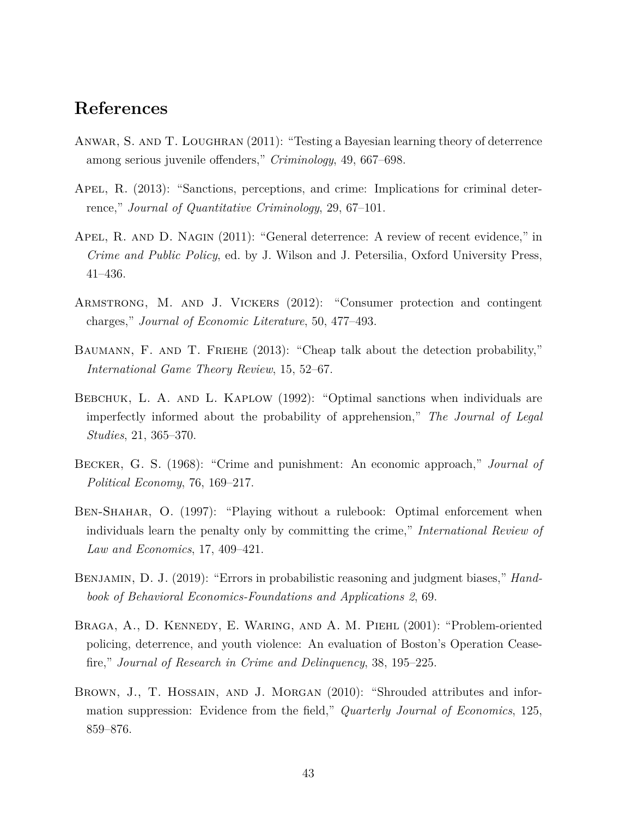# **References**

- <span id="page-43-3"></span>ANWAR, S. AND T. LOUGHRAN (2011): "Testing a Bayesian learning theory of deterrence among serious juvenile offenders," *Criminology*, 49, 667–698.
- <span id="page-43-6"></span>Apel, R. (2013): "Sanctions, perceptions, and crime: Implications for criminal deterrence," *Journal of Quantitative Criminology*, 29, 67–101.
- <span id="page-43-2"></span>Apel, R. and D. Nagin (2011): "General deterrence: A review of recent evidence," in *Crime and Public Policy*, ed. by J. Wilson and J. Petersilia, Oxford University Press, 41–436.
- <span id="page-43-4"></span>Armstrong, M. and J. Vickers (2012): "Consumer protection and contingent charges," *Journal of Economic Literature*, 50, 477–493.
- <span id="page-43-9"></span>Baumann, F. and T. Friehe (2013): "Cheap talk about the detection probability," *International Game Theory Review*, 15, 52–67.
- <span id="page-43-1"></span>BEBCHUK, L. A. AND L. KAPLOW (1992): "Optimal sanctions when individuals are imperfectly informed about the probability of apprehension," *The Journal of Legal Studies*, 21, 365–370.
- <span id="page-43-0"></span>Becker, G. S. (1968): "Crime and punishment: An economic approach," *Journal of Political Economy*, 76, 169–217.
- <span id="page-43-8"></span>Ben-Shahar, O. (1997): "Playing without a rulebook: Optimal enforcement when individuals learn the penalty only by committing the crime," *International Review of Law and Economics*, 17, 409–421.
- <span id="page-43-5"></span>Benjamin, D. J. (2019): "Errors in probabilistic reasoning and judgment biases," *Handbook of Behavioral Economics-Foundations and Applications 2*, 69.
- <span id="page-43-7"></span>Braga, A., D. Kennedy, E. Waring, and A. M. Piehl (2001): "Problem-oriented policing, deterrence, and youth violence: An evaluation of Boston's Operation Ceasefire," *Journal of Research in Crime and Delinquency*, 38, 195–225.
- <span id="page-43-10"></span>BROWN, J., T. HOSSAIN, AND J. MORGAN (2010): "Shrouded attributes and information suppression: Evidence from the field," *Quarterly Journal of Economics*, 125, 859–876.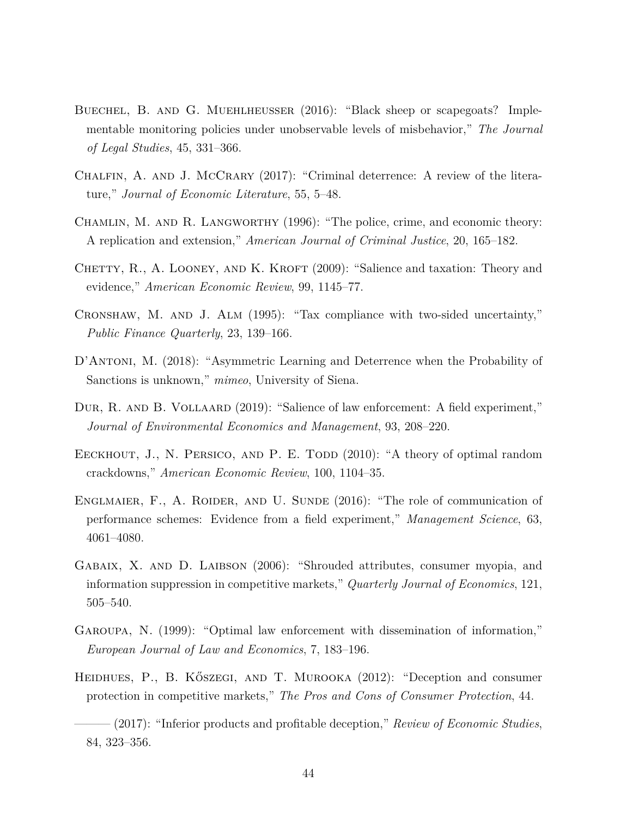- <span id="page-44-12"></span>BUECHEL, B. AND G. MUEHLHEUSSER (2016): "Black sheep or scapegoats? Implementable monitoring policies under unobservable levels of misbehavior," *The Journal of Legal Studies*, 45, 331–366.
- <span id="page-44-5"></span>CHALFIN, A. AND J. MCCRARY (2017): "Criminal deterrence: A review of the literature," *Journal of Economic Literature*, 55, 5–48.
- <span id="page-44-1"></span>Chamlin, M. and R. Langworthy (1996): "The police, crime, and economic theory: A replication and extension," *American Journal of Criminal Justice*, 20, 165–182.
- <span id="page-44-10"></span>CHETTY, R., A. LOONEY, AND K. KROFT (2009): "Salience and taxation: Theory and evidence," *American Economic Review*, 99, 1145–77.
- <span id="page-44-9"></span>Cronshaw, M. and J. Alm (1995): "Tax compliance with two-sided uncertainty," *Public Finance Quarterly*, 23, 139–166.
- <span id="page-44-6"></span>D'ANTONI, M. (2018): "Asymmetric Learning and Deterrence when the Probability of Sanctions is unknown," *mimeo*, University of Siena.
- <span id="page-44-8"></span>DUR, R. AND B. VOLLAARD (2019): "Salience of law enforcement: A field experiment," *Journal of Environmental Economics and Management*, 93, 208–220.
- <span id="page-44-7"></span>EECKHOUT, J., N. PERSICO, AND P. E. TODD  $(2010)$ : "A theory of optimal random crackdowns," *American Economic Review*, 100, 1104–35.
- <span id="page-44-11"></span>ENGLMAIER, F., A. ROIDER, AND U. SUNDE (2016): "The role of communication of performance schemes: Evidence from a field experiment," *Management Science*, 63, 4061–4080.
- <span id="page-44-2"></span>GABAIX, X. AND D. LAIBSON (2006): "Shrouded attributes, consumer myopia, and information suppression in competitive markets," *Quarterly Journal of Economics*, 121, 505–540.
- <span id="page-44-0"></span>GAROUPA, N. (1999): "Optimal law enforcement with dissemination of information," *European Journal of Law and Economics*, 7, 183–196.
- <span id="page-44-3"></span>HEIDHUES, P., B. KŐSZEGI, AND T. MUROOKA (2012): "Deception and consumer protection in competitive markets," *The Pros and Cons of Consumer Protection*, 44.

<span id="page-44-4"></span> $-(2017)$ : "Inferior products and profitable deception," *Review of Economic Studies*, 84, 323–356.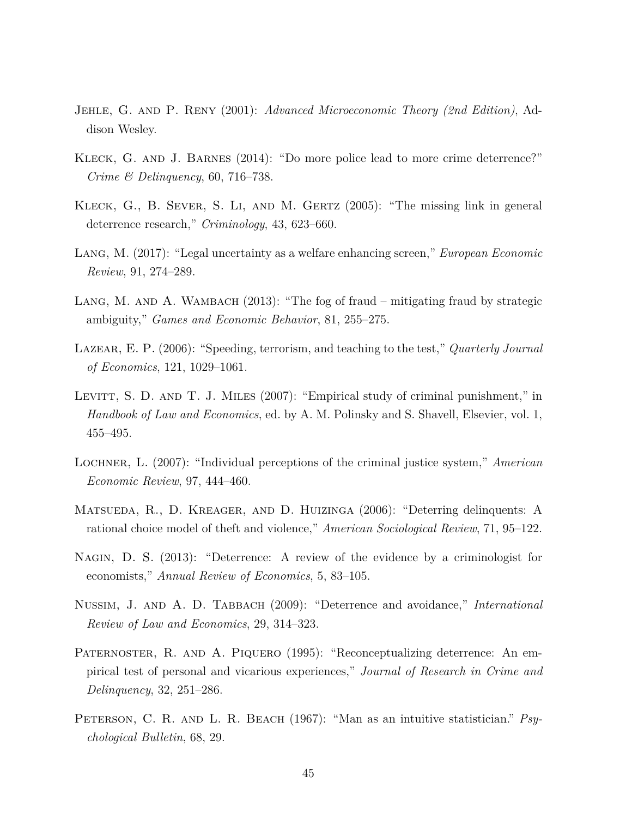- Jehle, G. and P. Reny (2001): *Advanced Microeconomic Theory (2nd Edition)*, Addison Wesley.
- <span id="page-45-1"></span>Kleck, G. and J. Barnes (2014): "Do more police lead to more crime deterrence?" *Crime & Delinquency*, 60, 716–738.
- <span id="page-45-0"></span>KLECK, G., B. SEVER, S. LI, AND M. GERTZ (2005): "The missing link in general deterrence research," *Criminology*, 43, 623–660.
- <span id="page-45-8"></span>Lang, M. (2017): "Legal uncertainty as a welfare enhancing screen," *European Economic Review*, 91, 274–289.
- <span id="page-45-10"></span>LANG, M. AND A. WAMBACH  $(2013)$ : "The fog of fraud – mitigating fraud by strategic ambiguity," *Games and Economic Behavior*, 81, 255–275.
- <span id="page-45-9"></span>Lazear, E. P. (2006): "Speeding, terrorism, and teaching to the test," *Quarterly Journal of Economics*, 121, 1029–1061.
- <span id="page-45-7"></span>LEVITT, S. D. AND T. J. MILES (2007): "Empirical study of criminal punishment," in *Handbook of Law and Economics*, ed. by A. M. Polinsky and S. Shavell, Elsevier, vol. 1, 455–495.
- <span id="page-45-5"></span>Lochner, L. (2007): "Individual perceptions of the criminal justice system," *American Economic Review*, 97, 444–460.
- <span id="page-45-2"></span>Matsueda, R., D. Kreager, and D. Huizinga (2006): "Deterring delinquents: A rational choice model of theft and violence," *American Sociological Review*, 71, 95–122.
- <span id="page-45-6"></span>Nagin, D. S. (2013): "Deterrence: A review of the evidence by a criminologist for economists," *Annual Review of Economics*, 5, 83–105.
- <span id="page-45-4"></span>Nussim, J. and A. D. Tabbach (2009): "Deterrence and avoidance," *International Review of Law and Economics*, 29, 314–323.
- <span id="page-45-3"></span>PATERNOSTER, R. AND A. PIQUERO (1995): "Reconceptualizing deterrence: An empirical test of personal and vicarious experiences," *Journal of Research in Crime and Delinquency*, 32, 251–286.
- <span id="page-45-11"></span>PETERSON, C. R. AND L. R. BEACH (1967): "Man as an intuitive statistician." *Psychological Bulletin*, 68, 29.